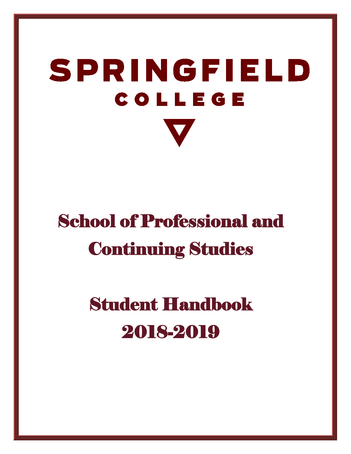# SPRINGFIELD **COLLEGE**

# School of Professional and Continuing Studies

# Student Handbook 2018-2019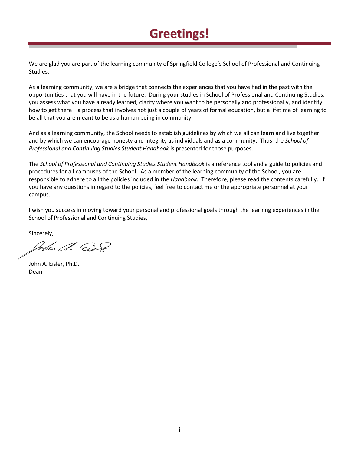# **Greetings!**

We are glad you are part of the learning community of Springfield College's School of Professional and Continuing Studies.

As a learning community, we are a bridge that connects the experiences that you have had in the past with the opportunities that you will have in the future. During your studies in School of Professional and Continuing Studies, you assess what you have already learned, clarify where you want to be personally and professionally, and identify how to get there—a process that involves not just a couple of years of formal education, but a lifetime of learning to be all that you are meant to be as a human being in community.

And as a learning community, the School needs to establish guidelines by which we all can learn and live together and by which we can encourage honesty and integrity as individuals and as a community. Thus, the *School of Professional and Continuing Studies Student Handbook* is presented for those purposes.

The *School of Professional and Continuing Studies Student Handbook* is a reference tool and a guide to policies and procedures for all campuses of the School. As a member of the learning community of the School, you are responsible to adhere to all the policies included in the *Handbook.* Therefore, please read the contents carefully. If you have any questions in regard to the policies, feel free to contact me or the appropriate personnel at your campus.

I wish you success in moving toward your personal and professional goals through the learning experiences in the School of Professional and Continuing Studies,

Sincerely,

Colm A. Cir

John A. Eisler, Ph.D. Dean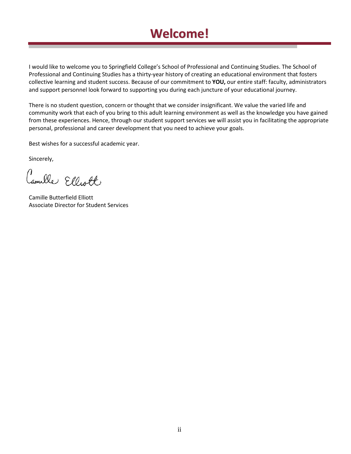# **Welcome!**

I would like to welcome you to Springfield College's School of Professional and Continuing Studies. The School of Professional and Continuing Studies has a thirty-year history of creating an educational environment that fosters collective learning and student success. Because of our commitment to **YOU,** our entire staff: faculty, administrators and support personnel look forward to supporting you during each juncture of your educational journey.

There is no student question, concern or thought that we consider insignificant. We value the varied life and community work that each of you bring to this adult learning environment as well as the knowledge you have gained from these experiences. Hence, through our student support services we will assist you in facilitating the appropriate personal, professional and career development that you need to achieve your goals.

Best wishes for a successful academic year.

Sincerely,

Camille Elliott

Camille Butterfield Elliott Associate Director for Student Services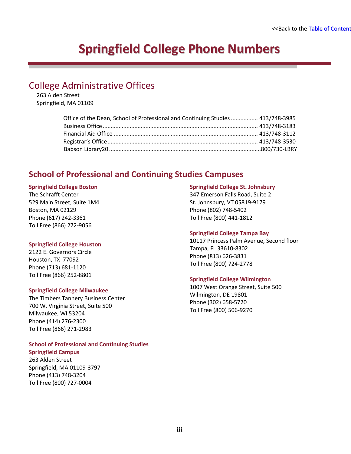# **Springfield College Phone Numbers**

### <span id="page-3-1"></span><span id="page-3-0"></span>College Administrative Offices

263 Alden Street Springfield, MA 01109

| Office of the Dean, School of Professional and Continuing Studies  413/748-3985 |  |
|---------------------------------------------------------------------------------|--|
|                                                                                 |  |
|                                                                                 |  |
|                                                                                 |  |
|                                                                                 |  |

### **School of Professional and Continuing Studies Campuses**

#### **Springfield College Boston**

The Schrafft Center 529 Main Street, Suite 1M4 Boston, MA 02129 Phone (617) 242-3361 Toll Free (866) 272-9056

### **Springfield College Houston**

2122 E. Governors Circle Houston, TX 77092 Phone (713) 681-1120 Toll Free (866) 252-8801

### **Springfield College Milwaukee**

The Timbers Tannery Business Center 700 W. Virginia Street, Suite 500 Milwaukee, WI 53204 Phone (414) 276-2300 Toll Free (866) 271-2983

#### **School of Professional and Continuing Studies Springfield Campus**

263 Alden Street Springfield, MA 01109-3797 Phone (413) 748-3204 Toll Free (800) 727-0004

#### **Springfield College St. Johnsbury**

347 Emerson Falls Road, Suite 2 St. Johnsbury, VT 05819-9179 Phone (802) 748-5402 Toll Free (800) 441-1812

### **Springfield College Tampa Bay**

10117 Princess Palm Avenue, Second floor Tampa, FL 33610-8302 Phone (813) 626-3831 Toll Free (800) 724-2778

### **Springfield College Wilmington**

1007 West Orange Street, Suite 500 Wilmington, DE 19801 Phone (302) 658-5720 Toll Free (800) 506-9270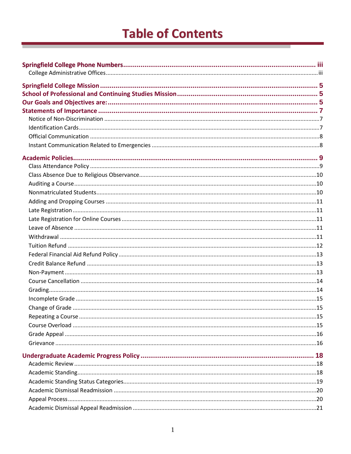# **Table of Contents**

<span id="page-4-0"></span>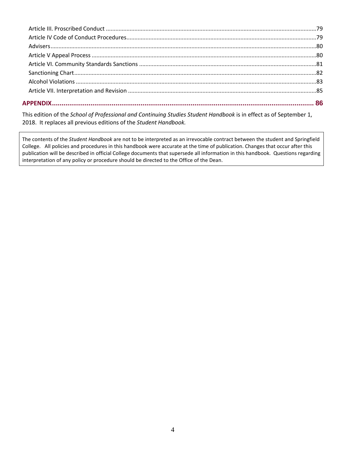This edition of the *School of Professional and Continuing Studies Student Handbook* is in effect as of September 1, 2018. It replaces all previous editions of the *Student Handbook.*

The contents of the *Student Handbook* are not to be interpreted as an irrevocable contract between the student and Springfield College. All policies and procedures in this handbook were accurate at the time of publication. Changes that occur after this publication will be described in official College documents that supersede all information in this handbook. Questions regarding interpretation of any policy or procedure should be directed to the Office of the Dean.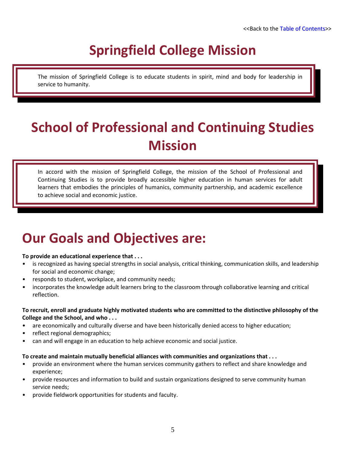# **Springfield College Mission**

<span id="page-8-0"></span>The mission of Springfield College is to educate students in spirit, mind and body for leadership in service to humanity.

# <span id="page-8-1"></span>**School of Professional and Continuing Studies Mission**

In accord with the mission of Springfield College, the mission of the School of Professional and Continuing Studies is to provide broadly accessible higher education in human services for adult learners that embodies the principles of humanics, community partnership, and academic excellence to achieve social and economic justice.

# <span id="page-8-2"></span>**Our Goals and Objectives are:**

### **To provide an educational experience that . . .**

- is recognized as having special strengths in social analysis, critical thinking, communication skills, and leadership for social and economic change;
- responds to student, workplace, and community needs;
- incorporates the knowledge adult learners bring to the classroom through collaborative learning and critical reflection.

### **To recruit, enroll and graduate highly motivated students who are committed to the distinctive philosophy of the College and the School, and who . . .**

- are economically and culturally diverse and have been historically denied access to higher education;
- reflect regional demographics;
- can and will engage in an education to help achieve economic and social justice.

### **To create and maintain mutually beneficial alliances with communities and organizations that . . .**

- provide an environment where the human services community gathers to reflect and share knowledge and experience;
- provide resources and information to build and sustain organizations designed to serve community human service needs;
- provide fieldwork opportunities for students and faculty.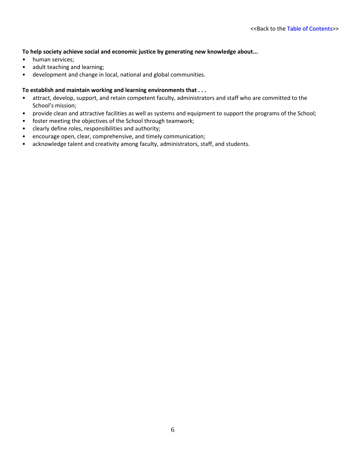### **To help society achieve social and economic justice by generating new knowledge about...**

- human services;
- adult teaching and learning;
- development and change in local, national and global communities.

### **To establish and maintain working and learning environments that . . .**

- attract, develop, support, and retain competent faculty, administrators and staff who are committed to the School's mission;
- provide clean and attractive facilities as well as systems and equipment to support the programs of the School;
- foster meeting the objectives of the School through teamwork;
- clearly define roles, responsibilities and authority;
- encourage open, clear, comprehensive, and timely communication;
- acknowledge talent and creativity among faculty, administrators, staff, and students.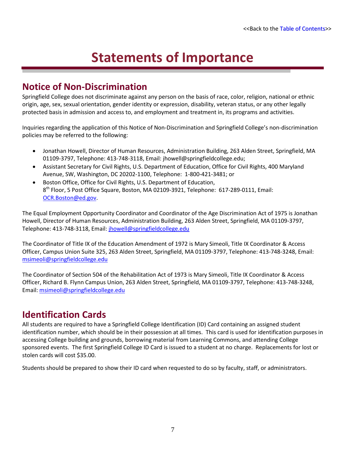# **Statements of Importance**

### <span id="page-10-1"></span><span id="page-10-0"></span>**Notice of Non-Discrimination**

Springfield College does not discriminate against any person on the basis of race, color, religion, national or ethnic origin, age, sex, sexual orientation, gender identity or expression, disability, veteran status, or any other legally protected basis in admission and access to, and employment and treatment in, its programs and activities.

Inquiries regarding the application of this Notice of Non-Discrimination and Springfield College's non-discrimination policies may be referred to the following:

- Jonathan Howell, Director of Human Resources, Administration Building, 263 Alden Street, Springfield, MA 01109-3797, Telephone: 413-748-3118, Email: jhowell@springfieldcollege.edu;
- Assistant Secretary for Civil Rights, U.S. Department of Education, Office for Civil Rights, 400 Maryland Avenue, SW, Washington, DC 20202-1100, Telephone: 1-800-421-3481; or
- Boston Office, Office for Civil Rights, U.S. Department of Education, 8th Floor, 5 Post Office Square, Boston, MA 02109-3921, Telephone: 617-289-0111, Email: [OCR.Boston@ed.gov.](mailto:OCR.Boston@ed.gov)

The Equal Employment Opportunity Coordinator and Coordinator of the Age Discrimination Act of 1975 is Jonathan Howell, Director of Human Resources, Administration Building, 263 Alden Street, Springfield, MA 01109-3797, Telephone: 413-748-3118, Email: *jhowell@springfieldcollege.edu* 

The Coordinator of Title IX of the Education Amendment of 1972 is Mary Simeoli, Title IX Coordinator & Access Officer, Campus Union Suite 325, 263 Alden Street, Springfield, MA 01109-3797, Telephone: 413-748-3248, Email: [msimeoli@springfieldcollege.edu](mailto:msimeoli@springfieldcollege.edu)

The Coordinator of Section 504 of the Rehabilitation Act of 1973 is Mary Simeoli, Title IX Coordinator & Access Officer, Richard B. Flynn Campus Union, 263 Alden Street, Springfield, MA 01109-3797, Telephone: 413-748-3248, Email: [msimeoli@springfieldcollege.edu](mailto:msimeoli@springfieldcollege.edu)

### <span id="page-10-2"></span>**Identification Cards**

All students are required to have a Springfield College Identification (ID) Card containing an assigned student identification number, which should be in their possession at all times. This card is used for identification purposes in accessing College building and grounds, borrowing material from Learning Commons, and attending College sponsored events. The first Springfield College ID Card is issued to a student at no charge. Replacements for lost or stolen cards will cost \$35.00.

Students should be prepared to show their ID card when requested to do so by faculty, staff, or administrators.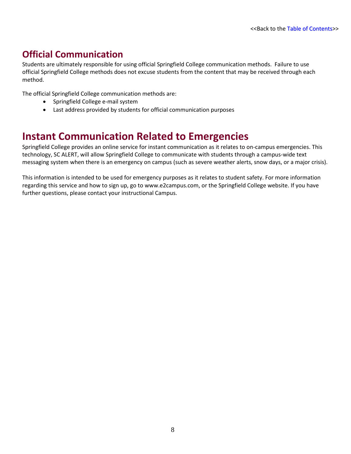# <span id="page-11-0"></span>**Official Communication**

Students are ultimately responsible for using official Springfield College communication methods. Failure to use official Springfield College methods does not excuse students from the content that may be received through each method.

The official Springfield College communication methods are:

- Springfield College e-mail system
- Last address provided by students for official communication purposes

# <span id="page-11-1"></span>**Instant Communication Related to Emergencies**

Springfield College provides an online service for instant communication as it relates to on-campus emergencies. This technology, SC ALERT, will allow Springfield College to communicate with students through a campus-wide text messaging system when there is an emergency on campus (such as severe weather alerts, snow days, or a major crisis).

This information is intended to be used for emergency purposes as it relates to student safety. For more information regarding this service and how to sign up, go to www.e2campus.com, or the Springfield College website. If you have further questions, please contact your instructional Campus.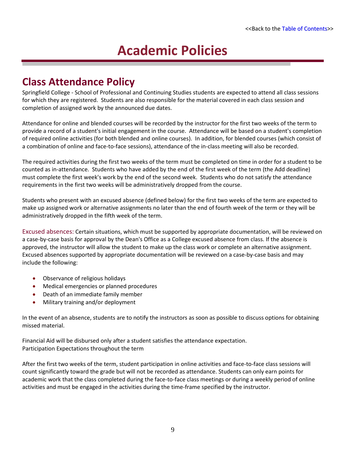# **Academic Policies**

# <span id="page-12-1"></span><span id="page-12-0"></span>**Class Attendance Policy**

Springfield College - School of Professional and Continuing Studies students are expected to attend all class sessions for which they are registered. Students are also responsible for the material covered in each class session and completion of assigned work by the announced due dates.

Attendance for online and blended courses will be recorded by the instructor for the first two weeks of the term to provide a record of a student's initial engagement in the course. Attendance will be based on a student's completion of required online activities (for both blended and online courses). In addition, for blended courses (which consist of a combination of online and face-to-face sessions), attendance of the in-class meeting will also be recorded.

The required activities during the first two weeks of the term must be completed on time in order for a student to be counted as in-attendance. Students who have added by the end of the first week of the term (the Add deadline) must complete the first week's work by the end of the second week. Students who do not satisfy the attendance requirements in the first two weeks will be administratively dropped from the course.

Students who present with an excused absence (defined below) for the first two weeks of the term are expected to make up assigned work or alternative assignments no later than the end of fourth week of the term or they will be administratively dropped in the fifth week of the term.

Excused absences: Certain situations, which must be supported by appropriate documentation, will be reviewed on a case-by-case basis for approval by the Dean's Office as a College excused absence from class. If the absence is approved, the instructor will allow the student to make up the class work or complete an alternative assignment. Excused absences supported by appropriate documentation will be reviewed on a case-by-case basis and may include the following:

- Observance of religious holidays
- Medical emergencies or planned procedures
- Death of an immediate family member
- Military training and/or deployment

In the event of an absence, students are to notify the instructors as soon as possible to discuss options for obtaining missed material.

Financial Aid will be disbursed only after a student satisfies the attendance expectation. Participation Expectations throughout the term

After the first two weeks of the term, student participation in online activities and face-to-face class sessions will count significantly toward the grade but will not be recorded as attendance. Students can only earn points for academic work that the class completed during the face-to-face class meetings or during a weekly period of online activities and must be engaged in the activities during the time-frame specified by the instructor.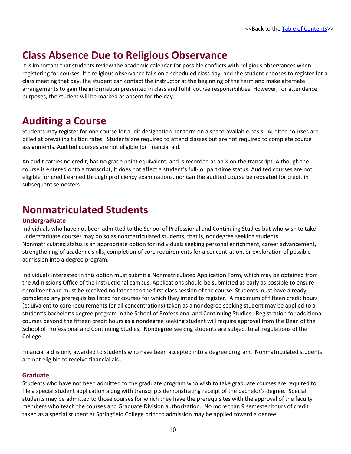# <span id="page-13-0"></span>**Class Absence Due to Religious Observance**

It is important that students review the academic calendar for possible conflicts with religious observances when registering for courses. If a religious observance falls on a scheduled class day, and the student chooses to register for a class meeting that day, the student can contact the instructor at the beginning of the term and make alternate arrangements to gain the information presented in class and fulfill course responsibilities. However, for attendance purposes, the student will be marked as absent for the day.

# <span id="page-13-1"></span>**Auditing a Course**

Students may register for one course for audit designation per term on a space-available basis. Audited courses are billed at prevailing tuition rates. Students are required to attend classes but are not required to complete course assignments. Audited courses are not eligible for financial aid.

An audit carries no credit, has no grade point equivalent, and is recorded as an X on the transcript. Although the course is entered onto a transcript, it does not affect a student's full- or part-time status. Audited courses are not eligible for credit earned through proficiency examinations, nor can the audited course be repeated for credit in subsequent semesters.

# <span id="page-13-2"></span>**Nonmatriculated Students**

### **Undergraduate**

Individuals who have not been admitted to the School of Professional and Continuing Studies but who wish to take undergraduate courses may do so as nonmatriculated students, that is, nondegree seeking students. Nonmatriculated status is an appropriate option for individuals seeking personal enrichment, career advancement, strengthening of academic skills, completion of core requirements for a concentration, or exploration of possible admission into a degree program.

Individuals interested in this option must submit a Nonmatriculated Application Form, which may be obtained from the Admissions Office of the instructional campus. Applications should be submitted as early as possible to ensure enrollment and must be received no later than the first class session of the course. Students must have already completed any prerequisites listed for courses for which they intend to register. A maximum of fifteen credit hours (equivalent to core requirements for all concentrations) taken as a nondegree seeking student may be applied to a student's bachelor's degree program in the School of Professional and Continuing Studies. Registration for additional courses beyond the fifteen credit hours as a nondegree seeking student will require approval from the Dean of the School of Professional and Continuing Studies. Nondegree seeking students are subject to all regulations of the College.

Financial aid is only awarded to students who have been accepted into a degree program. Nonmatriculated students are not eligible to receive financial aid.

### **Graduate**

Students who have not been admitted to the graduate program who wish to take graduate courses are required to file a special student application along with transcripts demonstrating receipt of the bachelor's degree. Special students may be admitted to those courses for which they have the prerequisites with the approval of the faculty members who teach the courses and Graduate Division authorization. No more than 9 semester hours of credit taken as a special student at Springfield College prior to admission may be applied toward a degree.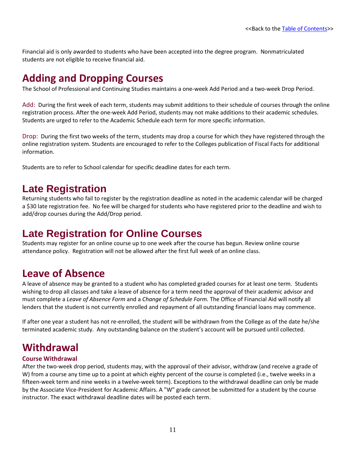Financial aid is only awarded to students who have been accepted into the degree program. Nonmatriculated students are not eligible to receive financial aid.

# <span id="page-14-0"></span>**Adding and Dropping Courses**

The School of Professional and Continuing Studies maintains a one-week Add Period and a two-week Drop Period.

Add: During the first week of each term, students may submit additions to their schedule of courses through the online registration process. After the one-week Add Period, students may not make additions to their academic schedules. Students are urged to refer to the Academic Schedule each term for more specific information.

Drop: During the first two weeks of the term, students may drop a course for which they have registered through the online registration system. Students are encouraged to refer to the Colleges publication of Fiscal Facts for additional information.

Students are to refer to School calendar for specific deadline dates for each term.

# <span id="page-14-1"></span>**Late Registration**

Returning students who fail to register by the registration deadline as noted in the academic calendar will be charged a \$30 late registration fee. No fee will be charged for students who have registered prior to the deadline and wish to add/drop courses during the Add/Drop period.

# <span id="page-14-2"></span>**Late Registration for Online Courses**

Students may register for an online course up to one week after the course has begun. Review online course attendance policy. Registration will not be allowed after the first full week of an online class.

# <span id="page-14-3"></span>**Leave of Absence**

A leave of absence may be granted to a student who has completed graded courses for at least one term. Students wishing to drop all classes and take a leave of absence for a term need the approval of their academic advisor and must complete a *Leave of Absence Form* and a *Change of Schedule Form.* The Office of Financial Aid will notify all lenders that the student is not currently enrolled and repayment of all outstanding financial loans may commence.

If after one year a student has not re-enrolled, the student will be withdrawn from the College as of the date he/she terminated academic study. Any outstanding balance on the student's account will be pursued until collected.

# <span id="page-14-4"></span>**Withdrawal**

### **Course Withdrawal**

After the two-week drop period, students may, with the approval of their advisor, withdraw (and receive a grade of W) from a course any time up to a point at which eighty percent of the course is completed (i.e., twelve weeks in a fifteen-week term and nine weeks in a twelve-week term). Exceptions to the withdrawal deadline can only be made by the Associate Vice-President for Academic Affairs. A "W" grade cannot be submitted for a student by the course instructor. The exact withdrawal deadline dates will be posted each term.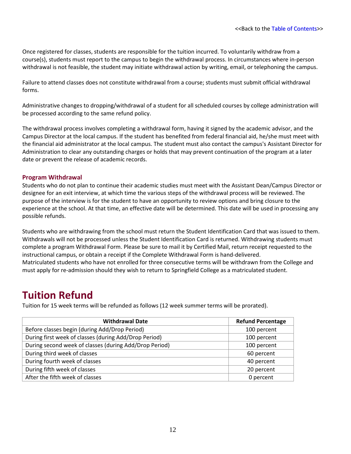Once registered for classes, students are responsible for the tuition incurred. To voluntarily withdraw from a course(s), students must report to the campus to begin the withdrawal process. In circumstances where in-person withdrawal is not feasible, the student may initiate withdrawal action by writing, email, or telephoning the campus.

Failure to attend classes does not constitute withdrawal from a course; students must submit official withdrawal forms.

Administrative changes to dropping/withdrawal of a student for all scheduled courses by college administration will be processed according to the same refund policy.

The withdrawal process involves completing a withdrawal form, having it signed by the academic advisor, and the Campus Director at the local campus. If the student has benefited from federal financial aid, he/she must meet with the financial aid administrator at the local campus. The student must also contact the campus's Assistant Director for Administration to clear any outstanding charges or holds that may prevent continuation of the program at a later date or prevent the release of academic records.

### **Program Withdrawal**

Students who do not plan to continue their academic studies must meet with the Assistant Dean/Campus Director or designee for an exit interview, at which time the various steps of the withdrawal process will be reviewed. The purpose of the interview is for the student to have an opportunity to review options and bring closure to the experience at the school. At that time, an effective date will be determined. This date will be used in processing any possible refunds.

Students who are withdrawing from the school must return the Student Identification Card that was issued to them. Withdrawals will not be processed unless the Student Identification Card is returned. Withdrawing students must complete a program Withdrawal Form. Please be sure to mail it by Certified Mail, return receipt requested to the instructional campus, or obtain a receipt if the Complete Withdrawal Form is hand-delivered. Matriculated students who have not enrolled for three consecutive terms will be withdrawn from the College and must apply for re-admission should they wish to return to Springfield College as a matriculated student.

# <span id="page-15-0"></span>**Tuition Refund**

Tuition for 15 week terms will be refunded as follows (12 week summer terms will be prorated).

| <b>Withdrawal Date</b>                                 | <b>Refund Percentage</b> |
|--------------------------------------------------------|--------------------------|
| Before classes begin (during Add/Drop Period)          | 100 percent              |
| During first week of classes (during Add/Drop Period)  | 100 percent              |
| During second week of classes (during Add/Drop Period) | 100 percent              |
| During third week of classes                           | 60 percent               |
| During fourth week of classes                          | 40 percent               |
| During fifth week of classes                           | 20 percent               |
| After the fifth week of classes                        | 0 percent                |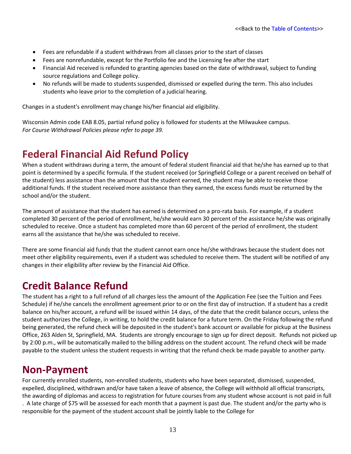- Fees are refundable if a student withdraws from all classes prior to the start of classes
- Fees are nonrefundable, except for the Portfolio fee and the Licensing fee after the start
- Financial Aid received is refunded to granting agencies based on the date of withdrawal, subject to funding source regulations and College policy.
- No refunds will be made to students suspended, dismissed or expelled during the term. This also includes students who leave prior to the completion of a judicial hearing.

Changes in a student's enrollment may change his/her financial aid eligibility.

Wisconsin Admin code EAB 8.05, partial refund policy is followed for students at the Milwaukee campus. *For Course Withdrawal Policies please refer to page 39.*

# <span id="page-16-0"></span>**Federal Financial Aid Refund Policy**

When a student withdraws during a term, the amount of federal student financial aid that he/she has earned up to that point is determined by a specific formula. If the student received (or Springfield College or a parent received on behalf of the student) less assistance than the amount that the student earned, the student may be able to receive those additional funds. If the student received more assistance than they earned, the excess funds must be returned by the school and/or the student.

The amount of assistance that the student has earned is determined on a pro-rata basis. For example, if a student completed 30 percent of the period of enrollment, he/she would earn 30 percent of the assistance he/she was originally scheduled to receive. Once a student has completed more than 60 percent of the period of enrollment, the student earns all the assistance that he/she was scheduled to receive.

There are some financial aid funds that the student cannot earn once he/she withdraws because the student does not meet other eligibility requirements, even if a student was scheduled to receive them. The student will be notified of any changes in their eligibility after review by the Financial Aid Office.

# <span id="page-16-1"></span>**Credit Balance Refund**

The student has a right to a full refund of all charges less the amount of the Application Fee (see the Tuition and Fees Schedule) if he/she cancels the enrollment agreement prior to or on the first day of instruction. If a student has a credit balance on his/her account, a refund will be issued within 14 days, of the date that the credit balance occurs, unless the student authorizes the College, in writing, to hold the credit balance for a future term. On the Friday following the refund being generated, the refund check will be deposited in the student's bank account or available for pickup at the Business Office, 263 Alden St, Springfield, MA. Students are strongly encourage to sign up for direct deposit. Refunds not picked up by 2:00 p.m., will be automatically mailed to the billing address on the student account. The refund check will be made payable to the student unless the student requests in writing that the refund check be made payable to another party.

# <span id="page-16-2"></span>**Non-Payment**

For currently enrolled students, non-enrolled students, students who have been separated, dismissed, suspended, expelled, disciplined, withdrawn and/or have taken a leave of absence, the College will withhold all official transcripts, the awarding of diplomas and access to registration for future courses from any student whose account is not paid in full . A late charge of \$75 will be assessed for each month that a payment is past due. The student and/or the party who is responsible for the payment of the student account shall be jointly liable to the College for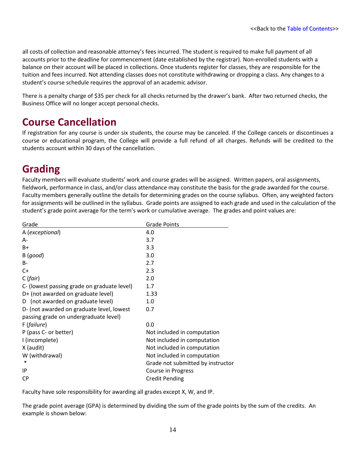all costs of collection and reasonable attorney's fees incurred. The student is required to make full payment of all accounts prior to the deadline for commencement (date established by the registrar). Non-enrolled students with a balance on their account will be placed in collections. Once students register for classes, they are responsible for the tuition and fees incurred. Not attending classes does not constitute withdrawing or dropping a class. Any changes to a student's course schedule requires the approval of an academic advisor.

There is a penalty charge of \$35 per check for all checks returned by the drawer's bank. After two returned checks, the Business Office will no longer accept personal checks.

# <span id="page-17-0"></span>**Course Cancellation**

If registration for any course is under six students, the course may be canceled. If the College cancels or discontinues a course or educational program, the College will provide a full refund of all charges. Refunds will be credited to the students account within 30 days of the cancellation.

# <span id="page-17-1"></span>**Grading**

Faculty members will evaluate students' work and course grades will be assigned. Written papers, oral assignments, fieldwork, performance in class, and/or class attendance may constitute the basis for the grade awarded for the course. Faculty members generally outline the details for determining grades on the course syllabus. Often, any weighted factors for assignments will be outlined in the syllabus. Grade points are assigned to each grade and used in the calculation of the student's grade point average for the term's work or cumulative average. The grades and point values are:

| Grade                                       | <b>Grade Points</b>               |
|---------------------------------------------|-----------------------------------|
| A (exceptional)                             | 4.0                               |
| A-                                          | 3.7                               |
| $B+$                                        | 3.3                               |
| B(good)                                     | 3.0                               |
| B-                                          | 2.7                               |
| $C+$                                        | 2.3                               |
| C(fair)                                     | 2.0                               |
| C- (lowest passing grade on graduate level) | 1.7                               |
| D+ (not awarded on graduate level)          | 1.33                              |
| D (not awarded on graduate level)           | 1.0                               |
| D- (not awarded on graduate level, lowest   | 0.7                               |
| passing grade on undergraduate level)       |                                   |
| F (failure)                                 | 0.0                               |
| P (pass C- or better)                       | Not included in computation       |
| I (incomplete)                              | Not included in computation       |
| X (audit)                                   | Not included in computation       |
| W (withdrawal)                              | Not included in computation       |
| $\ast$                                      | Grade not submitted by instructor |
| IP                                          | Course in Progress                |
| <b>CP</b>                                   | <b>Credit Pending</b>             |

Faculty have sole responsibility for awarding all grades except X, W, and IP.

The grade point average (GPA) is determined by dividing the sum of the grade points by the sum of the credits. An example is shown below: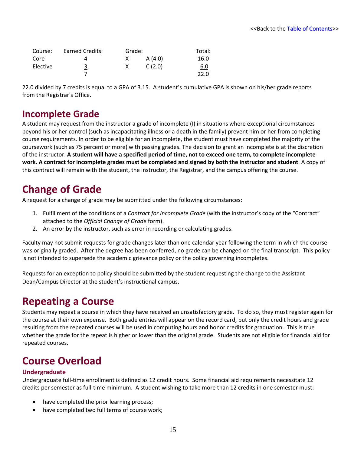| Course:  | Earned Credits: | Grade: |        | Total:     |
|----------|-----------------|--------|--------|------------|
| Core     | 4               |        | A(4.0) | 16.0       |
| Elective | $\overline{3}$  |        | C(2.0) | <u>6.0</u> |
|          |                 |        |        | 22.0       |

22.0 divided by 7 credits is equal to a GPA of 3.15. A student's cumulative GPA is shown on his/her grade reports from the Registrar's Office.

### <span id="page-18-0"></span>**Incomplete Grade**

A student may request from the instructor a grade of incomplete (I) in situations where exceptional circumstances beyond his or her control (such as incapacitating illness or a death in the family) prevent him or her from completing course requirements. In order to be eligible for an incomplete, the student must have completed the majority of the coursework (such as 75 percent or more) with passing grades. The decision to grant an incomplete is at the discretion of the instructor. **A student will have a specified period of time, not to exceed one term, to complete incomplete work. A contract for incomplete grades must be completed and signed by both the instructor and student**. A copy of this contract will remain with the student, the instructor, the Registrar, and the campus offering the course.

# <span id="page-18-1"></span>**Change of Grade**

A request for a change of grade may be submitted under the following circumstances:

- 1. Fulfillment of the conditions of a *Contract for Incomplete Grade* (with the instructor's copy of the "Contract" attached to the *Official Change of Grade* form).
- 2. An error by the instructor, such as error in recording or calculating grades.

Faculty may not submit requests for grade changes later than one calendar year following the term in which the course was originally graded. After the degree has been conferred, no grade can be changed on the final transcript. This policy is not intended to supersede the academic grievance policy or the policy governing incompletes.

Requests for an exception to policy should be submitted by the student requesting the change to the Assistant Dean/Campus Director at the student's instructional campus.

# <span id="page-18-2"></span>**Repeating a Course**

Students may repeat a course in which they have received an unsatisfactory grade. To do so, they must register again for the course at their own expense. Both grade entries will appear on the record card, but only the credit hours and grade resulting from the repeated courses will be used in computing hours and honor credits for graduation. This is true whether the grade for the repeat is higher or lower than the original grade. Students are not eligible for financial aid for repeated courses.

# <span id="page-18-3"></span>**Course Overload**

### **Undergraduate**

Undergraduate full-time enrollment is defined as 12 credit hours. Some financial aid requirements necessitate 12 credits per semester as full-time minimum. A student wishing to take more than 12 credits in one semester must:

- have completed the prior learning process;
- have completed two full terms of course work;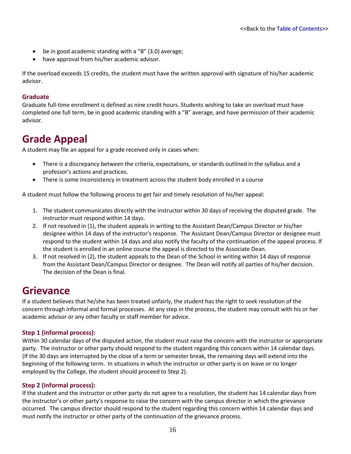- be in good academic standing with a "B" (3.0) average;
- have approval from his/her academic advisor.

If the overload exceeds 15 credits, the student must have the written approval with signature of his/her academic advisor.

### **Graduate**

Graduate full-time enrollment is defined as nine credit hours. Students wishing to take an overload must have completed one full term, be in good academic standing with a "B" average, and have permission of their academic advisor.

# <span id="page-19-0"></span>**Grade Appeal**

A student may file an appeal for a grade received only in cases when:

- There is a discrepancy between the criteria, expectations, or standards outlined in the syllabus and a professor's actions and practices.
- There is some inconsistency in treatment across the student body enrolled in a course

A student must follow the following process to get fair and timely resolution of his/her appeal:

- 1. The student communicates directly with the instructor within 30 days of receiving the disputed grade. The instructor must respond within 14 days.
- 2. If not resolved in (1), the student appeals in writing to the Assistant Dean/Campus Director or his/her designee within 14 days of the instructor's response. The Assistant Dean/Campus Director or designee must respond to the student within 14 days and also notify the faculty of the continuation of the appeal process. If the student is enrolled in an online course the appeal is directed to the Associate Dean.
- 3. If not resolved in (2), the student appeals to the Dean of the School in writing within 14 days of response from the Assistant Dean/Campus Director or designee. The Dean will notify all parties of his/her decision. The decision of the Dean is final.

### <span id="page-19-1"></span>**Grievance**

If a student believes that he/she has been treated unfairly, the student has the right to seek resolution of the concern through informal and formal processes. At any step in the process, the student may consult with his or her academic advisor or any other faculty or staff member for advice.

### **Step 1 (informal process):**

Within 30 calendar days of the disputed action, the student must raise the concern with the instructor or appropriate party. The instructor or other party should respond to the student regarding this concern within 14 calendar days. (If the 30 days are interrupted by the close of a term or semester break, the remaining days will extend into the beginning of the following term. In situations in which the instructor or other party is on leave or no longer employed by the College, the student should proceed to Step 2).

### **Step 2 (informal process):**

If the student and the instructor or other party do not agree to a resolution, the student has 14 calendar days from the instructor's or other party's response to raise the concern with the campus director in which the grievance occurred. The campus director should respond to the student regarding this concern within 14 calendar days and must notify the instructor or other party of the continuation of the grievance process.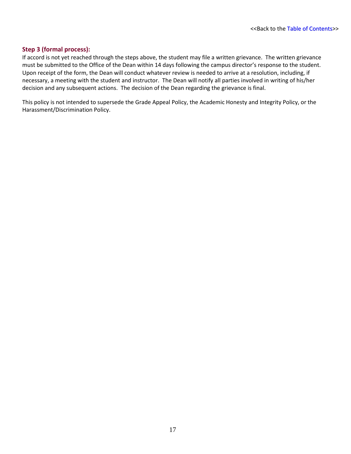### **Step 3 (formal process):**

If accord is not yet reached through the steps above, the student may file a written grievance. The written grievance must be submitted to the Office of the Dean within 14 days following the campus director's response to the student. Upon receipt of the form, the Dean will conduct whatever review is needed to arrive at a resolution, including, if necessary, a meeting with the student and instructor. The Dean will notify all parties involved in writing of his/her decision and any subsequent actions. The decision of the Dean regarding the grievance is final.

This policy is not intended to supersede the Grade Appeal Policy, the Academic Honesty and Integrity Policy, or the Harassment/Discrimination Policy.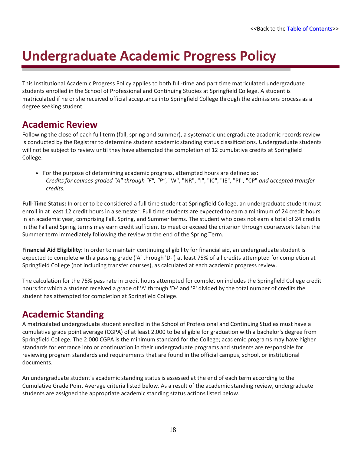# <span id="page-21-0"></span>**Undergraduate Academic Progress Policy**

This Institutional Academic Progress Policy applies to both full-time and part time matriculated undergraduate students enrolled in the School of Professional and Continuing Studies at Springfield College. A student is matriculated if he or she received official acceptance into Springfield College through the admissions process as a degree seeking student.

# <span id="page-21-1"></span>**Academic Review**

Following the close of each full term (fall, spring and summer), a systematic undergraduate academic records review is conducted by the Registrar to determine student academic standing status classifications. Undergraduate students will not be subject to review until they have attempted the completion of 12 cumulative credits at Springfield College.

• For the purpose of determining academic progress, attempted hours are defined as: *Credits for courses graded "A" through "F", "P"*, "W", "NR", "I", "IC", "IE", "PI", "CP" *and accepted transfer credits.*

**Full-Time Status:** In order to be considered a full time student at Springfield College, an undergraduate student must enroll in at least 12 credit hours in a semester. Full time students are expected to earn a minimum of 24 credit hours in an academic year, comprising Fall, Spring, and Summer terms. The student who does not earn a total of 24 credits in the Fall and Spring terms may earn credit sufficient to meet or exceed the criterion through coursework taken the Summer term immediately following the review at the end of the Spring Term.

**Financial Aid Eligibility:** In order to maintain continuing eligibility for financial aid, an undergraduate student is expected to complete with a passing grade ('A' through 'D-') at least 75% of all credits attempted for completion at Springfield College (not including transfer courses), as calculated at each academic progress review.

The calculation for the 75% pass rate in credit hours attempted for completion includes the Springfield College credit hours for which a student received a grade of 'A' through 'D-' and 'P' divided by the total number of credits the student has attempted for completion at Springfield College.

### <span id="page-21-2"></span>**Academic Standing**

A matriculated undergraduate student enrolled in the School of Professional and Continuing Studies must have a cumulative grade point average (CGPA) of at least 2.000 to be eligible for graduation with a bachelor's degree from Springfield College. The 2.000 CGPA is the minimum standard for the College; academic programs may have higher standards for entrance into or continuation in their undergraduate programs and students are responsible for reviewing program standards and requirements that are found in the official campus, school, or institutional documents.

An undergraduate student's academic standing status is assessed at the end of each term according to the Cumulative Grade Point Average criteria listed below. As a result of the academic standing review, undergraduate students are assigned the appropriate academic standing status actions listed below.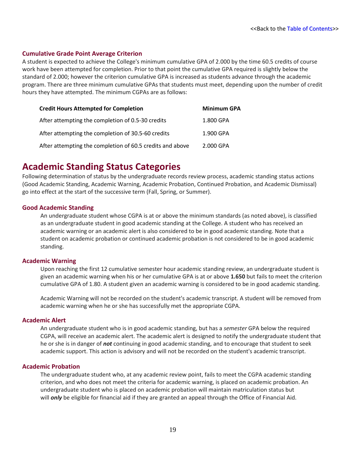### **Cumulative Grade Point Average Criterion**

A student is expected to achieve the College's minimum cumulative GPA of 2.000 by the time 60.5 credits of course work have been attempted for completion. Prior to that point the cumulative GPA required is slightly below the standard of 2.000; however the criterion cumulative GPA is increased as students advance through the academic program. There are three minimum cumulative GPAs that students must meet, depending upon the number of credit hours they have attempted. The minimum CGPAs are as follows:

| <b>Credit Hours Attempted for Completion</b>              | <b>Minimum GPA</b> |
|-----------------------------------------------------------|--------------------|
| After attempting the completion of 0.5-30 credits         | 1.800 GPA          |
| After attempting the completion of 30.5-60 credits        | 1.900 GPA          |
| After attempting the completion of 60.5 credits and above | 2.000 GPA          |

### <span id="page-22-0"></span>**Academic Standing Status Categories**

Following determination of status by the undergraduate records review process, academic standing status actions (Good Academic Standing, Academic Warning, Academic Probation, Continued Probation, and Academic Dismissal) go into effect at the start of the successive term (Fall, Spring, or Summer).

### **Good Academic Standing**

An undergraduate student whose CGPA is at or above the minimum standards (as noted above), is classified as an undergraduate student in good academic standing at the College. A student who has received an academic warning or an academic alert is also considered to be in good academic standing. Note that a student on academic probation or continued academic probation is not considered to be in good academic standing.

### **Academic Warning**

Upon reaching the first 12 cumulative semester hour academic standing review, an undergraduate student is given an academic warning when his or her cumulative GPA is at or above **1.650** but fails to meet the criterion cumulative GPA of 1.80. A student given an academic warning is considered to be in good academic standing.

Academic Warning will not be recorded on the student's academic transcript. A student will be removed from academic warning when he or she has successfully met the appropriate CGPA.

### **Academic Alert**

An undergraduate student who is in good academic standing, but has a *semester* GPA below the required CGPA, will receive an academic alert. The academic alert is designed to notify the undergraduate student that he or she is in danger of *not* continuing in good academic standing, and to encourage that student to seek academic support. This action is advisory and will not be recorded on the student's academic transcript.

### **Academic Probation**

The undergraduate student who, at any academic review point, fails to meet the CGPA academic standing criterion, and who does not meet the criteria for academic warning, is placed on academic probation. An undergraduate student who is placed on academic probation will maintain matriculation status but will *only* be eligible for financial aid if they are granted an appeal through the Office of Financial Aid.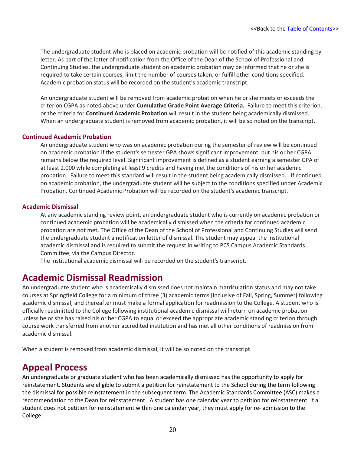The undergraduate student who is placed on academic probation will be notified of this academic standing by letter. As part of the letter of notification from the Office of the Dean of the School of Professional and Continuing Studies, the undergraduate student on academic probation may be informed that he or she is required to take certain courses, limit the number of courses taken, or fulfill other conditions specified. Academic probation status will be recorded on the student's academic transcript.

An undergraduate student will be removed from academic probation when he or she meets or exceeds the criterion CGPA as noted above under **Cumulative Grade Point Average Criteria.** Failure to meet this criterion, or the criteria for **Continued Academic Probation** will result in the student being academically dismissed. When an undergraduate student is removed from academic probation, it will be so noted on the transcript.

### **Continued Academic Probation**

An undergraduate student who was on academic probation during the semester of review will be continued on academic probation if the student's semester GPA shows significant improvement, but his or her CGPA remains below the required level. Significant improvement is defined as a student earning a semester GPA of at least 2.000 while completing at least 9 credits and having met the conditions of his or her academic probation. Failure to meet this standard will result in the student being academically dismissed.. If continued on academic probation, the undergraduate student will be subject to the conditions specified under Academic Probation. Continued Academic Probation will be recorded on the student's academic transcript.

### **Academic Dismissal**

At any academic standing review point, an undergraduate student who is currently on academic probation or continued academic probation will be academically dismissed when the criteria for continued academic probation are not met. The Office of the Dean of the School of Professional and Continuing Studies will send the undergraduate student a notification letter of dismissal. The student may appeal the institutional academic dismissal and is required to submit the request in writing to PCS Campus Academic Standards Committee, via the Campus Director.

The institutional academic dismissal will be recorded on the student's transcript.

### <span id="page-23-0"></span>**Academic Dismissal Readmission**

An undergraduate student who is academically dismissed does not maintain matriculation status and may not take courses at Springfield College for a minimum of three (3) academic terms [inclusive of Fall, Spring, Summer] following academic dismissal; and thereafter must make a formal application for readmission to the College. A student who is officially readmitted to the College following institutional academic dismissal will return on academic probation unless he or she has raised his or her CGPA to equal or exceed the appropriate academic standing criterion through course work transferred from another accredited institution and has met all other conditions of readmission from academic dismissal.

When a student is removed from academic dismissal, it will be so noted on the transcript.

### <span id="page-23-1"></span>**Appeal Process**

An undergraduate or graduate student who has been academically dismissed has the opportunity to apply for reinstatement. Students are eligible to submit a petition for reinstatement to the School during the term following the dismissal for possible reinstatement in the subsequent term. The Academic Standards Committee (ASC) makes a recommendation to the Dean for reinstatement. A student has one calendar year to petition for reinstatement. If a student does not petition for reinstatement within one calendar year, they must apply for re- admission to the College.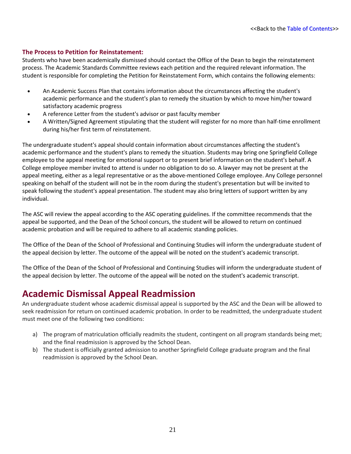### **The Process to Petition for Reinstatement:**

Students who have been academically dismissed should contact the Office of the Dean to begin the reinstatement process. The Academic Standards Committee reviews each petition and the required relevant information. The student is responsible for completing the Petition for Reinstatement Form, which contains the following elements:

- An Academic Success Plan that contains information about the circumstances affecting the student's academic performance and the student's plan to remedy the situation by which to move him/her toward satisfactory academic progress
- A reference Letter from the student's advisor or past faculty member
- A Written/Signed Agreement stipulating that the student will register for no more than half-time enrollment during his/her first term of reinstatement.

The undergraduate student's appeal should contain information about circumstances affecting the student's academic performance and the student's plans to remedy the situation. Students may bring one Springfield College employee to the appeal meeting for emotional support or to present brief information on the student's behalf. A College employee member invited to attend is under no obligation to do so. A lawyer may not be present at the appeal meeting, either as a legal representative or as the above-mentioned College employee. Any College personnel speaking on behalf of the student will not be in the room during the student's presentation but will be invited to speak following the student's appeal presentation. The student may also bring letters of support written by any individual.

The ASC will review the appeal according to the ASC operating guidelines. If the committee recommends that the appeal be supported, and the Dean of the School concurs, the student will be allowed to return on continued academic probation and will be required to adhere to all academic standing policies.

The Office of the Dean of the School of Professional and Continuing Studies will inform the undergraduate student of the appeal decision by letter. The outcome of the appeal will be noted on the student's academic transcript.

The Office of the Dean of the School of Professional and Continuing Studies will inform the undergraduate student of the appeal decision by letter. The outcome of the appeal will be noted on the student's academic transcript.

### <span id="page-24-0"></span>**Academic Dismissal Appeal Readmission**

An undergraduate student whose academic dismissal appeal is supported by the ASC and the Dean will be allowed to seek readmission for return on continued academic probation. In order to be readmitted, the undergraduate student must meet one of the following two conditions:

- a) The program of matriculation officially readmits the student, contingent on all program standards being met; and the final readmission is approved by the School Dean.
- b) The student is officially granted admission to another Springfield College graduate program and the final readmission is approved by the School Dean.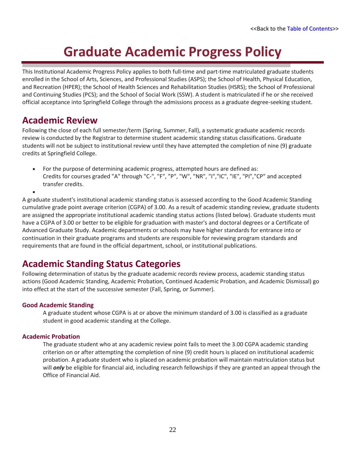# **Graduate Academic Progress Policy**

<span id="page-25-0"></span>This Institutional Academic Progress Policy applies to both full-time and part-time matriculated graduate students enrolled in the School of Arts, Sciences, and Professional Studies (ASPS); the School of Health, Physical Education, and Recreation (HPER); the School of Health Sciences and Rehabilitation Studies (HSRS); the School of Professional and Continuing Studies (PCS); and the School of Social Work (SSW). A student is matriculated if he or she received official acceptance into Springfield College through the admissions process as a graduate degree-seeking student.

### <span id="page-25-1"></span>**Academic Review**

•

Following the close of each full semester/term (Spring, Summer, Fall), a systematic graduate academic records review is conducted by the Registrar to determine student academic standing status classifications. Graduate students will not be subject to institutional review until they have attempted the completion of nine (9) graduate credits at Springfield College.

• For the purpose of determining academic progress, attempted hours are defined as: Credits for courses graded "A" through "C-", "F", "P", "W", "NR", "I","IC", "IE", "PI","CP" and accepted transfer credits.

A graduate student's institutional academic standing status is assessed according to the Good Academic Standing cumulative grade point average criterion (CGPA) of 3.00. As a result of academic standing review, graduate students are assigned the appropriate institutional academic standing status actions (listed below). Graduate students must have a CGPA of 3.00 or better to be eligible for graduation with master's and doctoral degrees or a Certificate of Advanced Graduate Study. Academic departments or schools may have higher standards for entrance into or continuation in their graduate programs and students are responsible for reviewing program standards and requirements that are found in the official department, school, or institutional publications.

# <span id="page-25-2"></span>**Academic Standing Status Categories**

Following determination of status by the graduate academic records review process, academic standing status actions (Good Academic Standing, Academic Probation, Continued Academic Probation, and Academic Dismissal) go into effect at the start of the successive semester (Fall, Spring, or Summer).

### **Good Academic Standing**

A graduate student whose CGPA is at or above the minimum standard of 3.00 is classified as a graduate student in good academic standing at the College.

### **Academic Probation**

The graduate student who at any academic review point fails to meet the 3.00 CGPA academic standing criterion on or after attempting the completion of nine (9) credit hours is placed on institutional academic probation. A graduate student who is placed on academic probation will maintain matriculation status but will *only* be eligible for financial aid, including research fellowships if they are granted an appeal through the Office of Financial Aid.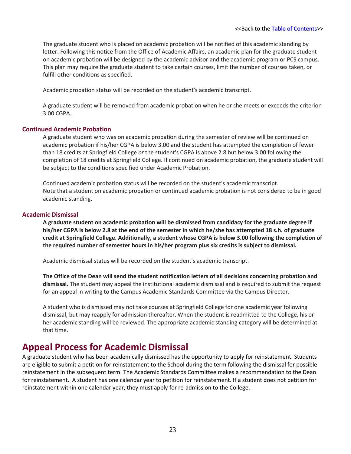The graduate student who is placed on academic probation will be notified of this academic standing by letter. Following this notice from the Office of Academic Affairs, an academic plan for the graduate student on academic probation will be designed by the academic advisor and the academic program or PCS campus. This plan may require the graduate student to take certain courses, limit the number of courses taken, or fulfill other conditions as specified.

Academic probation status will be recorded on the student's academic transcript.

A graduate student will be removed from academic probation when he or she meets or exceeds the criterion 3.00 CGPA.

### **Continued Academic Probation**

A graduate student who was on academic probation during the semester of review will be continued on academic probation if his/her CGPA is below 3.00 and the student has attempted the completion of fewer than 18 credits at Springfield College *or* the student's CGPA is above 2.8 but below 3.00 following the completion of 18 credits at Springfield College. If continued on academic probation, the graduate student will be subject to the conditions specified under Academic Probation.

Continued academic probation status will be recorded on the student's academic transcript. Note that a student on academic probation or continued academic probation is not considered to be in good academic standing.

### **Academic Dismissal**

**A graduate student on academic probation will be dismissed from candidacy for the graduate degree if his/her CGPA is below 2.8 at the end of the semester in which he/she has attempted 18 s.h. of graduate credit at Springfield College. Additionally, a student whose CGPA is below 3.00 following the completion of the required number of semester hours in his/her program plus six credits is subject to dismissal.**

Academic dismissal status will be recorded on the student's academic transcript.

**The Office of the Dean will send the student notification letters of all decisions concerning probation and dismissal.** The student may appeal the institutional academic dismissal and is required to submit the request for an appeal in writing to the Campus Academic Standards Committee via the Campus Director.

A student who is dismissed may not take courses at Springfield College for one academic year following dismissal, but may reapply for admission thereafter. When the student is readmitted to the College, his or her academic standing will be reviewed. The appropriate academic standing category will be determined at that time.

### <span id="page-26-0"></span>**Appeal Process for Academic Dismissal**

A graduate student who has been academically dismissed has the opportunity to apply for reinstatement. Students are eligible to submit a petition for reinstatement to the School during the term following the dismissal for possible reinstatement in the subsequent term. The Academic Standards Committee makes a recommendation to the Dean for reinstatement. A student has one calendar year to petition for reinstatement. If a student does not petition for reinstatement within one calendar year, they must apply for re-admission to the College.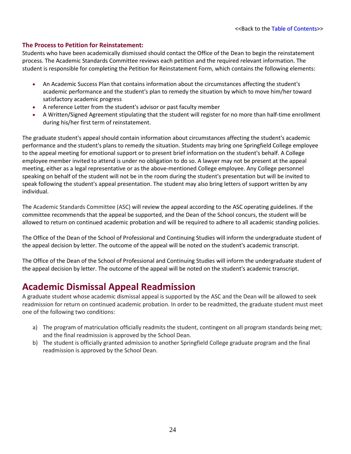### **The Process to Petition for Reinstatement:**

Students who have been academically dismissed should contact the Office of the Dean to begin the reinstatement process. The Academic Standards Committee reviews each petition and the required relevant information. The student is responsible for completing the Petition for Reinstatement Form, which contains the following elements:

- An Academic Success Plan that contains information about the circumstances affecting the student's academic performance and the student's plan to remedy the situation by which to move him/her toward satisfactory academic progress
- A reference Letter from the student's advisor or past faculty member
- A Written/Signed Agreement stipulating that the student will register for no more than half-time enrollment during his/her first term of reinstatement.

The graduate student's appeal should contain information about circumstances affecting the student's academic performance and the student's plans to remedy the situation. Students may bring one Springfield College employee to the appeal meeting for emotional support or to present brief information on the student's behalf. A College employee member invited to attend is under no obligation to do so. A lawyer may not be present at the appeal meeting, either as a legal representative or as the above-mentioned College employee. Any College personnel speaking on behalf of the student will not be in the room during the student's presentation but will be invited to speak following the student's appeal presentation. The student may also bring letters of support written by any individual.

The Academic Standards Committee (ASC) will review the appeal according to the ASC operating guidelines. If the committee recommends that the appeal be supported, and the Dean of the School concurs, the student will be allowed to return on continued academic probation and will be required to adhere to all academic standing policies.

The Office of the Dean of the School of Professional and Continuing Studies will inform the undergraduate student of the appeal decision by letter. The outcome of the appeal will be noted on the student's academic transcript.

The Office of the Dean of the School of Professional and Continuing Studies will inform the undergraduate student of the appeal decision by letter. The outcome of the appeal will be noted on the student's academic transcript.

### <span id="page-27-0"></span>**Academic Dismissal Appeal Readmission**

A graduate student whose academic dismissal appeal is supported by the ASC and the Dean will be allowed to seek readmission for return on continued academic probation. In order to be readmitted, the graduate student must meet one of the following two conditions:

- a) The program of matriculation officially readmits the student, contingent on all program standards being met; and the final readmission is approved by the School Dean.
- b) The student is officially granted admission to another Springfield College graduate program and the final readmission is approved by the School Dean.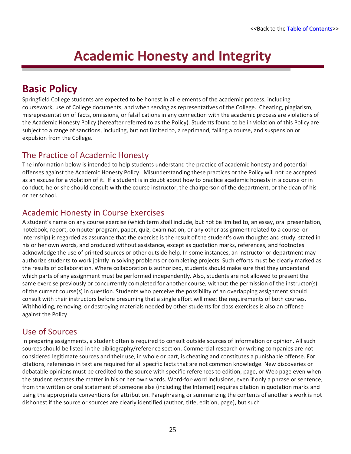# **Academic Honesty and Integrity**

# <span id="page-28-1"></span><span id="page-28-0"></span>**Basic Policy**

Springfield College students are expected to be honest in all elements of the academic process, including coursework, use of College documents, and when serving as representatives of the College. Cheating, plagiarism, misrepresentation of facts, omissions, or falsifications in any connection with the academic process are violations of the Academic Honesty Policy (hereafter referred to as the Policy). Students found to be in violation of this Policy are subject to a range of sanctions, including, but not limited to, a reprimand, failing a course, and suspension or expulsion from the College.

### <span id="page-28-2"></span>The Practice of Academic Honesty

The information below is intended to help students understand the practice of academic honesty and potential offenses against the Academic Honesty Policy. Misunderstanding these practices or the Policy will not be accepted as an excuse for a violation of it. If a student is in doubt about how to practice academic honesty in a course or in conduct, he or she should consult with the course instructor, the chairperson of the department, or the dean of his or her school.

### <span id="page-28-3"></span>Academic Honesty in Course Exercises

A student's name on any course exercise (which term shall include, but not be limited to, an essay, oral presentation, notebook, report, computer program, paper, quiz, examination, or any other assignment related to a course or internship) is regarded as assurance that the exercise is the result of the student's own thoughts and study, stated in his or her own words, and produced without assistance, except as quotation marks, references, and footnotes acknowledge the use of printed sources or other outside help. In some instances, an instructor or department may authorize students to work jointly in solving problems or completing projects. Such efforts must be clearly marked as the results of collaboration. Where collaboration is authorized, students should make sure that they understand which parts of any assignment must be performed independently. Also, students are not allowed to present the same exercise previously or concurrently completed for another course, without the permission of the instructor(s) of the current course(s) in question. Students who perceive the possibility of an overlapping assignment should consult with their instructors before presuming that a single effort will meet the requirements of both courses. Withholding, removing, or destroying materials needed by other students for class exercises is also an offense against the Policy.

### <span id="page-28-4"></span>Use of Sources

In preparing assignments, a student often is required to consult outside sources of information or opinion. All such sources should be listed in the bibliography/reference section. Commercial research or writing companies are not considered legitimate sources and their use, in whole or part, is cheating and constitutes a punishable offense. For citations, references in text are required for all specific facts that are not common knowledge. New discoveries or debatable opinions must be credited to the source with specific references to edition, page, or Web page even when the student restates the matter in his or her own words. Word-for-word inclusions, even if only a phrase or sentence, from the written or oral statement of someone else (including the Internet) requires citation in quotation marks and using the appropriate conventions for attribution. Paraphrasing or summarizing the contents of another's work is not dishonest if the source or sources are clearly identified (author, title, edition, page), but such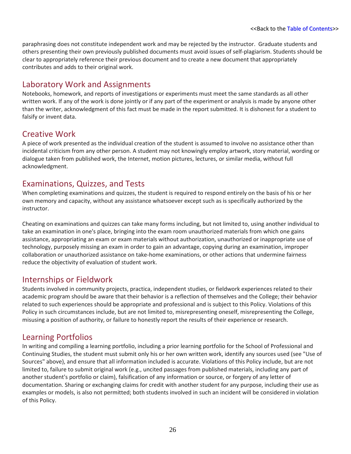paraphrasing does not constitute independent work and may be rejected by the instructor. Graduate students and others presenting their own previously published documents must avoid issues of self-plagiarism. Students should be clear to appropriately reference their previous document and to create a new document that appropriately contributes and adds to their original work.

### <span id="page-29-0"></span>Laboratory Work and Assignments

Notebooks, homework, and reports of investigations or experiments must meet the same standards as all other written work. If any of the work is done jointly or if any part of the experiment or analysis is made by anyone other than the writer, acknowledgment of this fact must be made in the report submitted. It is dishonest for a student to falsify or invent data.

### <span id="page-29-1"></span>Creative Work

A piece of work presented as the individual creation of the student is assumed to involve no assistance other than incidental criticism from any other person. A student may not knowingly employ artwork, story material, wording or dialogue taken from published work, the Internet, motion pictures, lectures, or similar media, without full acknowledgment.

### <span id="page-29-2"></span>Examinations, Quizzes, and Tests

When completing examinations and quizzes, the student is required to respond entirely on the basis of his or her own memory and capacity, without any assistance whatsoever except such as is specifically authorized by the instructor.

Cheating on examinations and quizzes can take many forms including, but not limited to, using another individual to take an examination in one's place, bringing into the exam room unauthorized materials from which one gains assistance, appropriating an exam or exam materials without authorization, unauthorized or inappropriate use of technology, purposely missing an exam in order to gain an advantage, copying during an examination, improper collaboration or unauthorized assistance on take-home examinations, or other actions that undermine fairness reduce the objectivity of evaluation of student work.

### <span id="page-29-3"></span>Internships or Fieldwork

Students involved in community projects, practica, independent studies, or fieldwork experiences related to their academic program should be aware that their behavior is a reflection of themselves and the College; their behavior related to such experiences should be appropriate and professional and is subject to this Policy. Violations of this Policy in such circumstances include, but are not limited to, misrepresenting oneself, misrepresenting the College, misusing a position of authority, or failure to honestly report the results of their experience or research.

### <span id="page-29-4"></span>Learning Portfolios

In writing and compiling a learning portfolio, including a prior learning portfolio for the School of Professional and Continuing Studies, the student must submit only his or her own written work, identify any sources used (see "Use of Sources" above), and ensure that all information included is accurate. Violations of this Policy include, but are not limited to, failure to submit original work (e.g., uncited passages from published materials, including any part of another student's portfolio or claim), falsification of any information or source, or forgery of any letter of documentation. Sharing or exchanging claims for credit with another student for any purpose, including their use as examples or models, is also not permitted; both students involved in such an incident will be considered in violation of this Policy.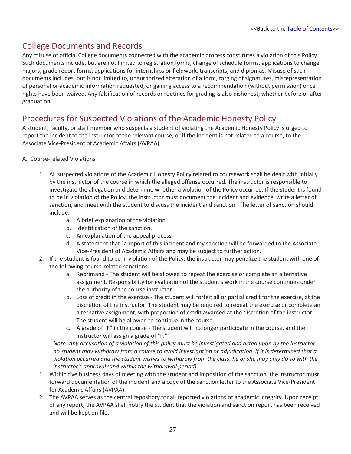### <span id="page-30-0"></span>College Documents and Records

Any misuse of official College documents connected with the academic process constitutes a violation of this Policy. Such documents include, but are not limited to registration forms, change of schedule forms, applications to change majors, grade report forms, applications for internships or fieldwork, transcripts, and diplomas. Misuse of such documents includes, but is not limited to, unauthorized alteration of a form, forging of signatures, misrepresentation of personal or academic information requested, or gaining access to a recommendation (without permission) once rights have been waived. Any falsification of records or routines for grading is also dishonest, whether before or after graduation.

### <span id="page-30-1"></span>Procedures for Suspected Violations of the Academic Honesty Policy

A student, faculty, or staff member who suspects a student of violating the Academic Honesty Policy is urged to report the incident to the instructor of the relevant course, or if the incident is not related to a course, to the Associate Vice-President of Academic Affairs (AVPAA).

### A. Course-related Violations

- 1. All suspected violations of the Academic Honesty Policy related to coursework shall be dealt with initially by the instructor of the course in which the alleged offense occurred. The instructor is responsible to investigate the allegation and determine whether a violation of the Policy occurred. If the student is found to be in violation of the Policy, the instructor must document the incident and evidence, write a letter of sanction, and meet with the student to discuss the incident and sanction. The letter of sanction should include:
	- a. A brief explanation of the violation.
	- b. Identification of the sanction.
	- c. An explanation of the appeal process.
	- d. A statement that "a report of this incident and my sanction will be forwarded to the Associate Vice-President of Academic Affairs and may be subject to further action."
- 2. If the student is found to be in violation of the Policy, the instructor may penalize the student with one of the following course-related sanctions.
	- a. Reprimand The student will be allowed to repeat the exercise or complete an alternative assignment. Responsibility for evaluation of the student's work in the course continues under the authority of the course instructor.
	- b. Loss of credit in the exercise The student will forfeit all or partial credit for the exercise, at the discretion of the instructor. The student may be required to repeat the exercise or complete an alternative assignment, with proportion of credit awarded at the discretion of the instructor. The student will be allowed to continue in the course.
	- c. A grade of "F" in the course The student will no longer participate in the course, and the instructor will assign a grade of "F."

*Note: Any accusation of a violation of this policy must be investigated and acted upon by the instructorno student may withdraw from a course to avoid investigation or adjudication. If it is determined that a violation occurred and the student wishes to withdraw from the class, he or she may only do so with the instructor's approval (and within the withdrawal period).*

- 1. Within five business days of meeting with the student and imposition of the sanction, the instructor must forward documentation of the incident and a copy of the sanction letter to the Associate Vice-President for Academic Affairs (AVPAA).
- 2. The AVPAA serves as the central repository for all reported violations of academic integrity. Upon receipt of any report, the AVPAA shall notify the student that the violation and sanction report has been received and will be kept on file.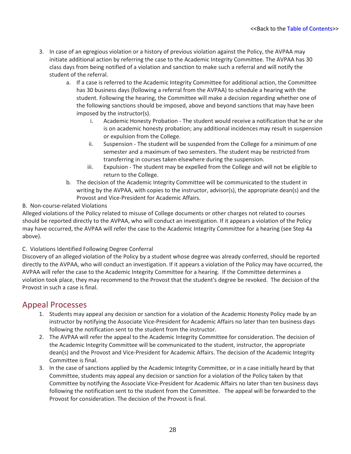- 3. In case of an egregious violation or a history of previous violation against the Policy, the AVPAA may initiate additional action by referring the case to the Academic Integrity Committee. The AVPAA has 30 class days from being notified of a violation and sanction to make such a referral and will notify the student of the referral.
	- a. If a case is referred to the Academic Integrity Committee for additional action, the Committee has 30 business days (following a referral from the AVPAA) to schedule a hearing with the student. Following the hearing, the Committee will make a decision regarding whether one of the following sanctions should be imposed, above and beyond sanctions that may have been imposed by the instructor(s).
		- i. Academic Honesty Probation The student would receive a notification that he or she is on academic honesty probation; any additional incidences may result in suspension or expulsion from the College.
		- ii. Suspension The student will be suspended from the College for a minimum of one semester and a maximum of two semesters. The student may be restricted from transferring in courses taken elsewhere during the suspension.
		- iii. Expulsion The student may be expelled from the College and will not be eligible to return to the College.
	- b. The decision of the Academic Integrity Committee will be communicated to the student in writing by the AVPAA, with copies to the instructor, advisor(s), the appropriate dean(s) and the Provost and Vice-President for Academic Affairs.
- B. Non-course-related Violations

Alleged violations of the Policy related to misuse of College documents or other charges not related to courses should be reported directly to the AVPAA, who will conduct an investigation. If it appears a violation of the Policy may have occurred, the AVPAA will refer the case to the Academic Integrity Committee for a hearing (see Step 4a above).

### C. Violations Identified Following Degree Conferral

Discovery of an alleged violation of the Policy by a student whose degree was already conferred, should be reported directly to the AVPAA, who will conduct an investigation. If it appears a violation of the Policy may have occurred, the AVPAA will refer the case to the Academic Integrity Committee for a hearing. If the Committee determines a violation took place, they may recommend to the Provost that the student's degree be revoked. The decision of the Provost in such a case is final.

### <span id="page-31-0"></span>Appeal Processes

- 1. Students may appeal any decision or sanction for a violation of the Academic Honesty Policy made by an instructor by notifying the Associate Vice-President for Academic Affairs no later than ten business days following the notification sent to the student from the instructor.
- 2. The AVPAA will refer the appeal to the Academic Integrity Committee for consideration. The decision of the Academic Integrity Committee will be communicated to the student, instructor, the appropriate dean(s) and the Provost and Vice-President for Academic Affairs. The decision of the Academic Integrity Committee is final.
- 3. In the case of sanctions applied by the Academic Integrity Committee, or in a case initially heard by that Committee, students may appeal any decision or sanction for a violation of the Policy taken by that Committee by notifying the Associate Vice-President for Academic Affairs no later than ten business days following the notification sent to the student from the Committee. The appeal will be forwarded to the Provost for consideration. The decision of the Provost is final.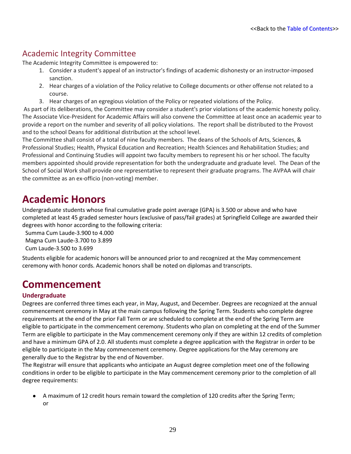### <span id="page-32-0"></span>Academic Integrity Committee

The Academic Integrity Committee is empowered to:

- 1. Consider a student's appeal of an instructor's findings of academic dishonesty or an instructor-imposed sanction.
- 2. Hear charges of a violation of the Policy relative to College documents or other offense not related to a course.
- 3. Hear charges of an egregious violation of the Policy or repeated violations of the Policy.

As part of its deliberations, the Committee may consider a student's prior violations of the academic honesty policy. The Associate Vice-President for Academic Affairs will also convene the Committee at least once an academic year to provide a report on the number and severity of all policy violations. The report shall be distributed to the Provost and to the school Deans for additional distribution at the school level.

The Committee shall consist of a total of nine faculty members. The deans of the Schools of Arts, Sciences, & Professional Studies; Health, Physical Education and Recreation; Health Sciences and Rehabilitation Studies; and Professional and Continuing Studies will appoint two faculty members to represent his or her school. The faculty members appointed should provide representation for both the undergraduate and graduate level. The Dean of the School of Social Work shall provide one representative to represent their graduate programs. The AVPAA will chair the committee as an ex-officio (non-voting) member.

# <span id="page-32-1"></span>**Academic Honors**

Undergraduate students whose final cumulative grade point average (GPA) is 3.500 or above and who have completed at least 45 graded semester hours (exclusive of pass/fail grades) at Springfield College are awarded their degrees with honor according to the following criteria:

Summa Cum Laude-3.900 to 4.000

Magna Cum Laude-3.700 to 3.899

Cum Laude-3.500 to 3.699

Students eligible for academic honors will be announced prior to and recognized at the May commencement ceremony with honor cords. Academic honors shall be noted on diplomas and transcripts.

# <span id="page-32-2"></span>**Commencement**

### **Undergraduate**

Degrees are conferred three times each year, in May, August, and December. Degrees are recognized at the annual commencement ceremony in May at the main campus following the Spring Term. Students who complete degree requirements at the end of the prior Fall Term or are scheduled to complete at the end of the Spring Term are eligible to participate in the commencement ceremony. Students who plan on completing at the end of the Summer Term are eligible to participate in the May commencement ceremony only if they are within 12 credits of completion and have a minimum GPA of 2.0. All students must complete a degree application with the Registrar in order to be eligible to participate in the May commencement ceremony. Degree applications for the May ceremony are generally due to the Registrar by the end of November.

The Registrar will ensure that applicants who anticipate an August degree completion meet one of the following conditions in order to be eligible to participate in the May commencement ceremony prior to the completion of all degree requirements:

A maximum of 12 credit hours remain toward the completion of 120 credits after the Spring Term; or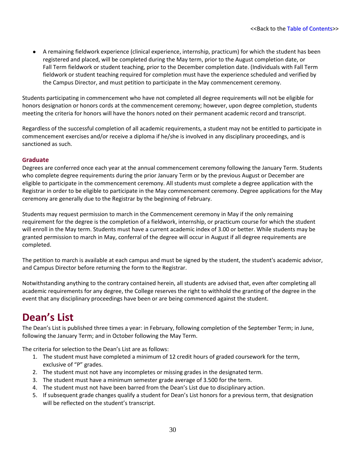A remaining fieldwork experience (clinical experience, internship, practicum) for which the student has been registered and placed, will be completed during the May term, prior to the August completion date, or Fall Term fieldwork or student teaching, prior to the December completion date. (Individuals with Fall Term fieldwork or student teaching required for completion must have the experience scheduled and verified by the Campus Director, and must petition to participate in the May commencement ceremony.

Students participating in commencement who have not completed all degree requirements will not be eligible for honors designation or honors cords at the commencement ceremony; however, upon degree completion, students meeting the criteria for honors will have the honors noted on their permanent academic record and transcript.

Regardless of the successful completion of all academic requirements, a student may not be entitled to participate in commencement exercises and/or receive a diploma if he/she is involved in any disciplinary proceedings, and is sanctioned as such.

### **Graduate**

Degrees are conferred once each year at the annual commencement ceremony following the January Term. Students who complete degree requirements during the prior January Term or by the previous August or December are eligible to participate in the commencement ceremony. All students must complete a degree application with the Registrar in order to be eligible to participate in the May commencement ceremony. Degree applications for the May ceremony are generally due to the Registrar by the beginning of February.

Students may request permission to march in the Commencement ceremony in May if the only remaining requirement for the degree is the completion of a fieldwork, internship, or practicum course for which the student will enroll in the May term. Students must have a current academic index of 3.00 or better. While students may be granted permission to march in May, conferral of the degree will occur in August if all degree requirements are completed.

The petition to march is available at each campus and must be signed by the student, the student's academic advisor, and Campus Director before returning the form to the Registrar.

Notwithstanding anything to the contrary contained herein, all students are advised that, even after completing all academic requirements for any degree, the College reserves the right to withhold the granting of the degree in the event that any disciplinary proceedings have been or are being commenced against the student.

# <span id="page-33-0"></span>**Dean's List**

The Dean's List is published three times a year: in February, following completion of the September Term; in June, following the January Term; and in October following the May Term.

The criteria for selection to the Dean's List are as follows:

- 1. The student must have completed a minimum of 12 credit hours of graded coursework for the term, exclusive of "P" grades.
- 2. The student must not have any incompletes or missing grades in the designated term.
- 3. The student must have a minimum semester grade average of 3.500 for the term.
- 4. The student must not have been barred from the Dean's List due to disciplinary action.
- 5. If subsequent grade changes qualify a student for Dean's List honors for a previous term, that designation will be reflected on the student's transcript.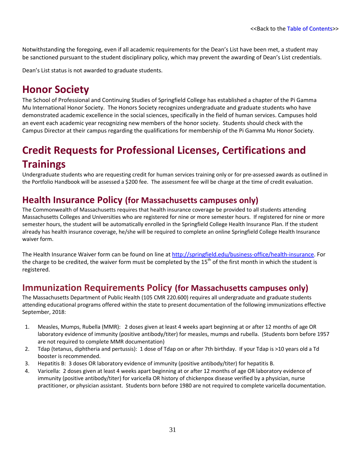Notwithstanding the foregoing, even if all academic requirements for the Dean's List have been met, a student may be sanctioned pursuant to the student disciplinary policy, which may prevent the awarding of Dean's List credentials.

Dean's List status is not awarded to graduate students.

# <span id="page-34-0"></span>**Honor Society**

The School of Professional and Continuing Studies of Springfield College has established a chapter of the Pi Gamma Mu International Honor Society. The Honors Society recognizes undergraduate and graduate students who have demonstrated academic excellence in the social sciences, specifically in the field of human services. Campuses hold an event each academic year recognizing new members of the honor society. Students should check with the Campus Director at their campus regarding the qualifications for membership of the Pi Gamma Mu Honor Society.

# <span id="page-34-1"></span>**Credit Requests for Professional Licenses, Certifications and Trainings**

Undergraduate students who are requesting credit for human services training only or for pre-assessed awards as outlined in the Portfolio Handbook will be assessed a \$200 fee. The assessment fee will be charge at the time of credit evaluation.

### <span id="page-34-2"></span>**Health Insurance Policy (for Massachusetts campuses only)**

The Commonwealth of Massachusetts requires that health insurance coverage be provided to all students attending Massachusetts Colleges and Universities who are registered for nine or more semester hours. If registered for nine or more semester hours, the student will be automatically enrolled in the Springfield College Health Insurance Plan. If the student already has health insurance coverage, he/she will be required to complete an online Springfield College Health Insurance waiver form.

The Health Insurance Waiver form can be found on line at [http://springfield.edu/business-office/health-insurance.](http://springfield.edu/business-office/health-insurance) For the charge to be credited, the waiver form must be completed by the 15<sup>th</sup> of the first month in which the student is registered.

### <span id="page-34-3"></span>**Immunization Requirements Policy (for Massachusetts campuses only)**

The Massachusetts Department of Public Health (105 CMR 220.600) requires all undergraduate and graduate students attending educational programs offered within the state to present documentation of the following immunizations effective September, 2018:

- 1. Measles, Mumps, Rubella (MMR): 2 doses given at least 4 weeks apart beginning at or after 12 months of age OR laboratory evidence of immunity (positive antibody/titer) for measles, mumps and rubella. (Students born before 1957 are not required to complete MMR documentation)
- 2. Tdap (tetanus, diphtheria and pertussis): 1 dose of Tdap on or after 7th birthday. If your Tdap is >10 years old a Td booster is recommended.
- 3. Hepatitis B: 3 doses OR laboratory evidence of immunity (positive antibody/titer) for hepatitis B.
- 4. Varicella: 2 doses given at least 4 weeks apart beginning at or after 12 months of age OR laboratory evidence of immunity (positive antibody/titer) for varicella OR history of chickenpox disease verified by a physician, nurse practitioner, or physician assistant. Students born before 1980 are not required to complete varicella documentation.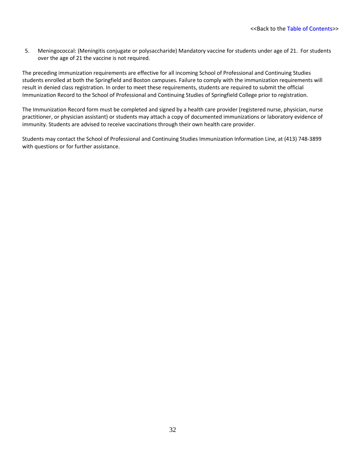5. Meningococcal: (Meningitis conjugate or polysaccharide) Mandatory vaccine for students under age of 21. For students over the age of 21 the vaccine is not required.

The preceding immunization requirements are effective for all incoming School of Professional and Continuing Studies students enrolled at both the Springfield and Boston campuses. Failure to comply with the immunization requirements will result in denied class registration. In order to meet these requirements, students are required to submit the official Immunization Record to the School of Professional and Continuing Studies of Springfield College prior to registration.

The Immunization Record form must be completed and signed by a health care provider (registered nurse, physician, nurse practitioner, or physician assistant) or students may attach a copy of documented immunizations or laboratory evidence of immunity. Students are advised to receive vaccinations through their own health care provider.

Students may contact the School of Professional and Continuing Studies Immunization Information Line, at (413) 748-3899 with questions or for further assistance.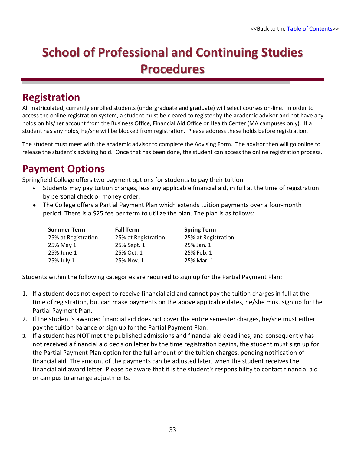# **School of Professional and Continuing Studies Procedures**

# **Registration**

All matriculated, currently enrolled students (undergraduate and graduate) will select courses on-line. In order to access the online registration system, a student must be cleared to register by the academic advisor and not have any holds on his/her account from the Business Office, Financial Aid Office or Health Center (MA campuses only). If a student has any holds, he/she will be blocked from registration. Please address these holds before registration.

The student must meet with the academic advisor to complete the Advising Form. The advisor then will go online to release the student's advising hold. Once that has been done, the student can access the online registration process.

# **Payment Options**

Springfield College offers two payment options for students to pay their tuition:

- Students may pay tuition charges, less any applicable financial aid, in full at the time of registration by personal check or money order.
- The College offers a Partial Payment Plan which extends tuition payments over a four-month period. There is a \$25 fee per term to utilize the plan. The plan is as follows:

| <b>Summer Term</b>  | <b>Fall Term</b>    | <b>Spring Term</b>  |
|---------------------|---------------------|---------------------|
| 25% at Registration | 25% at Registration | 25% at Registration |
| 25% May 1           | 25% Sept. 1         | 25% Jan. 1          |
| 25% June 1          | 25% Oct. 1          | 25% Feb. 1          |
| 25% July 1          | 25% Nov. 1          | 25% Mar. 1          |

Students within the following categories are required to sign up for the Partial Payment Plan:

- 1. If a student does not expect to receive financial aid and cannot pay the tuition charges in full at the time of registration, but can make payments on the above applicable dates, he/she must sign up for the Partial Payment Plan.
- 2. If the student's awarded financial aid does not cover the entire semester charges, he/she must either pay the tuition balance or sign up for the Partial Payment Plan.
- 3. If a student has NOT met the published admissions and financial aid deadlines, and consequently has not received a financial aid decision letter by the time registration begins, the student must sign up for the Partial Payment Plan option for the full amount of the tuition charges, pending notification of financial aid. The amount of the payments can be adjusted later, when the student receives the financial aid award letter. Please be aware that it is the student's responsibility to contact financial aid or campus to arrange adjustments.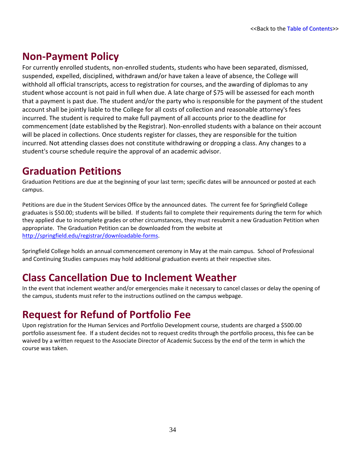# **Non-Payment Policy**

For currently enrolled students, non-enrolled students, students who have been separated, dismissed, suspended, expelled, disciplined, withdrawn and/or have taken a leave of absence, the College will withhold all official transcripts, access to registration for courses, and the awarding of diplomas to any student whose account is not paid in full when due. A late charge of \$75 will be assessed for each month that a payment is past due. The student and/or the party who is responsible for the payment of the student account shall be jointly liable to the College for all costs of collection and reasonable attorney's fees incurred. The student is required to make full payment of all accounts prior to the deadline for commencement (date established by the Registrar). Non-enrolled students with a balance on their account will be placed in collections. Once students register for classes, they are responsible for the tuition incurred. Not attending classes does not constitute withdrawing or dropping a class. Any changes to a student's course schedule require the approval of an academic advisor.

# **Graduation Petitions**

Graduation Petitions are due at the beginning of your last term; specific dates will be announced or posted at each campus.

Petitions are due in the Student Services Office by the announced dates. The current fee for Springfield College graduates is \$50.00; students will be billed. If students fail to complete their requirements during the term for which they applied due to incomplete grades or other circumstances, they must resubmit a new Graduation Petition when appropriate. The Graduation Petition can be downloaded from the website at [http://springfield.edu/registrar/downloadable-forms.](http://springfield.edu/registrar/downloadable-forms)

Springfield College holds an annual commencement ceremony in May at the main campus. School of Professional and Continuing Studies campuses may hold additional graduation events at their respective sites.

# **Class Cancellation Due to Inclement Weather**

In the event that inclement weather and/or emergencies make it necessary to cancel classes or delay the opening of the campus, students must refer to the instructions outlined on the campus webpage.

# **Request for Refund of Portfolio Fee**

Upon registration for the Human Services and Portfolio Development course, students are charged a \$500.00 portfolio assessment fee. If a student decides not to request credits through the portfolio process, this fee can be waived by a written request to the Associate Director of Academic Success by the end of the term in which the course was taken.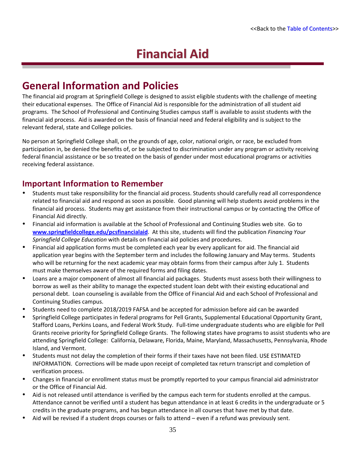# **Financial Aid**

## **General Information and Policies**

The financial aid program at Springfield College is designed to assist eligible students with the challenge of meeting their educational expenses. The Office of Financial Aid is responsible for the administration of all student aid programs. The School of Professional and Continuing Studies campus staff is available to assist students with the financial aid process. Aid is awarded on the basis of financial need and federal eligibility and is subject to the relevant federal, state and College policies.

No person at Springfield College shall, on the grounds of age, color, national origin, or race, be excluded from participation in, be denied the benefits of, or be subjected to discrimination under any program or activity receiving federal financial assistance or be so treated on the basis of gender under most educational programs or activities receiving federal assistance.

### **Important Information to Remember**

- Students must take responsibility for the financial aid process. Students should carefully read all correspondence related to financial aid and respond as soon as possible. Good planning will help students avoid problems in the financial aid process. Students may get assistance from their instructional campus or by contacting the Office of Financial Aid directly.
- Financial aid information is available at the School of Professional and Continuing Studies web site. Go to **[www.springfieldcollege.edu/pcsfinancialaid](http://www.springfieldcollege.edu/pcsfinancialaid)**. At this site, students will find the publication *Financing Your Springfield College Education* with details on financial aid policies and procedures.
- Financial aid application forms must be completed each year by every applicant for aid. The financial aid application year begins with the September term and includes the following January and May terms. Students who will be returning for the next academic year may obtain forms from their campus after July 1. Students must make themselves aware of the required forms and filing dates.
- Loans are a major component of almost all financial aid packages. Students must assess both their willingness to borrow as well as their ability to manage the expected student loan debt with their existing educational and personal debt. Loan counseling is available from the Office of Financial Aid and each School of Professional and Continuing Studies campus.
- Students need to complete 2018/2019 FAFSA and be accepted for admission before aid can be awarded
- Springfield College participates in federal programs for Pell Grants, Supplemental Educational Opportunity Grant, Stafford Loans, Perkins Loans, and Federal Work Study. Full-time undergraduate students who are eligible for Pell Grants receive priority for Springfield College Grants. The following states have programs to assist students who are attending Springfield College: California, Delaware, Florida, Maine, Maryland, Massachusetts, Pennsylvania, Rhode Island, and Vermont.
- Students must not delay the completion of their forms if their taxes have not been filed. USE ESTIMATED INFORMATION. Corrections will be made upon receipt of completed tax return transcript and completion of verification process.
- Changes in financial or enrollment status must be promptly reported to your campus financial aid administrator or the Office of Financial Aid.
- Aid is not released until attendance is verified by the campus each term for students enrolled at the campus. Attendance cannot be verified until a student has begun attendance in at least 6 credits in the undergraduate or 5 credits in the graduate programs, and has begun attendance in all courses that have met by that date.
- Aid will be revised if a student drops courses or fails to attend even if a refund was previously sent.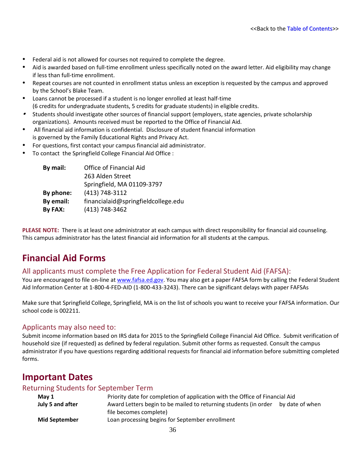- Federal aid is not allowed for courses not required to complete the degree.
- Aid is awarded based on full-time enrollment unless specifically noted on the award letter. Aid eligibility may change if less than full-time enrollment.
- Repeat courses are not counted in enrollment status unless an exception is requested by the campus and approved by the School's Blake Team.
- Loans cannot be processed if a student is no longer enrolled at least half-time (6 credits for undergraduate students, 5 credits for graduate students) in eligible credits.
- Students should investigate other sources of financial support (employers, state agencies, private scholarship organizations). Amounts received must be reported to the Office of Financial Aid.
- All financial aid information is confidential. Disclosure of student financial information is governed by the Family Educational Rights and Privacy Act.
- For questions, first contact your campus financial aid administrator.
- To contact the Springfield College Financial Aid Office :

| By mail:  | Office of Financial Aid             |
|-----------|-------------------------------------|
|           | 263 Alden Street                    |
|           | Springfield, MA 01109-3797          |
| By phone: | (413) 748-3112                      |
| By email: | financialaid@springfieldcollege.edu |
| By FAX:   | (413) 748-3462                      |

**PLEASE NOTE:** There is at least one administrator at each campus with direct responsibility for financial aid counseling. This campus administrator has the latest financial aid information for all students at the campus.

### **Financial Aid Forms**

#### All applicants must complete the Free Application for Federal Student Aid (FAFSA):

You are encouraged to file on-line a[t www.fafsa.ed.gov.](http://www.fafsa.ed.gov/) You may also get a paper FAFSA form by calling the Federal Student Aid Information Center at 1-800-4-FED-AID (1-800-433-3243). There can be significant delays with paper FAFSAs

Make sure that Springfield College, Springfield, MA is on the list of schools you want to receive your FAFSA information. Our school code is 002211.

#### Applicants may also need to:

Submit income information based on IRS data for 2015 to the Springfield College Financial Aid Office. Submit verification of household size (if requested) as defined by federal regulation. Submit other forms as requested. Consult the campus administrator if you have questions regarding additional requests for financial aid information before submitting completed forms.

### **Important Dates**

#### Returning Students for September Term

| May $1$              | Priority date for completion of application with the Office of Financial Aid |                 |
|----------------------|------------------------------------------------------------------------------|-----------------|
| July 5 and after     | Award Letters begin to be mailed to returning students (in order             | by date of when |
|                      | file becomes complete)                                                       |                 |
| <b>Mid September</b> | Loan processing begins for September enrollment                              |                 |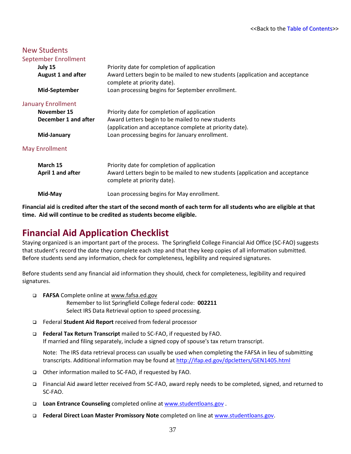| <b>New Students</b>       |                                                                                                             |
|---------------------------|-------------------------------------------------------------------------------------------------------------|
| September Enrollment      |                                                                                                             |
| July 15                   | Priority date for completion of application                                                                 |
| <b>August 1 and after</b> | Award Letters begin to be mailed to new students (application and acceptance<br>complete at priority date). |
| <b>Mid-September</b>      | Loan processing begins for September enrollment.                                                            |
| <b>January Enrollment</b> |                                                                                                             |
| November 15               | Priority date for completion of application                                                                 |
| December 1 and after      | Award Letters begin to be mailed to new students                                                            |
|                           | (application and acceptance complete at priority date).                                                     |
| Mid-January               | Loan processing begins for January enrollment.                                                              |
| <b>May Enrollment</b>     |                                                                                                             |
| March 15                  | Priority date for completion of application                                                                 |
| April 1 and after         | Award Letters begin to be mailed to new students (application and acceptance<br>complete at priority date). |
| Mid-May                   | Loan processing begins for May enrollment.                                                                  |

**Financial aid is credited after the start of the second month of each term for all students who are eligible at that time. Aid will continue to be credited as students become eligible.**

### **Financial Aid Application Checklist**

Staying organized is an important part of the process. The Springfield College Financial Aid Office (SC-FAO) suggests that student's record the date they complete each step and that they keep copies of all information submitted. Before students send any information, check for completeness, legibility and required signatures.

Before students send any financial aid information they should, check for completeness, legibility and required signatures.

- **FAFSA** Complete online at www.fafsa.ed.gov Remember to list Springfield College federal code: **002211** Select IRS Data Retrieval option to speed processing.
- Federal **Student Aid Report** received from federal processor
- **Federal Tax Return Transcript** mailed to SC-FAO, if requested by FAO. If married and filing separately, include a signed copy of spouse's tax return transcript.

Note: The IRS data retrieval process can usually be used when completing the FAFSA in lieu of submitting transcripts. Additional information may be found a[t http://ifap.ed.gov/dpcletters/GEN1405.html](http://ifap.ed.gov/dpcletters/GEN1405.html)

- Other information mailed to SC-FAO, if requested by FAO.
- Financial Aid award letter received from SC-FAO, award reply needs to be completed, signed, and returned to SC-FAO.
- **Loan Entrance Counseling** completed online at [www.studentloans.gov](http://www.studentloans.gov/) .
- **Federal Direct Loan Master Promissory Note** completed on line at [www.studentloans.gov.](http://www.studentloans.gov/)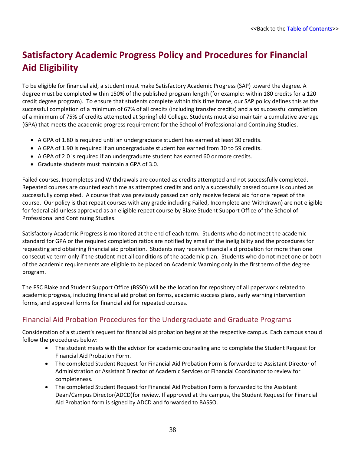# **Satisfactory Academic Progress Policy and Procedures for Financial Aid Eligibility**

To be eligible for financial aid, a student must make Satisfactory Academic Progress (SAP) toward the degree. A degree must be completed within 150% of the published program length (for example: within 180 credits for a 120 credit degree program). To ensure that students complete within this time frame, our SAP policy defines this as the successful completion of a minimum of 67% of all credits (including transfer credits) and also successful completion of a minimum of 75% of credits attempted at Springfield College. Students must also maintain a cumulative average (GPA) that meets the academic progress requirement for the School of Professional and Continuing Studies.

- A GPA of 1.80 is required until an undergraduate student has earned at least 30 credits.
- A GPA of 1.90 is required if an undergraduate student has earned from 30 to 59 credits.
- A GPA of 2.0 is required if an undergraduate student has earned 60 or more credits.
- Graduate students must maintain a GPA of 3.0.

Failed courses, Incompletes and Withdrawals are counted as credits attempted and not successfully completed. Repeated courses are counted each time as attempted credits and only a successfully passed course is counted as successfully completed. A course that was previously passed can only receive federal aid for one repeat of the course. Our policy is that repeat courses with any grade including Failed, Incomplete and Withdrawn) are not eligible for federal aid unless approved as an eligible repeat course by Blake Student Support Office of the School of Professional and Continuing Studies.

Satisfactory Academic Progress is monitored at the end of each term. Students who do not meet the academic standard for GPA or the required completion ratios are notified by email of the ineligibility and the procedures for requesting and obtaining financial aid probation. Students may receive financial aid probation for more than one consecutive term only if the student met all conditions of the academic plan. Students who do not meet one or both of the academic requirements are eligible to be placed on Academic Warning only in the first term of the degree program.

The PSC Blake and Student Support Office (BSSO) will be the location for repository of all paperwork related to academic progress, including financial aid probation forms, academic success plans, early warning intervention forms, and approval forms for financial aid for repeated courses.

### Financial Aid Probation Procedures for the Undergraduate and Graduate Programs

Consideration of a student's request for financial aid probation begins at the respective campus. Each campus should follow the procedures below:

- The student meets with the advisor for academic counseling and to complete the Student Request for Financial Aid Probation Form.
- The completed Student Request for Financial Aid Probation Form is forwarded to Assistant Director of Administration or Assistant Director of Academic Services or Financial Coordinator to review for completeness.
- The completed Student Request for Financial Aid Probation Form is forwarded to the Assistant Dean/Campus Director(ADCD)for review. If approved at the campus, the Student Request for Financial Aid Probation form is signed by ADCD and forwarded to BASSO.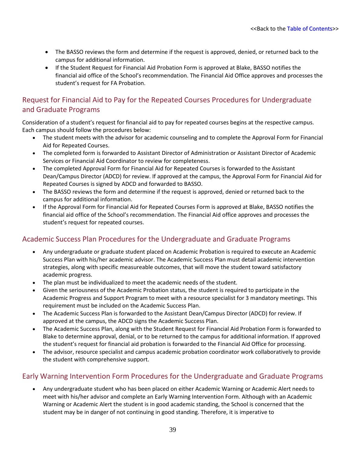- The BASSO reviews the form and determine if the request is approved, denied, or returned back to the campus for additional information.
- If the Student Request for Financial Aid Probation Form is approved at Blake, BASSO notifies the financial aid office of the School's recommendation. The Financial Aid Office approves and processes the student's request for FA Probation.

### Request for Financial Aid to Pay for the Repeated Courses Procedures for Undergraduate and Graduate Programs

Consideration of a student's request for financial aid to pay for repeated courses begins at the respective campus. Each campus should follow the procedures below:

- The student meets with the advisor for academic counseling and to complete the Approval Form for Financial Aid for Repeated Courses.
- The completed form is forwarded to Assistant Director of Administration or Assistant Director of Academic Services or Financial Aid Coordinator to review for completeness.
- The completed Approval Form for Financial Aid for Repeated Courses is forwarded to the Assistant Dean/Campus Director (ADCD) for review. If approved at the campus, the Approval Form for Financial Aid for Repeated Courses is signed by ADCD and forwarded to BASSO.
- The BASSO reviews the form and determine if the request is approved, denied or returned back to the campus for additional information.
- If the Approval Form for Financial Aid for Repeated Courses Form is approved at Blake, BASSO notifies the financial aid office of the School's recommendation. The Financial Aid office approves and processes the student's request for repeated courses.

### Academic Success Plan Procedures for the Undergraduate and Graduate Programs

- Any undergraduate or graduate student placed on Academic Probation is required to execute an Academic Success Plan with his/her academic advisor. The Academic Success Plan must detail academic intervention strategies, along with specific measureable outcomes, that will move the student toward satisfactory academic progress.
- The plan must be individualized to meet the academic needs of the student.
- Given the seriousness of the Academic Probation status, the student is required to participate in the Academic Progress and Support Program to meet with a resource specialist for 3 mandatory meetings. This requirement must be included on the Academic Success Plan.
- The Academic Success Plan is forwarded to the Assistant Dean/Campus Director (ADCD) for review. If approved at the campus, the ADCD signs the Academic Success Plan.
- The Academic Success Plan, along with the Student Request for Financial Aid Probation Form is forwarded to Blake to determine approval, denial, or to be returned to the campus for additional information. If approved the student's request for financial aid probation is forwarded to the Financial Aid Office for processing.
- The advisor, resource specialist and campus academic probation coordinator work collaboratively to provide the student with comprehensive support.

### Early Warning Intervention Form Procedures for the Undergraduate and Graduate Programs

• Any undergraduate student who has been placed on either Academic Warning or Academic Alert needs to meet with his/her advisor and complete an Early Warning Intervention Form. Although with an Academic Warning or Academic Alert the student is in good academic standing, the School is concerned that the student may be in danger of not continuing in good standing. Therefore, it is imperative to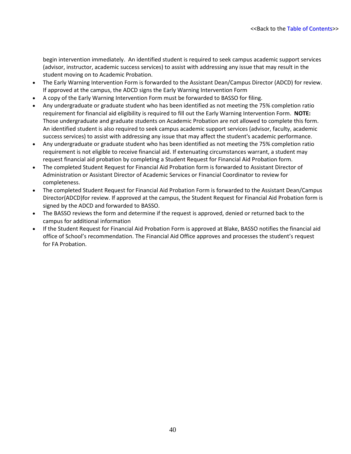begin intervention immediately. An identified student is required to seek campus academic support services (advisor, instructor, academic success services) to assist with addressing any issue that may result in the student moving on to Academic Probation.

- The Early Warning Intervention Form is forwarded to the Assistant Dean/Campus Director (ADCD) for review. If approved at the campus, the ADCD signs the Early Warning Intervention Form
- A copy of the Early Warning Intervention Form must be forwarded to BASSO for filing.
- Any undergraduate or graduate student who has been identified as not meeting the 75% completion ratio requirement for financial aid eligibility is required to fill out the Early Warning Intervention Form. **NOTE:**  Those undergraduate and graduate students on Academic Probation are not allowed to complete this form. An identified student is also required to seek campus academic support services (advisor, faculty, academic success services) to assist with addressing any issue that may affect the student's academic performance.
- Any undergraduate or graduate student who has been identified as not meeting the 75% completion ratio requirement is not eligible to receive financial aid. If extenuating circumstances warrant, a student may request financial aid probation by completing a Student Request for Financial Aid Probation form.
- The completed Student Request for Financial Aid Probation form is forwarded to Assistant Director of Administration or Assistant Director of Academic Services or Financial Coordinator to review for completeness.
- The completed Student Request for Financial Aid Probation Form is forwarded to the Assistant Dean/Campus Director(ADCD)for review. If approved at the campus, the Student Request for Financial Aid Probation form is signed by the ADCD and forwarded to BASSO.
- The BASSO reviews the form and determine if the request is approved, denied or returned back to the campus for additional information
- If the Student Request for Financial Aid Probation Form is approved at Blake, BASSO notifies the financial aid office of School's recommendation. The Financial Aid Office approves and processes the student's request for FA Probation.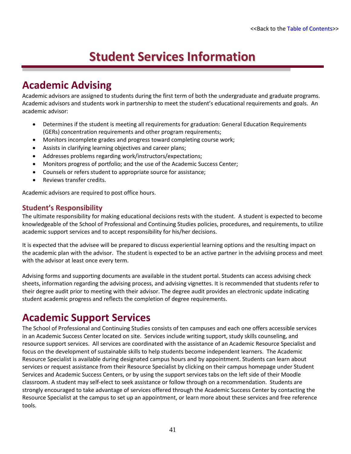# **Student Services Information**

# **Academic Advising**

Academic advisors are assigned to students during the first term of both the undergraduate and graduate programs. Academic advisors and students work in partnership to meet the student's educational requirements and goals. An academic advisor:

- Determines if the student is meeting all requirements for graduation: General Education Requirements (GERs) concentration requirements and other program requirements;
- Monitors incomplete grades and progress toward completing course work;
- Assists in clarifying learning objectives and career plans;
- Addresses problems regarding work/instructors/expectations;
- Monitors progress of portfolio; and the use of the Academic Success Center;
- Counsels or refers student to appropriate source for assistance;
- Reviews transfer credits.

Academic advisors are required to post office hours.

#### **Student's Responsibility**

The ultimate responsibility for making educational decisions rests with the student. A student is expected to become knowledgeable of the School of Professional and Continuing Studies policies, procedures, and requirements, to utilize academic support services and to accept responsibility for his/her decisions.

It is expected that the advisee will be prepared to discuss experiential learning options and the resulting impact on the academic plan with the advisor. The student is expected to be an active partner in the advising process and meet with the advisor at least once every term.

Advising forms and supporting documents are available in the student portal. Students can access advising check sheets, information regarding the advising process, and advising vignettes. It is recommended that students refer to their degree audit prior to meeting with their advisor. The degree audit provides an electronic update indicating student academic progress and reflects the completion of degree requirements.

# **Academic Support Services**

The School of Professional and Continuing Studies consists of ten campuses and each one offers accessible services in an Academic Success Center located on site. Services include writing support, study skills counseling, and resource support services. All services are coordinated with the assistance of an Academic Resource Specialist and focus on the development of sustainable skills to help students become independent learners. The Academic Resource Specialist is available during designated campus hours and by appointment. Students can learn about services or request assistance from their Resource Specialist by clicking on their campus homepage under Student Services and Academic Success Centers, or by using the support services tabs on the left side of their Moodle classroom. A student may self-elect to seek assistance or follow through on a recommendation. Students are strongly encouraged to take advantage of services offered through the Academic Success Center by contacting the Resource Specialist at the campus to set up an appointment, or learn more about these services and free reference tools.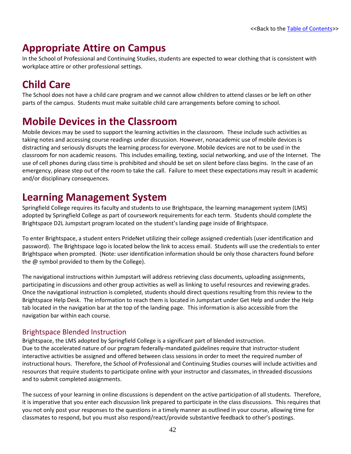# **Appropriate Attire on Campus**

In the School of Professional and Continuing Studies, students are expected to wear clothing that is consistent with workplace attire or other professional settings.

# **Child Care**

The School does not have a child care program and we cannot allow children to attend classes or be left on other parts of the campus. Students must make suitable child care arrangements before coming to school.

# **Mobile Devices in the Classroom**

Mobile devices may be used to support the learning activities in the classroom. These include such activities as taking notes and accessing course readings under discussion. However, nonacademic use of mobile devices is distracting and seriously disrupts the learning process for everyone. Mobile devices are not to be used in the classroom for non academic reasons. This includes emailing, texting, social networking, and use of the Internet. The use of cell phones during class time is prohibited and should be set on silent before class begins. In the case of an emergency, please step out of the room to take the call. Failure to meet these expectations may result in academic and/or disciplinary consequences.

# **Learning Management System**

Springfield College requires its faculty and students to use Brightspace, the learning management system (LMS) adopted by Springfield College as part of coursework requirements for each term. Students should complete the Brightspace D2L Jumpstart program located on the student's landing page inside of Brightspace.

To enter Brightspace, a student enters PrideNet utilizing their college assigned credentials (user identification and password). The Brightspace logo is located below the link to access email. Students will use the credentials to enter Brightspace when prompted. (Note: user identification information should be only those characters found before the @ symbol provided to them by the College).

The navigational instructions within Jumpstart will address retrieving class documents, uploading assignments, participating in discussions and other group activities as well as linking to useful resources and reviewing grades. Once the navigational instruction is completed, students should direct questions resulting from this review to the Brightspace Help Desk. The information to reach them is located in Jumpstart under Get Help and under the Help tab located in the navigation bar at the top of the landing page. This information is also accessible from the navigation bar within each course.

### Brightspace Blended Instruction

Brightspace, the LMS adopted by Springfield College is a significant part of blended instruction. Due to the accelerated nature of our program federally-mandated guidelines require that instructor-student interactive activities be assigned and offered between class sessions in order to meet the required number of instructional hours. Therefore, the School of Professional and Continuing Studies courses will include activities and resources that require students to participate online with your instructor and classmates, in threaded discussions and to submit completed assignments.

The success of your learning in online discussions is dependent on the active participation of all students. Therefore, it is imperative that you enter each discussion link prepared to participate in the class discussions. This requires that you not only post your responses to the questions in a timely manner as outlined in your course, allowing time for classmates to respond, but you must also respond/react/provide substantive feedback to other's postings.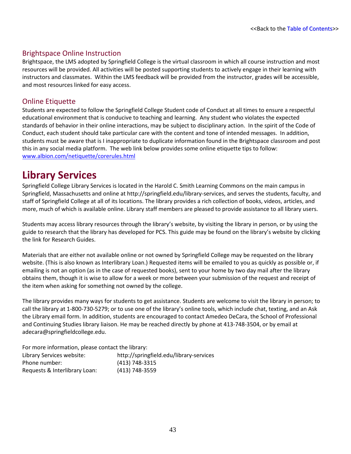#### Brightspace Online Instruction

Brightspace, the LMS adopted by Springfield College is the virtual classroom in which all course instruction and most resources will be provided. All activities will be posted supporting students to actively engage in their learning with instructors and classmates. Within the LMS feedback will be provided from the instructor, grades will be accessible, and most resources linked for easy access.

### Online Etiquette

Students are expected to follow the Springfield College Student code of Conduct at all times to ensure a respectful educational environment that is conducive to teaching and learning. Any student who violates the expected standards of behavior in their online interactions, may be subject to disciplinary action. In the spirit of the Code of Conduct, each student should take particular care with the content and tone of intended messages. In addition, students must be aware that is I inappropriate to duplicate information found in the Brightspace classroom and post this in any social media platform. The web link below provides some online etiquette tips to follow: [www.albion.com/netiquette/corerules.html](http://www.albion.com/netiquette/corerules.html)

### **Library Services**

Springfield College Library Services is located in the Harold C. Smith Learning Commons on the main campus in Springfield, Massachusetts and online at http://springfield.edu/library-services, and serves the students, faculty, and staff of Springfield College at all of its locations. The library provides a rich collection of books, videos, articles, and more, much of which is available online. Library staff members are pleased to provide assistance to all library users.

Students may access library resources through the library's website, by visiting the library in person, or by using the guide to research that the library has developed for PCS. This guide may be found on the library's website by clicking the link for Research Guides.

Materials that are either not available online or not owned by Springfield College may be requested on the library website. (This is also known as Interlibrary Loan.) Requested items will be emailed to you as quickly as possible or, if emailing is not an option (as in the case of requested books), sent to your home by two day mail after the library obtains them, though it is wise to allow for a week or more between your submission of the request and receipt of the item when asking for something not owned by the college.

The library provides many ways for students to get assistance. Students are welcome to visit the library in person; to call the library at 1-800-730-5279; or to use one of the library's online tools, which include chat, texting, and an Ask the Library email form. In addition, students are encouraged to contact Amedeo DeCara, the School of Professional and Continuing Studies library liaison. He may be reached directly by phone at 413-748-3504, or by email at adecara@springfieldcollege.edu.

| For more information, please contact the library: |                                         |  |  |  |
|---------------------------------------------------|-----------------------------------------|--|--|--|
| Library Services website:                         | http://springfield.edu/library-services |  |  |  |
| Phone number:                                     | (413) 748-3315                          |  |  |  |
| Requests & Interlibrary Loan:                     | (413) 748-3559                          |  |  |  |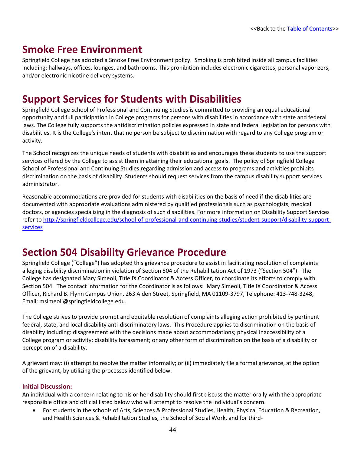# **Smoke Free Environment**

Springfield College has adopted a Smoke Free Environment policy. Smoking is prohibited inside all campus facilities including: hallways, offices, lounges, and bathrooms. This prohibition includes electronic cigarettes, personal vaporizers, and/or electronic nicotine delivery systems.

## **Support Services for Students with Disabilities**

Springfield College School of Professional and Continuing Studies is committed to providing an equal educational opportunity and full participation in College programs for persons with disabilities in accordance with state and federal laws. The College fully supports the antidiscrimination policies expressed in state and federal legislation for persons with disabilities. It is the College's intent that no person be subject to discrimination with regard to any College program or activity.

The School recognizes the unique needs of students with disabilities and encourages these students to use the support services offered by the College to assist them in attaining their educational goals. The policy of Springfield College School of Professional and Continuing Studies regarding admission and access to programs and activities prohibits discrimination on the basis of disability. Students should request services from the campus disability support services administrator.

Reasonable accommodations are provided for students with disabilities on the basis of need if the disabilities are documented with appropriate evaluations administered by qualified professionals such as psychologists, medical doctors, or agencies specializing in the diagnosis of such disabilities. For more information on Disability Support Services refer to [http://springfieldcollege.edu/school-of-professional-and-continuing-studies/student-support/disability-support](http://springfieldcollege.edu/school-of-professional-and-continuing-studies/student-support/disability-support-services)[services](http://springfieldcollege.edu/school-of-professional-and-continuing-studies/student-support/disability-support-services)

## **Section 504 Disability Grievance Procedure**

Springfield College ("College") has adopted this grievance procedure to assist in facilitating resolution of complaints alleging disability discrimination in violation of Section 504 of the Rehabilitation Act of 1973 ("Section 504"). The College has designated Mary Simeoli, Title IX Coordinator & Access Officer, to coordinate its efforts to comply with Section 504. The contact information for the Coordinator is as follows: Mary Simeoli, Title IX Coordinator & Access Officer, Richard B. Flynn Campus Union, 263 Alden Street, Springfield, MA 01109-3797, Telephone: 413-748-3248, Email: msimeoli@springfieldcollege.edu.

The College strives to provide prompt and equitable resolution of complaints alleging action prohibited by pertinent federal, state, and local disability anti-discriminatory laws. This Procedure applies to discrimination on the basis of disability including: disagreement with the decisions made about accommodations; physical inaccessibility of a College program or activity; disability harassment; or any other form of discrimination on the basis of a disability or perception of a disability.

A grievant may: (i) attempt to resolve the matter informally; or (ii) immediately file a formal grievance, at the option of the grievant, by utilizing the processes identified below.

#### **Initial Discussion:**

An individual with a concern relating to his or her disability should first discuss the matter orally with the appropriate responsible office and official listed below who will attempt to resolve the individual's concern.

• For students in the schools of Arts, Sciences & Professional Studies, Health, Physical Education & Recreation, and Health Sciences & Rehabilitation Studies, the School of Social Work, and for third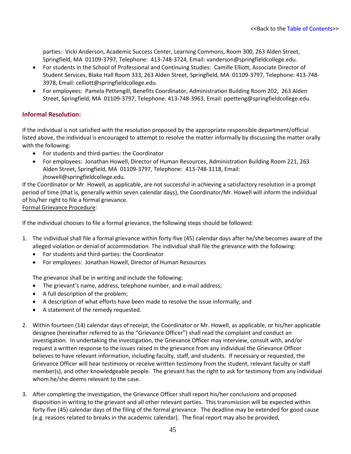parties: Vicki Anderson, Academic Success Center, Learning Commons, Room 300, 263 Alden Street, Springfield, MA 01109-3797, Telephone: 413-748-3724, Email: vanderson@springfieldcollege.edu.

- For students in the School of Professional and Continuing Studies: Camille Elliott, Associate Director of Student Services, Blake Hall Room 333, 263 Alden Street, Springfield, MA 01109-3797, Telephone: 413-748- 3978, Email: celliott@springfieldcollege.edu.
- For employees: Pamela Pettengill, Benefits Coordinator, Administration Building Room 202, 263 Alden Street, Springfield, MA 01109-3797, Telephone: 413-748-3963, Email: ppetteng@springfieldcollege.edu.

#### **Informal Resolution:**

If the individual is not satisfied with the resolution proposed by the appropriate responsible department/official listed above, the individual is encouraged to attempt to resolve the matter informally by discussing the matter orally with the following:

- For students and third-parties: the Coordinator
- For employees: Jonathan Howell, Director of Human Resources, Administration Building Room 221, 263 Alden Street, Springfield, MA 01109-3797, Telephone: 413-748-3118, Email: jhowell@springfieldcollege.edu.

If the Coordinator or Mr. Howell, as applicable, are not successful in achieving a satisfactory resolution in a prompt period of time (that is, generally within seven calendar days), the Coordinator/Mr. Howell will inform the individual of his/her right to file a formal grievance.

Formal Grievance Procedure:

If the individual chooses to file a formal grievance, the following steps should be followed:

- 1. The individual shall file a formal grievance within forty-five (45) calendar days after he/she becomes aware of the alleged violation or denial of accommodation. The individual shall file the grievance with the following:
	- For students and third-parties: the Coordinator
	- For employees: Jonathan Howell, Director of Human Resources

The grievance shall be in writing and include the following:

- The grievant's name, address, telephone number, and e-mail address;
- A full description of the problem;
- A description of what efforts have been made to resolve the issue informally; and
- A statement of the remedy requested.
- 2. Within fourteen (14) calendar days of receipt, the Coordinator or Mr. Howell, as applicable, or his/her applicable designee (hereinafter referred to as the "Grievance Officer") shall read the complaint and conduct an investigation. In undertaking the investigation, the Grievance Officer may interview, consult with, and/or request a written response to the issues raised in the grievance from any individual the Grievance Officer believes to have relevant information, including faculty, staff, and students. If necessary or requested, the Grievance Officer will hear testimony or receive written testimony from the student, relevant faculty or staff member(s), and other knowledgeable people. The grievant has the right to ask for testimony from any individual whom he/she deems relevant to the case.
- 3. After completing the investigation, the Grievance Officer shall report his/her conclusions and proposed disposition in writing to the grievant and all other relevant parties. This transmission will be expected within forty-five (45) calendar days of the filing of the formal grievance. The deadline may be extended for good cause (e.g. reasons related to breaks in the academic calendar). The final report may also be provided,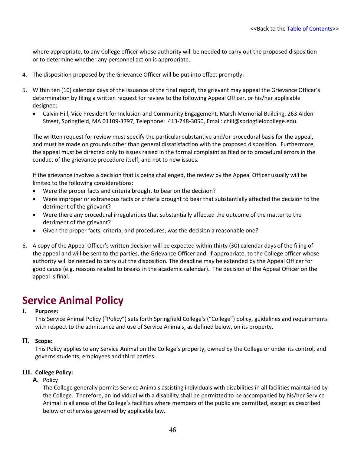where appropriate, to any College officer whose authority will be needed to carry out the proposed disposition or to determine whether any personnel action is appropriate.

- 4. The disposition proposed by the Grievance Officer will be put into effect promptly.
- 5. Within ten (10) calendar days of the issuance of the final report, the grievant may appeal the Grievance Officer's determination by filing a written request for review to the following Appeal Officer, or his/her applicable designee:
	- Calvin Hill, Vice President for Inclusion and Community Engagement, Marsh Memorial Building, 263 Alden Street, Springfield, MA 01109-3797, Telephone: 413-748-3050, Email: chill@springfieldcollege.edu.

The written request for review must specify the particular substantive and/or procedural basis for the appeal, and must be made on grounds other than general dissatisfaction with the proposed disposition. Furthermore, the appeal must be directed only to issues raised in the formal complaint as filed or to procedural errors in the conduct of the grievance procedure itself, and not to new issues.

If the grievance involves a decision that is being challenged, the review by the Appeal Officer usually will be limited to the following considerations:

- Were the proper facts and criteria brought to bear on the decision?
- Were improper or extraneous facts or criteria brought to bear that substantially affected the decision to the detriment of the grievant?
- Were there any procedural irregularities that substantially affected the outcome of the matter to the detriment of the grievant?
- Given the proper facts, criteria, and procedures, was the decision a reasonable one?
- 6. A copy of the Appeal Officer's written decision will be expected within thirty (30) calendar days of the filing of the appeal and will be sent to the parties, the Grievance Officer and, if appropriate, to the College officer whose authority will be needed to carry out the disposition. The deadline may be extended by the Appeal Officer for good cause (e.g. reasons related to breaks in the academic calendar). The decision of the Appeal Officer on the appeal is final.

## **Service Animal Policy**

#### **I. Purpose:**

This Service Animal Policy ("Policy") sets forth Springfield College's ("College") policy, guidelines and requirements with respect to the admittance and use of Service Animals, as defined below, on its property.

#### **II. Scope:**

This Policy applies to any Service Animal on the College's property, owned by the College or under its control, and governs students, employees and third parties.

#### **III. College Policy:**

#### **A.** Policy

The College generally permits Service Animals assisting individuals with disabilities in all facilities maintained by the College. Therefore, an individual with a disability shall be permitted to be accompanied by his/her Service Animal in all areas of the College's facilities where members of the public are permitted, except as described below or otherwise governed by applicable law.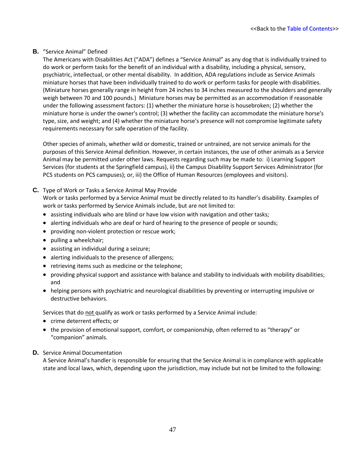#### **B.** "Service Animal" Defined

The Americans with Disabilities Act ("ADA") defines a "Service Animal" as any dog that is individually trained to do work or perform tasks for the benefit of an individual with a disability, including a physical, sensory, psychiatric, intellectual, or other mental disability. In addition, ADA regulations include as Service Animals miniature horses that have been individually trained to do work or perform tasks for people with disabilities. (Miniature horses generally range in height from 24 inches to 34 inches measured to the shoulders and generally weigh between 70 and 100 pounds.) Miniature horses may be permitted as an accommodation if reasonable under the following assessment factors: (1) whether the miniature horse is housebroken; (2) whether the miniature horse is under the owner's control; (3) whether the facility can accommodate the miniature horse's type, size, and weight; and (4) whether the miniature horse's presence will not compromise legitimate safety requirements necessary for safe operation of the facility.

Other species of animals, whether wild or domestic, trained or untrained, are not service animals for the purposes of this Service Animal definition. However, in certain instances, the use of other animals as a Service Animal may be permitted under other laws. Requests regarding such may be made to: i) Learning Support Services (for students at the Springfield campus), ii) the Campus Disability Support Services Administrator (for PCS students on PCS campuses); or, iii) the Office of Human Resources (employees and visitors).

#### **C.** Type of Work or Tasks a Service Animal May Provide

Work or tasks performed by a Service Animal must be directly related to its handler's disability. Examples of work or tasks performed by Service Animals include, but are not limited to:

- assisting individuals who are blind or have low vision with navigation and other tasks;
- alerting individuals who are deaf or hard of hearing to the presence of people or sounds;
- providing non-violent protection or rescue work;
- pulling a wheelchair;
- assisting an individual during a seizure;
- alerting individuals to the presence of allergens;
- retrieving items such as medicine or the telephone;
- providing physical support and assistance with balance and stability to individuals with mobility disabilities; and
- helping persons with psychiatric and neurological disabilities by preventing or interrupting impulsive or destructive behaviors.

Services that do not qualify as work or tasks performed by a Service Animal include:

- crime deterrent effects; or
- the provision of emotional support, comfort, or companionship, often referred to as "therapy" or "companion" animals.

#### **D.** Service Animal Documentation

A Service Animal's handler is responsible for ensuring that the Service Animal is in compliance with applicable state and local laws, which, depending upon the jurisdiction, may include but not be limited to the following: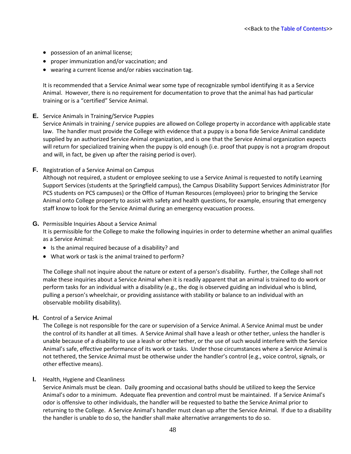- possession of an animal license;
- proper immunization and/or vaccination; and
- wearing a current license and/or rabies vaccination tag.

It is recommended that a Service Animal wear some type of recognizable symbol identifying it as a Service Animal. However, there is no requirement for documentation to prove that the animal has had particular training or is a "certified" Service Animal.

**E.** Service Animals in Training/Service Puppies

Service Animals in training / service puppies are allowed on College property in accordance with applicable state law. The handler must provide the College with evidence that a puppy is a bona fide Service Animal candidate supplied by an authorized Service Animal organization, and is one that the Service Animal organization expects will return for specialized training when the puppy is old enough (i.e. proof that puppy is not a program dropout and will, in fact, be given up after the raising period is over).

**F.** Registration of a Service Animal on Campus

Although not required, a student or employee seeking to use a Service Animal is requested to notify Learning Support Services (students at the Springfield campus), the Campus Disability Support Services Administrator (for PCS students on PCS campuses) or the Office of Human Resources (employees) prior to bringing the Service Animal onto College property to assist with safety and health questions, for example, ensuring that emergency staff know to look for the Service Animal during an emergency evacuation process.

**G.** Permissible Inquiries About a Service Animal

It is permissible for the College to make the following inquiries in order to determine whether an animal qualifies as a Service Animal:

- Is the animal required because of a disability? and
- What work or task is the animal trained to perform?

The College shall not inquire about the nature or extent of a person's disability. Further, the College shall not make these inquiries about a Service Animal when it is readily apparent that an animal is trained to do work or perform tasks for an individual with a disability (e.g., the dog is observed guiding an individual who is blind, pulling a person's wheelchair, or providing assistance with stability or balance to an individual with an observable mobility disability).

**H.** Control of a Service Animal

The College is not responsible for the care or supervision of a Service Animal. A Service Animal must be under the control of its handler at all times. A Service Animal shall have a leash or other tether, unless the handler is unable because of a disability to use a leash or other tether, or the use of such would interfere with the Service Animal's safe, effective performance of its work or tasks. Under those circumstances where a Service Animal is not tethered, the Service Animal must be otherwise under the handler's control (e.g., voice control, signals, or other effective means).

#### **I.** Health, Hygiene and Cleanliness

Service Animals must be clean. Daily grooming and occasional baths should be utilized to keep the Service Animal's odor to a minimum. Adequate flea prevention and control must be maintained. If a Service Animal's odor is offensive to other individuals, the handler will be requested to bathe the Service Animal prior to returning to the College. A Service Animal's handler must clean up after the Service Animal. If due to a disability the handler is unable to do so, the handler shall make alternative arrangements to do so.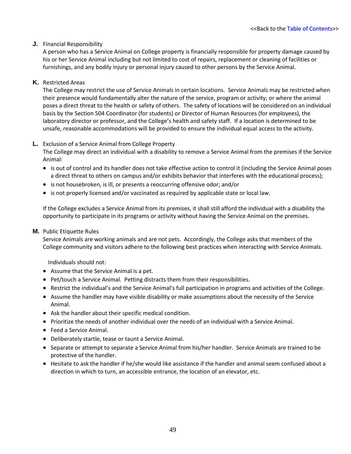#### **J.** Financial Responsibility

A person who has a Service Animal on College property is financially responsible for property damage caused by his or her Service Animal including but not limited to cost of repairs, replacement or cleaning of facilities or furnishings, and any bodily injury or personal injury caused to other persons by the Service Animal.

#### **K.** Restricted Areas

The College may restrict the use of Service Animals in certain locations. Service Animals may be restricted when their presence would fundamentally alter the nature of the service, program or activity; or where the animal poses a direct threat to the health or safety of others. The safety of locations will be considered on an individual basis by the Section 504 Coordinator (for students) or Director of Human Resources (for employees), the laboratory director or professor, and the College's health and safety staff. If a location is determined to be unsafe, reasonable accommodations will be provided to ensure the individual equal access to the activity.

#### **L.** Exclusion of a Service Animal from College Property

The College may direct an individual with a disability to remove a Service Animal from the premises if the Service Animal:

- is out of control and its handler does not take effective action to control it (including the Service Animal poses a direct threat to others on campus and/or exhibits behavior that interferes with the educational process);
- is not housebroken, is ill, or presents a reoccurring offensive odor; and/or
- is not properly licensed and/or vaccinated as required by applicable state or local law.

If the College excludes a Service Animal from its premises, it shall still afford the individual with a disability the opportunity to participate in its programs or activity without having the Service Animal on the premises.

#### **M.** Public Etiquette Rules

Service Animals are working animals and are not pets. Accordingly, the College asks that members of the College community and visitors adhere to the following best practices when interacting with Service Animals.

Individuals should not:

- Assume that the Service Animal is a pet.
- Pet/touch a Service Animal. Petting distracts them from their responsibilities.
- Restrict the individual's and the Service Animal's full participation in programs and activities of the College.
- Assume the handler may have visible disability or make assumptions about the necessity of the Service Animal.
- Ask the handler about their specific medical condition.
- Prioritize the needs of another individual over the needs of an individual with a Service Animal.
- Feed a Service Animal.
- Deliberately startle, tease or taunt a Service Animal.
- Separate or attempt to separate a Service Animal from his/her handler. Service Animals are trained to be protective of the handler.
- Hesitate to ask the handler if he/she would like assistance if the handler and animal seem confused about a direction in which to turn, an accessible entrance, the location of an elevator, etc.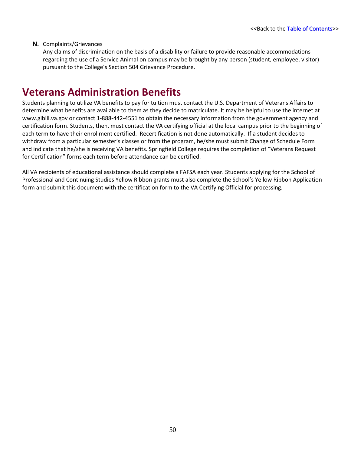#### **N.** Complaints/Grievances

Any claims of discrimination on the basis of a disability or failure to provide reasonable accommodations regarding the use of a Service Animal on campus may be brought by any person (student, employee, visitor) pursuant to the College's Section 504 Grievance Procedure.

### **Veterans Administration Benefits**

Students planning to utilize VA benefits to pay for tuition must contact the U.S. Department of Veterans Affairs to determine what benefits are available to them as they decide to matriculate. It may be helpful to use the internet at www.gibill.va.gov or contact 1-888-442-4551 to obtain the necessary information from the government agency and certification form. Students, then, must contact the VA certifying official at the local campus prior to the beginning of each term to have their enrollment certified. Recertification is not done automatically. If a student decides to withdraw from a particular semester's classes or from the program, he/she must submit Change of Schedule Form and indicate that he/she is receiving VA benefits. Springfield College requires the completion of "Veterans Request for Certification" forms each term before attendance can be certified.

All VA recipients of educational assistance should complete a FAFSA each year. Students applying for the School of Professional and Continuing Studies Yellow Ribbon grants must also complete the School's Yellow Ribbon Application form and submit this document with the certification form to the VA Certifying Official for processing.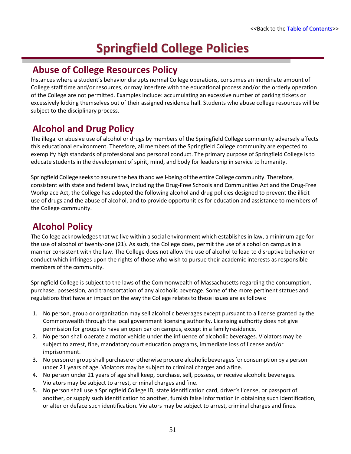# **Springfield College Policies**

### **Abuse of College Resources Policy**

Instances where a student's behavior disrupts normal College operations, consumes an inordinate amount of College staff time and/or resources, or may interfere with the educational process and/or the orderly operation of the College are not permitted. Examples include: accumulating an excessive number of parking tickets or excessively locking themselves out of their assigned residence hall. Students who abuse college resources will be subject to the disciplinary process.

### **Alcohol and Drug Policy**

The illegal or abusive use of alcohol or drugs by members of the Springfield College community adversely affects this educational environment. Therefore, all members of the Springfield College community are expected to exemplify high standards of professional and personal conduct. The primary purpose of Springfield College is to educate students in the development of spirit, mind, and body for leadership in service to humanity.

Springfield College seeks to assure the health and well-being of the entire College community. Therefore, consistent with state and federal laws, including the Drug-Free Schools and Communities Act and the Drug-Free Workplace Act, the College has adopted the following alcohol and drug policies designed to prevent the illicit use of drugs and the abuse of alcohol, and to provide opportunities for education and assistance to members of the College community.

### **Alcohol Policy**

The College acknowledges that we live within a social environment which establishes in law, a minimum age for the use of alcohol of twenty-one (21). As such, the College does, permit the use of alcohol on campus in a manner consistent with the law. The College does not allow the use of alcohol to lead to disruptive behavior or conduct which infringes upon the rights of those who wish to pursue their academic interests as responsible members of the community.

Springfield College is subject to the laws of the Commonwealth of Massachusetts regarding the consumption, purchase, possession, and transportation of any alcoholic beverage. Some of the more pertinent statues and regulations that have an impact on the way the College relates to these issues are as follows:

- 1. No person, group or organization may sell alcoholic beverages except pursuant to a license granted by the Commonwealth through the local government licensing authority. Licensing authority does not give permission for groups to have an open bar on campus, except in a family residence.
- 2. No person shall operate a motor vehicle under the influence of alcoholic beverages. Violators may be subject to arrest, fine, mandatory court education programs, immediate loss of license and/or imprisonment.
- 3. No person or group shall purchase or otherwise procure alcoholic beveragesfor consumption by a person under 21 years of age. Violators may be subject to criminal charges and a fine.
- 4. No person under 21 years of age shall keep, purchase, sell, possess, or receive alcoholic beverages. Violators may be subject to arrest, criminal charges and fine.
- 5. No person shall use a Springfield College ID, state identification card, driver's license, or passport of another, or supply such identification to another, furnish false information in obtaining such identification, or alter or deface such identification. Violators may be subject to arrest, criminal charges and fines.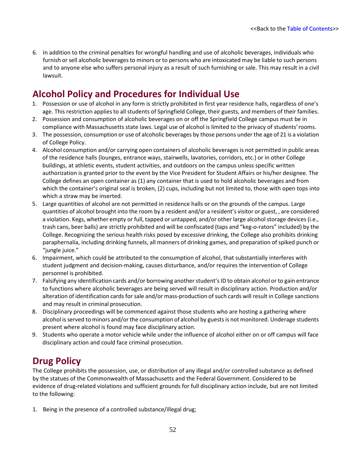6. In addition to the criminal penalties for wrongful handling and use of alcoholic beverages, individuals who furnish orsell alcoholic beverages to minors or to persons who are intoxicated may be liable to such persons and to anyone else who suffers personal injury as a result of such furnishing or sale. This may result in a civil lawsuit.

### **Alcohol Policy and Procedures for Individual Use**

- 1. Possession or use of alcohol in any form is strictly prohibited in first year residence halls, regardless of one's age. This restriction applies to all students of Springfield College, their guests, and members of their families.
- 2. Possession and consumption of alcoholic beverages on or off the Springfield College campus must be in compliance with Massachusetts state laws. Legal use of alcohol is limited to the privacy of students'rooms.
- 3. The possession, consumption or use of alcoholic beverages by those persons under the age of 21 is a violation of College Policy.
- 4. Alcohol consumption and/or carrying open containers of alcoholic beverages is not permitted in public areas of the residence halls (lounges, entrance ways, stairwells, lavatories, corridors, etc.) or in other College buildings, at athletic events, student activities, and outdoors on the campus unless specific written authorization is granted prior to the event by the Vice President for Student Affairs or his/her designee. The College defines an open container as (1) any container that is used to hold alcoholic beverages and from which the container's original seal is broken, (2) cups, including but not limited to, those with open tops into which a straw may be inserted.
- 5. Large quantities of alcohol are not permitted in residence halls or on the grounds of the campus. Large quantities of alcohol brought into the room by a resident and/or a resident's visitor or guest, , are considered a violation. Kegs, whether empty or full, tapped or untapped, and/or other large alcohol storage devices (i.e., trash cans, beer balls) are strictly prohibited and will be confiscated (taps and "keg-o-rators" included) by the College. Recognizing the serious health risks posed by excessive drinking, the College also prohibits drinking paraphernalia, including drinking funnels, all manners of drinking games, and preparation of spiked punch or "jungle juice."
- 6. Impairment, which could be attributed to the consumption of alcohol, that substantially interferes with student judgment and decision-making, causes disturbance, and/or requires the intervention of College personnel is prohibited.
- 7. Falsifying any identification cards and/or borrowing another student's ID to obtain alcohol or to gain entrance to functions where alcoholic beverages are being served will result in disciplinary action. Production and/or alteration of identification cards for sale and/or mass-production of such cards will result in College sanctions and may result in criminal prosecution.
- 8. Disciplinary proceedings will be commenced against those students who are hosting a gathering where alcohol is served to minors and/or the consumption of alcohol by guests is not monitored. Underage students present where alcohol is found may face disciplinary action.
- 9. Students who operate a motor vehicle while under the influence of alcohol either on or off campus will face disciplinary action and could face criminal prosecution.

### **Drug Policy**

The College prohibits the possession, use, or distribution of any illegal and/or controlled substance as defined by the statues of the Commonwealth of Massachusetts and the Federal Government. Considered to be evidence of drug-related violations and sufficient grounds for full disciplinary action include, but are not limited to the following:

1. Being in the presence of a controlled substance/illegal drug;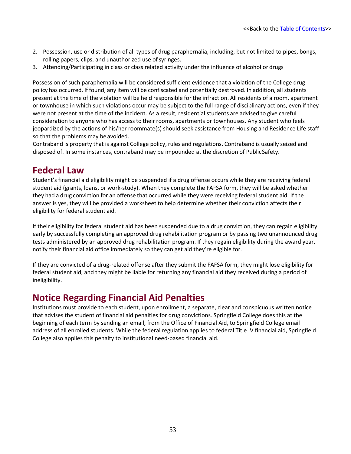- 2. Possession, use or distribution of all types of drug paraphernalia, including, but not limited to pipes, bongs, rolling papers, clips, and unauthorized use of syringes.
- 3. Attending/Participating in class or class related activity under the influence of alcohol or drugs

Possession of such paraphernalia will be considered sufficient evidence that a violation of the College drug policy has occurred. If found, any item will be confiscated and potentially destroyed. In addition, all students present at the time of the violation will be held responsible for the infraction. All residents of a room, apartment or townhouse in which such violations occur may be subject to the full range of disciplinary actions, even if they were not present at the time of the incident. As a result, residential students are advised to give careful consideration to anyone who has access to their rooms, apartments or townhouses. Any student who feels jeopardized by the actions of his/her roommate(s) should seek assistance from Housing and Residence Life staff so that the problems may be avoided.

Contraband is property that is against College policy, rules and regulations. Contraband is usually seized and disposed of. In some instances, contraband may be impounded at the discretion of PublicSafety.

### **Federal Law**

Student's financial aid eligibility might be suspended if a drug offense occurs while they are receiving federal student aid (grants, loans, or work-study). When they complete the FAFSA form, they will be asked whether they had a drug conviction for an offense that occurred while they were receiving federal student aid. If the answer is yes, they will be provided a worksheet to help determine whether their conviction affects their eligibility for federal student aid.

If their eligibility for federal student aid has been suspended due to a drug conviction, they can regain eligibility early by successfully completing an approved drug rehabilitation program or by passing two unannounced drug tests administered by an approved drug rehabilitation program. If they regain eligibility during the award year, notify their financial aid office immediately so they can get aid they're eligible for.

If they are convicted of a drug-related offense after they submit the FAFSA form, they might lose eligibility for federal student aid, and they might be liable for returning any financial aid they received during a period of ineligibility.

### **Notice Regarding Financial Aid Penalties**

Institutions must provide to each student, upon enrollment, a separate, clear and conspicuous written notice that advises the student of financial aid penalties for drug convictions. Springfield College does this at the beginning of each term by sending an email, from the Office of Financial Aid, to Springfield College email address of all enrolled students. While the federal regulation applies to federal Title IV financial aid, Springfield College also applies this penalty to institutional need-based financial aid.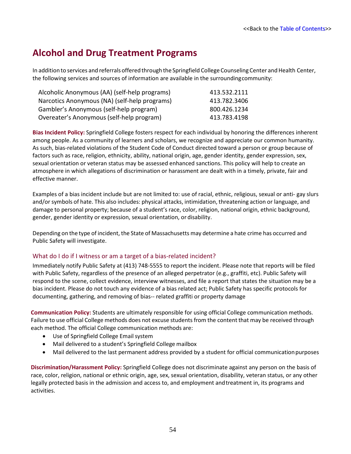### **Alcohol and Drug Treatment Programs**

In addition to services and referrals offered through the Springfield College Counseling Center and Health Center, the following services and sources of information are available in the surroundingcommunity:

| Alcoholic Anonymous (AA) (self-help programs) | 413.532.2111 |
|-----------------------------------------------|--------------|
| Narcotics Anonymous (NA) (self-help programs) | 413.782.3406 |
| Gambler's Anonymous (self-help program)       | 800.426.1234 |
| Overeater's Anonymous (self-help program)     | 413.783.4198 |

**Bias Incident Policy:** Springfield College fosters respect for each individual by honoring the differences inherent among people. As a community of learners and scholars, we recognize and appreciate our common humanity. As such, bias-related violations of the Student Code of Conduct directed toward a person or group because of factors such as race, religion, ethnicity, ability, national origin, age, gender identity, gender expression, sex, sexual orientation or veteran status may be assessed enhanced sanctions. This policy will help to create an atmosphere in which allegations of discrimination or harassment are dealt with in a timely, private, fair and effective manner.

Examples of a bias incident include but are not limited to: use of racial, ethnic, religious, sexual or anti- gay slurs and/orsymbols of hate. This also includes: physical attacks, intimidation, threatening action or language, and damage to personal property; because of a student's race, color, religion, national origin, ethnic background, gender, gender identity or expression, sexual orientation, or disability.

Depending on the type of incident, the State of Massachusetts may determine a hate crime has occurred and Public Safety will investigate.

#### What do I do if I witness or am a target of a bias-related incident?

Immediately notify Public Safety at (413) 748-5555 to report the incident. Please note that reports will be filed with Public Safety, regardless of the presence of an alleged perpetrator (e.g., graffiti, etc). Public Safety will respond to the scene, collect evidence, interview witnesses, and file a report that states the situation may be a bias incident. Please do not touch any evidence of a bias related act; Public Safety has specific protocols for documenting, gathering, and removing of bias-- related graffiti or property damage

**Communication Policy:** Students are ultimately responsible for using official College communication methods. Failure to use official College methods does not excuse students from the content that may be received through each method. The official College communication methods are:

- Use of Springfield College Email system
- Mail delivered to a student's Springfield College mailbox
- Mail delivered to the last permanent address provided by a student for official communication purposes

**Discrimination/Harassment Policy:** Springfield College does not discriminate against any person on the basis of race, color, religion, national or ethnic origin, age, sex, sexual orientation, disability, veteran status, or any other legally protected basis in the admission and access to, and employment andtreatment in, its programs and activities.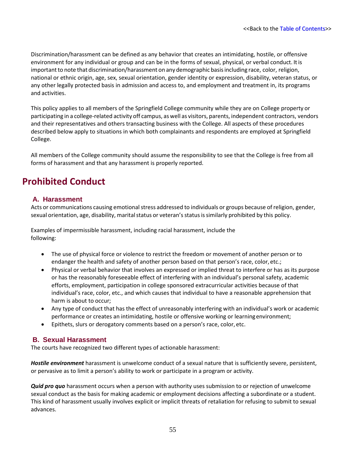Discrimination/harassment can be defined as any behavior that creates an intimidating, hostile, or offensive environment for any individual or group and can be in the forms of sexual, physical, or verbal conduct. Itis important to note that discrimination/harassment on any demographic basis including race, color, religion, national or ethnic origin, age, sex, sexual orientation, gender identity or expression, disability, veteran status, or any other legally protected basis in admission and access to, and employment and treatment in, its programs and activities.

This policy applies to all members of the Springfield College community while they are on College property or participating in a college-related activity off campus, aswell as visitors, parents, independent contractors, vendors and their representatives and others transacting business with the College. All aspects of these procedures described below apply to situations in which both complainants and respondents are employed at Springfield College.

All members of the College community should assume the responsibility to see that the College is free from all forms of harassment and that any harassment is properly reported.

### **Prohibited Conduct**

#### **A. Harassment**

Acts or communications causing emotional stress addressed to individuals or groups because of religion, gender, sexual orientation, age, disability, marital status or veteran's status is similarly prohibited by this policy.

Examples of impermissible harassment, including racial harassment, include the following:

- The use of physical force or violence to restrict the freedom or movement of another person or to endanger the health and safety of another person based on that person's race, color, etc.;
- Physical or verbal behavior that involves an expressed or implied threat to interfere or has as its purpose or has the reasonably foreseeable effect of interfering with an individual's personal safety, academic efforts, employment, participation in college sponsored extracurricular activities because of that individual's race, color, etc., and which causes that individual to have a reasonable apprehension that harm is about to occur;
- Any type of conduct that has the effect of unreasonably interfering with an individual's work or academic performance or creates an intimidating, hostile or offensive working or learningenvironment;
- Epithets, slurs or derogatory comments based on a person's race, color, etc.

#### **B. Sexual Harassment**

The courts have recognized two different types of actionable harassment:

*Hostile environment* harassment is unwelcome conduct of a sexual nature that is sufficiently severe, persistent, or pervasive as to limit a person's ability to work or participate in a program or activity.

*Quid pro quo* harassment occurs when a person with authority uses submission to or rejection of unwelcome sexual conduct as the basis for making academic or employment decisions affecting a subordinate or a student. This kind of harassment usually involves explicit or implicit threats of retaliation for refusing to submit to sexual advances.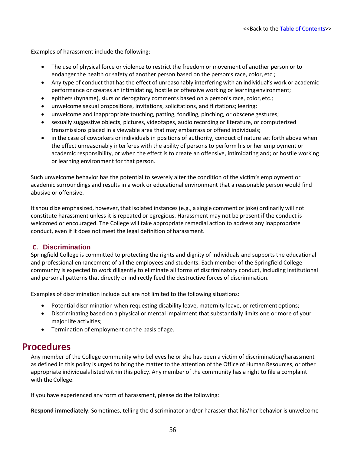Examples of harassment include the following:

- The use of physical force or violence to restrict the freedom or movement of another person or to endanger the health or safety of another person based on the person's race, color, etc.;
- Any type of conduct that has the effect of unreasonably interfering with an individual's work or academic performance or creates an intimidating, hostile or offensive working or learningenvironment;
- epithets (byname), slurs or derogatory comments based on a person's race, color,etc.;
- unwelcome sexual propositions, invitations, solicitations, and flirtations; leering;
- unwelcome and inappropriate touching, patting, fondling, pinching, or obscene gestures;
- sexually suggestive objects, pictures, videotapes, audio recording or literature, or computerized transmissions placed in a viewable area that may embarrass or offend individuals;
- in the case of coworkers or individuals in positions of authority, conduct of nature set forth above when the effect unreasonably interferes with the ability of persons to perform his or her employment or academic responsibility, or when the effect is to create an offensive, intimidating and; or hostile working or learning environment for that person.

Such unwelcome behavior has the potential to severely alter the condition of the victim's employment or academic surroundings and results in a work or educational environment that a reasonable person would find abusive or offensive.

It should be emphasized, however, that isolated instances(e.g., a single comment or joke) ordinarily will not constitute harassment unless it is repeated or egregious. Harassment may not be present if the conduct is welcomed or encouraged. The College will take appropriate remedial action to address any inappropriate conduct, even if it does not meet the legal definition of harassment.

#### **C. Discrimination**

Springfield College is committed to protecting the rights and dignity of individuals and supports the educational and professional enhancement of all the employees and students. Each member of the Springfield College community is expected to work diligently to eliminate all forms of discriminatory conduct, including institutional and personal patterns that directly or indirectly feed the destructive forces of discrimination.

Examples of discrimination include but are not limited to the following situations:

- Potential discrimination when requesting disability leave, maternity leave, or retirement options;
- Discriminating based on a physical or mental impairment that substantially limits one or more of your major life activities;
- Termination of employment on the basis of age.

### **Procedures**

Any member of the College community who believes he or she has been a victim of discrimination/harassment as defined in this policy is urged to bring the matter to the attention of the Office of Human Resources, or other appropriate individualslisted within this policy. Any member of the community has a right to file a complaint with the College.

If you have experienced any form of harassment, please do the following:

**Respond immediately**: Sometimes, telling the discriminator and/or harasser that his/her behavior is unwelcome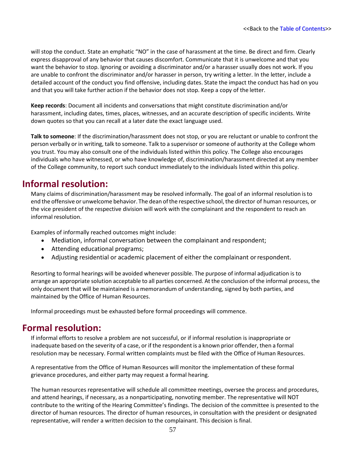will stop the conduct. State an emphatic "NO" in the case of harassment at the time. Be direct and firm. Clearly express disapproval of any behavior that causes discomfort. Communicate that it is unwelcome and that you want the behavior to stop. Ignoring or avoiding a discriminator and/or a harasser usually does not work. If you are unable to confront the discriminator and/or harasser in person, try writing a letter. In the letter, include a detailed account of the conduct you find offensive, including dates. State the impact the conduct has had on you and that you will take further action if the behavior does not stop. Keep a copy of the letter.

**Keep records**: Document all incidents and conversations that might constitute discrimination and/or harassment, including dates, times, places, witnesses, and an accurate description of specific incidents. Write down quotes so that you can recall at a later date the exact language used.

**Talk to someone**: If the discrimination/harassment does not stop, or you are reluctant or unable to confront the person verbally or in writing, talk to someone. Talk to a supervisor orsomeone of authority at the College whom you trust. You may also consult one of the individuals listed within this policy. The College also encourages individuals who have witnessed, or who have knowledge of, discrimination/harassment directed at any member of the College community, to report such conduct immediately to the individuals listed within this policy.

### **Informal resolution:**

Many claims of discrimination/harassment may be resolved informally. The goal of an informal resolution isto end the offensive or unwelcome behavior. The dean of the respective school, the director of human resources, or the vice president of the respective division will work with the complainant and the respondent to reach an informal resolution.

Examples of informally reached outcomes might include:

- Mediation, informal conversation between the complainant and respondent;
- Attending educational programs;
- Adjusting residential or academic placement of either the complainant orrespondent.

Resorting to formal hearings will be avoided whenever possible. The purpose of informal adjudication is to arrange an appropriate solution acceptable to all parties concerned. At the conclusion of the informal process, the only document that will be maintained is a memorandum of understanding, signed by both parties, and maintained by the Office of Human Resources.

Informal proceedings must be exhausted before formal proceedings will commence.

### **Formal resolution:**

If informal efforts to resolve a problem are not successful, or if informal resolution is inappropriate or inadequate based on the severity of a case, or if the respondent is a known prior offender, then a formal resolution may be necessary. Formal written complaints must be filed with the Office of Human Resources.

A representative from the Office of Human Resources will monitor the implementation of these formal grievance procedures, and either party may request a formal hearing.

The human resources representative will schedule all committee meetings, oversee the process and procedures, and attend hearings, if necessary, as a nonparticipating, nonvoting member. The representative will NOT contribute to the writing of the Hearing Committee's findings. The decision of the committee is presented to the director of human resources. The director of human resources, in consultation with the president or designated representative, will render a written decision to the complainant. This decision is final.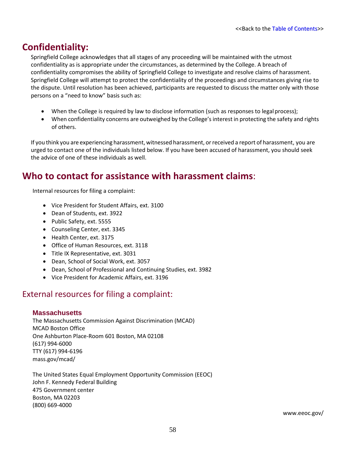### **Confidentiality:**

Springfield College acknowledges that all stages of any proceeding will be maintained with the utmost confidentiality as is appropriate under the circumstances, as determined by the College. A breach of confidentiality compromises the ability of Springfield College to investigate and resolve claims of harassment. Springfield College will attempt to protect the confidentiality of the proceedings and circumstances giving rise to the dispute. Until resolution has been achieved, participants are requested to discuss the matter only with those persons on a "need to know" basis such as:

- When the College is required by law to disclose information (such as responses to legal process);
- When confidentiality concerns are outweighed by the College's interest in protecting the safety and rights of others.

If you think you are experiencing harassment, witnessed harassment, or received a report of harassment, you are urged to contact one of the individuals listed below. If you have been accused of harassment, you should seek the advice of one of these individuals as well.

### **Who to contact for assistance with harassment claims**:

Internal resources for filing a complaint:

- Vice President for Student Affairs, ext. 3100
- Dean of Students, ext. 3922
- Public Safety, ext. 5555
- Counseling Center, ext. 3345
- Health Center, ext. 3175
- Office of Human Resources, ext. 3118
- Title IX Representative, ext. 3031
- Dean, School of Social Work, ext. 3057
- Dean, School of Professional and Continuing Studies, ext. 3982
- Vice President for Academic Affairs, ext. 3196

### External resources for filing a complaint:

#### **Massachusetts**

The Massachusetts Commission Against Discrimination (MCAD) MCAD Boston Office One Ashburton Place-Room 601 Boston, MA 02108 (617) 994-6000 TTY (617) 994-6196 mass.gov/mcad/

The United States Equal Employment Opportunity Commission (EEOC) John F. Kennedy Federal Building 475 Government center Boston, MA 02203 (800) 669-4000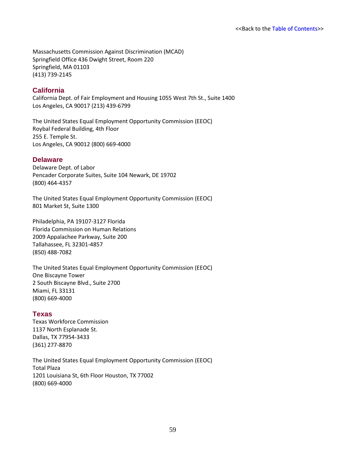Massachusetts Commission Against Discrimination (MCAD) Springfield Office 436 Dwight Street, Room 220 Springfield, MA 01103 (413) 739-2145

#### **California**

California Dept. of Fair Employment and Housing 1055 West 7th St., Suite 1400 Los Angeles, CA 90017 (213) 439-6799

The United States Equal Employment Opportunity Commission (EEOC) Roybal Federal Building, 4th Floor 255 E. Temple St. Los Angeles, CA 90012 (800) 669-4000

#### **Delaware**

Delaware Dept. of Labor Pencader Corporate Suites, Suite 104 Newark, DE 19702 (800) 464-4357

The United States Equal Employment Opportunity Commission (EEOC) 801 Market St, Suite 1300

Philadelphia, PA 19107-3127 Florida Florida Commission on Human Relations 2009 Appalachee Parkway, Suite 200 Tallahassee, FL 32301-4857 (850) 488-7082

The United States Equal Employment Opportunity Commission (EEOC) One Biscayne Tower 2 South Biscayne Blvd., Suite 2700 Miami, FL 33131 (800) 669-4000

#### **Texas**

Texas Workforce Commission 1137 North Esplanade St. Dallas, TX 77954-3433 (361) 277-8870

The United States Equal Employment Opportunity Commission (EEOC) Total Plaza 1201 Louisiana St, 6th Floor Houston, TX 77002 (800) 669-4000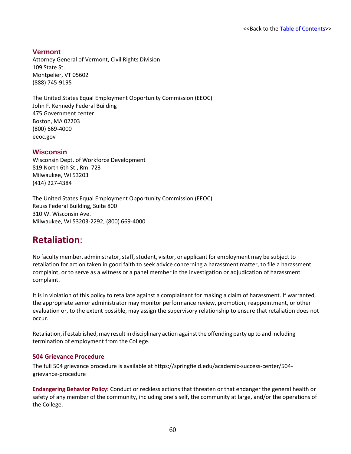#### **Vermont**

Attorney General of Vermont, Civil Rights Division 109 State St. Montpelier, VT 05602 (888) 745-9195

The United States Equal Employment Opportunity Commission (EEOC) John F. Kennedy Federal Building 475 Government center Boston, MA 02203 (800) 669-4000 eeoc.gov

#### **Wisconsin**

Wisconsin Dept. of Workforce Development 819 North 6th St., Rm. 723 Milwaukee, WI 53203 (414) 227-4384

The United States Equal Employment Opportunity Commission (EEOC) Reuss Federal Building, Suite 800 310 W. Wisconsin Ave. Milwaukee, WI 53203-2292, (800) 669-4000

### **Retaliation**:

No faculty member, administrator, staff, student, visitor, or applicant for employment may be subject to retaliation for action taken in good faith to seek advice concerning a harassment matter, to file a harassment complaint, or to serve as a witness or a panel member in the investigation or adjudication of harassment complaint.

It is in violation of this policy to retaliate against a complainant for making a claim of harassment. If warranted, the appropriate senior administrator may monitor performance review, promotion, reappointment, or other evaluation or, to the extent possible, may assign the supervisory relationship to ensure that retaliation does not occur.

Retaliation, if established, may result in disciplinary action against the offending party up to and including termination of employment from the College.

#### **504 Grievance Procedure**

The full 504 grievance procedure is available at https://springfield.edu/academic-success-center/504 grievance-procedure

**Endangering Behavior Policy:** Conduct or reckless actions that threaten or that endanger the general health or safety of any member of the community, including one's self, the community at large, and/or the operations of the College.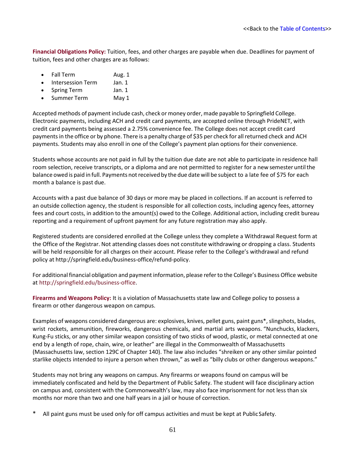**Financial Obligations Policy:** Tuition, fees, and other charges are payable when due. Deadlines for payment of tuition, fees and other charges are as follows:

- Fall Term Aug. 1
- Intersession Term Jan. 1
- Spring Term Jan. 1
- Summer Term May 1

Accepted methods of payment include cash, check or money order, made payable to Springfield College. Electronic payments, including ACH and credit card payments, are accepted online through PrideNET, with credit card payments being assessed a 2.75% convenience fee. The College does not accept credit card payments in the office or by phone. There is a penalty charge of \$35 per check for all returned check and ACH payments. Students may also enroll in one of the College's payment plan options for their convenience.

Students whose accounts are not paid in full by the tuition due date are not able to participate in residence hall room selection, receive transcripts, or a diploma and are not permitted to register for a new semester until the balance owed is paid in full. Payments notreceived by the due date will be subject to a late fee of \$75 for each month a balance is past due.

Accounts with a past due balance of 30 days or more may be placed in collections. If an account is referred to an outside collection agency, the student is responsible for all collection costs, including agency fees, attorney fees and court costs, in addition to the amount(s) owed to the College. Additional action, including credit bureau reporting and a requirement of upfront payment for any future registration may also apply.

Registered students are considered enrolled at the College unless they complete a Withdrawal Request form at the Office of the Registrar. Not attending classes does not constitute withdrawing or dropping a class. Students will be held responsible for all charges on their account. Please refer to the College's withdrawal and refund policy at [http://springfield.edu/business-office/refund-policy.](http://springfield.edu/business-office/refund-policy)

For additional financial obligation and payment information, please referto the College's Business Office website at [http://springfield.edu/business-office.](http://springfield.edu/business-office)

**Firearms and Weapons Policy:** It is a violation of Massachusetts state law and College policy to possess a firearm or other dangerous weapon on campus.

Examples of weapons considered dangerous are: explosives, knives, pellet guns, paint guns\*, slingshots, blades, wrist rockets, ammunition, fireworks, dangerous chemicals, and martial arts weapons. "Nunchucks, klackers, Kung-Fu sticks, or any other similar weapon consisting of two sticks of wood, plastic, or metal connected at one end by a length of rope, chain, wire, or leather" are illegal in the Commonwealth of Massachusetts (Massachusetts law, section 129C of Chapter 140). The law also includes "shreiken or any other similar pointed starlike objects intended to injure a person when thrown," as well as "billy clubs or other dangerous weapons."

Students may not bring any weapons on campus. Any firearms or weapons found on campus will be immediately confiscated and held by the Department of Public Safety. The student will face disciplinary action on campus and, consistent with the Commonwealth's law, may also face imprisonment for not less than six months nor more than two and one half years in a jail or house of correction.

All paint guns must be used only for off campus activities and must be kept at PublicSafety.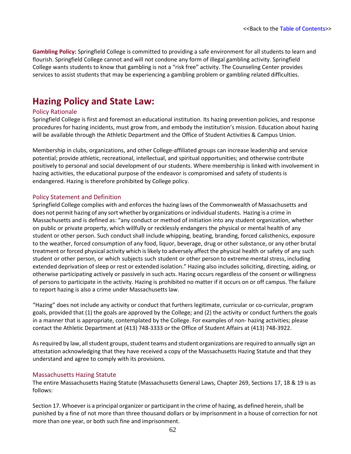**Gambling Policy:** Springfield College is committed to providing a safe environment for all students to learn and flourish. Springfield College cannot and will not condone any form of illegal gambling activity. Springfield College wants students to know that gambling is not a "risk free" activity. The Counseling Center provides services to assist students that may be experiencing a gambling problem or gambling related difficulties.

### **Hazing Policy and State Law:**

#### Policy Rationale

Springfield College is first and foremost an educational institution. Its hazing prevention policies, and response procedures for hazing incidents, must grow from, and embody the institution's mission. Education about hazing will be available through the Athletic Department and the Office of Student Activities & Campus Union.

Membership in clubs, organizations, and other College-affiliated groups can increase leadership and service potential; provide athletic, recreational, intellectual, and spiritual opportunities; and otherwise contribute positively to personal and social development of our students. Where membership is linked with involvement in hazing activities, the educational purpose of the endeavor is compromised and safety of students is endangered. Hazing is therefore prohibited by College policy.

#### Policy Statement and Definition

Springfield College complies with and enforces the hazing laws of the Commonwealth of Massachusetts and does not permit hazing of any sort whether by organizations or individual students. Hazing is a crime in Massachusetts and is defined as: "any conduct or method of initiation into any student organization, whether on public or private property, which willfully or recklessly endangers the physical or mental health of any student or other person. Such conduct shall include whipping, beating, branding, forced calisthenics, exposure to the weather, forced consumption of any food, liquor, beverage, drug or other substance, or any other brutal treatment or forced physical activity which is likely to adversely affect the physical health or safety of any such student or other person, or which subjects such student or other person to extreme mental stress, including extended deprivation ofsleep or rest or extended isolation." Hazing also includes soliciting, directing, aiding, or otherwise participating actively or passively in such acts. Hazing occurs regardless of the consent or willingness of persons to participate in the activity. Hazing is prohibited no matter if it occurs on or off campus. The failure to report hazing is also a crime under Massachusetts law.

"Hazing" does not include any activity or conduct that furthers legitimate, curricular or co-curricular, program goals, provided that (1) the goals are approved by the College; and (2) the activity or conduct furthers the goals in a manner that is appropriate, contemplated by the College. For examples of non- hazing activities; please contact the Athletic Department at (413) 748-3333 or the Office of Student Affairs at (413) 748-3922.

As required by law, all student groups, student teams and student organizations are required to annually sign an attestation acknowledging that they have received a copy of the Massachusetts Hazing Statute and that they understand and agree to comply with its provisions.

#### Massachusetts Hazing Statute

The entire Massachusetts Hazing Statute (Massachusetts General Laws, Chapter 269, Sections 17, 18 & 19 is as follows:

Section 17. Whoever is a principal organizer or participant in the crime of hazing, as defined herein, shall be punished by a fine of not more than three thousand dollars or by imprisonment in a house of correction for not more than one year, or both such fine and imprisonment.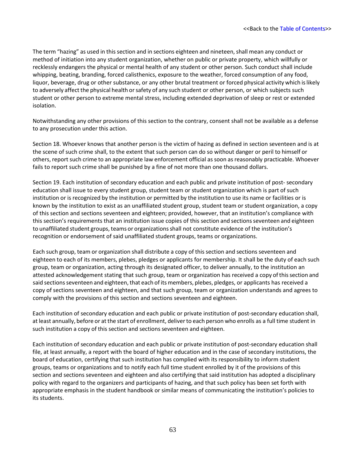The term "hazing" as used in this section and in sections eighteen and nineteen, shall mean any conduct or method of initiation into any student organization, whether on public or private property, which willfully or recklessly endangers the physical or mental health of any student or other person. Such conduct shall include whipping, beating, branding, forced calisthenics, exposure to the weather, forced consumption of any food, liquor, beverage, drug or other substance, or any other brutal treatment or forced physical activity which islikely to adversely affect the physical health or safety of any such student or other person, or which subjects such student or other person to extreme mental stress, including extended deprivation of sleep or rest or extended isolation.

Notwithstanding any other provisions of this section to the contrary, consent shall not be available as a defense to any prosecution under this action.

Section 18. Whoever knows that another person is the victim of hazing as defined in section seventeen and is at the scene of such crime shall, to the extent that such person can do so without danger or peril to himself or others, report such crime to an appropriate law enforcement official as soon as reasonably practicable. Whoever fails to report such crime shall be punished by a fine of not more than one thousand dollars.

Section 19. Each institution of secondary education and each public and private institution of post- secondary education shall issue to every student group, student team or student organization which is part of such institution or is recognized by the institution or permitted by the institution to use its name or facilities or is known by the institution to exist as an unaffiliated student group, student team or student organization, a copy of this section and sections seventeen and eighteen; provided, however, that an institution's compliance with this section's requirements that an institution issue copies of this section and sections seventeen and eighteen to unaffiliated student groups, teams or organizationsshall not constitute evidence of the institution's recognition or endorsement of said unaffiliated student groups, teams or organizations.

Each such group, team or organization shall distribute a copy of this section and sections seventeen and eighteen to each of its members, plebes, pledges or applicants for membership. It shall be the duty of each such group, team or organization, acting through its designated officer, to deliver annually, to the institution an attested acknowledgement stating that such group, team or organization has received a copy ofthissection and said sections seventeen and eighteen, that each of its members, plebes, pledges, or applicants has received a copy of sections seventeen and eighteen, and that such group, team or organization understands and agrees to comply with the provisions of this section and sections seventeen and eighteen.

Each institution of secondary education and each public or private institution of post-secondary education shall, at least annually, before or at the start of enrollment, deliverto each person who enrolls as a full time student in such institution a copy of this section and sections seventeen and eighteen.

Each institution of secondary education and each public or private institution of post-secondary education shall file, at least annually, a report with the board of higher education and in the case of secondary institutions, the board of education, certifying that such institution has complied with its responsibility to inform student groups, teams or organizations and to notify each full time student enrolled by it of the provisions of this section and sections seventeen and eighteen and also certifying that said institution has adopted a disciplinary policy with regard to the organizers and participants of hazing, and that such policy has been set forth with appropriate emphasis in the student handbook or similar means of communicating the institution's policies to its students.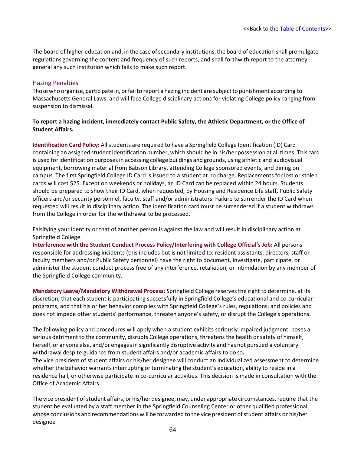The board of higher education and, in the case of secondary institutions, the board of education shall promulgate regulations governing the content and frequency of such reports, and shall forthwith report to the attorney general any such institution which fails to make such report.

#### Hazing Penalties

Those who organize, participate in, or fail to report a hazing incident are subject to punishment according to Massachusetts General Laws, and will face College disciplinary actions for violating College policy ranging from suspension to dismissal.

#### **To report a hazing incident, immediately contact Public Safety, the Athletic Department, or the Office of Student Affairs.**

**Identification Card Policy:** All students are required to have a Springfield College Identification (ID) Card containing an assigned student identification number, which should be in his/her possession at all times. This card is used for identification purposes in accessing college buildings and grounds, using athletic and audiovisual equipment, borrowing material from Babson Library, attending College sponsored events, and dining on campus. The first Springfield College ID Card is issued to a student at no charge. Replacements for lost or stolen cards will cost \$25. Except on weekends or holidays, an ID Card can be replaced within 24 hours. Students should be prepared to show their ID Card, when requested, by Housing and Residence Life staff, Public Safety officers and/or security personnel, faculty, staff and/or administrators. Failure to surrender the ID Card when requested will result in disciplinary action. The identification card must be surrendered if a student withdraws from the College in order for the withdrawal to be processed.

Falsifying your identity or that of another person is against the law and will result in disciplinary action at Springfield College.

**Interference with the Student Conduct Process Policy/Interfering with College Official's Job:** All persons responsible for addressing incidents (this includes but is not limited to: resident assistants, directors, staff or faculty members and/or Public Safety personnel) have the right to document, investigate, participate, or administer the student conduct process free of any interference, retaliation, or intimidation by any member of the Springfield College community.

**Mandatory Leave/Mandatory Withdrawal Process:** Springfield College reservesthe right to determine, at its discretion, that each student is participating successfully in Springfield College's educational and co-curricular programs, and that his or her behavior complies with Springfield College's rules, regulations, and policies and does not impede other students' performance, threaten anyone's safety, or disrupt the College's operations.

The following policy and procedures will apply when a student exhibits seriously impaired judgment, poses a serious detriment to the community, disrupts College operations, threatens the health or safety of himself, herself, or anyone else, and/or engages in significantly disruptive activity and has not pursued a voluntary withdrawal despite guidance from student affairs and/or academic affairs to do so**.**

The vice president of student affairs or his/her designee will conduct an individualized assessment to determine whether the behavior warrants interrupting or terminating the student's education, ability to reside in a residence hall, or otherwise participate in co-curricular activities. This decision is made in consultation with the Office of Academic Affairs.

The vice president of student affairs, or his/her designee, may, under appropriate circumstances, require that the student be evaluated by a staff member in the Springfield Counseling Center or other qualified professional whose conclusions and recommendations will be forwarded to the vice president of student affairs or his/her designee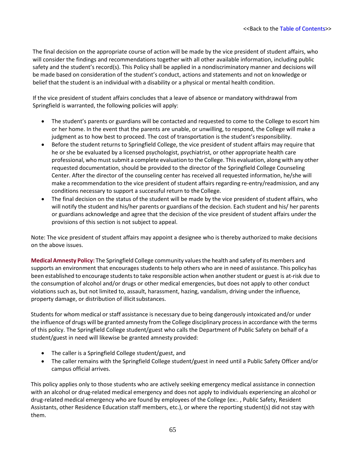The final decision on the appropriate course of action will be made by the vice president of student affairs, who will consider the findings and recommendations together with all other available information, including public safety and the student's record(s). This Policy shall be applied in a nondiscriminatory manner and decisions will be made based on consideration of the student's conduct, actions and statements and not on knowledge or belief that the student is an individual with a disability or a physical or mental health condition.

If the vice president of student affairs concludes that a leave of absence or mandatory withdrawal from Springfield is warranted, the following policies will apply:

- The student's parents or guardians will be contacted and requested to come to the College to escort him or her home. In the event that the parents are unable, or unwilling, to respond, the College will make a judgment as to how best to proceed. The cost of transportation is the student'sresponsibility.
- Before the student returns to Springfield College, the vice president of student affairs may require that he or she be evaluated by a licensed psychologist, psychiatrist, or other appropriate health care professional, who must submit a complete evaluation to the College. This evaluation, along with any other requested documentation, should be provided to the director of the Springfield College Counseling Center. After the director of the counseling center has received all requested information, he/she will make a recommendation to the vice president of student affairs regarding re-entry/readmission, and any conditions necessary to support a successful return to the College.
- The final decision on the status of the student will be made by the vice president of student affairs, who will notify the student and his/her parents or guardians of the decision. Each student and his/ her parents or guardians acknowledge and agree that the decision of the vice president of student affairs under the provisions of this section is not subject to appeal.

Note: The vice president of student affairs may appoint a designee who is thereby authorized to make decisions on the above issues.

**Medical Amnesty Policy:** The Springfield College community valuesthe health and safety of its members and supports an environment that encourages students to help others who are in need of assistance. This policy has been established to encourage studentsto take responsible action when anotherstudent or guest is at-risk due to the consumption of alcohol and/or drugs or other medical emergencies, but does not apply to other conduct violations such as, but not limited to, assault, harassment, hazing, vandalism, driving under the influence, property damage, or distribution of illicit substances.

Students for whom medical or staff assistance is necessary due to being dangerously intoxicated and/or under the influence of drugs will be granted amnesty from the College disciplinary processin accordance with the terms of this policy. The Springfield College student/guest who calls the Department of Public Safety on behalf of a student/guest in need will likewise be granted amnesty provided:

- The caller is a Springfield College student/guest, and
- The caller remains with the Springfield College student/guest in need until a Public Safety Officer and/or campus official arrives.

This policy applies only to those students who are actively seeking emergency medical assistance in connection with an alcohol or drug-related medical emergency and does not apply to individuals experiencing an alcohol or drug-related medical emergency who are found by employees of the College (ex:. , Public Safety, Resident Assistants, other Residence Education staff members, etc.), or where the reporting student(s) did not stay with them.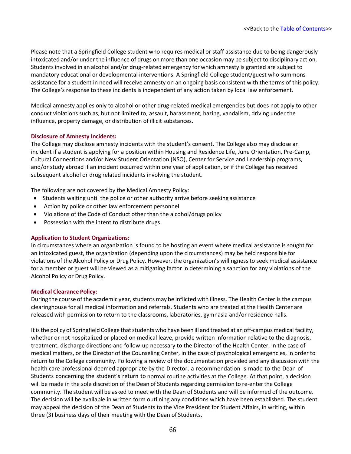Please note that a Springfield College student who requires medical or staff assistance due to being dangerously intoxicated and/or under the influence of drugs on more than one occasion may be subject to disciplinary action. Studentsinvolved in an alcohol and/or drug-related emergency for which amnesty is granted are subject to mandatory educational or developmental interventions. A Springfield College student/guest who summons assistance for a student in need will receive amnesty on an ongoing basis consistent with the terms of this policy. The College's response to these incidents is independent of any action taken by local law enforcement.

Medical amnesty applies only to alcohol or other drug-related medical emergencies but does not apply to other conduct violations such as, but not limited to, assault, harassment, hazing, vandalism, driving under the influence, property damage, or distribution of illicit substances.

#### **Disclosure of Amnesty Incidents:**

The College may disclose amnesty incidents with the student's consent. The College also may disclose an incident if a student is applying for a position within Housing and Residence Life, June Orientation, Pre-Camp, Cultural Connections and/or New Student Orientation (NSO), Center for Service and Leadership programs, and/or study abroad if an incident occurred within one year of application, or if the College has received subsequent alcohol or drug related incidents involving the student.

The following are not covered by the Medical Amnesty Policy:

- Students waiting until the police or other authority arrive before seeking assistance
- Action by police or other law enforcement personnel
- Violations of the Code of Conduct other than the alcohol/drugs policy
- Possession with the intent to distribute drugs.

#### **Application to Student Organizations:**

In circumstances where an organization is found to be hosting an event where medical assistance is sought for an intoxicated guest, the organization (depending upon the circumstances) may be held responsible for violations of the Alcohol Policy or Drug Policy. However, the organization's willingness to seek medical assistance for a member or guest will be viewed as a mitigating factor in determining a sanction for any violations of the Alcohol Policy or Drug Policy.

#### **Medical Clearance Policy:**

During the course of the academic year, students may be inflicted with illness. The Health Center is the campus clearinghouse for all medical information and referrals. Students who are treated at the Health Center are released with permission to return to the classrooms, laboratories, gymnasia and/or residence halls.

It is the policy of Springfield College that students who have been ill and treated at an off-campus medical facility, whether or not hospitalized or placed on medical leave, provide written information relative to the diagnosis, treatment, discharge directions and follow-up necessary to the Director of the Health Center, in the case of medical matters, or the Director of the Counseling Center, in the case of psychological emergencies, in order to return to the College community. Following a review of the documentation provided and any discussion with the health care professional deemed appropriate by the Director, a recommendation is made to the Dean of Students concerning the student's return to normal routine activities at the College. At that point, a decision will be made in the sole discretion of the Dean of Students regarding permission to re-enter the College community. The student will be asked to meet with the Dean of Students and will be informed of the outcome. The decision will be available in written form outlining any conditions which have been established. The student may appeal the decision of the Dean of Students to the Vice President for Student Affairs, in writing, within three (3) business days of their meeting with the Dean of Students.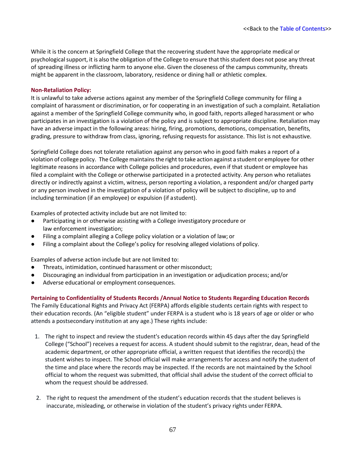While it is the concern at Springfield College that the recovering student have the appropriate medical or psychological support, it is also the obligation of the College to ensure that this student does not pose any threat of spreading illness or inflicting harm to anyone else. Given the closeness of the campus community, threats might be apparent in the classroom, laboratory, residence or dining hall or athletic complex.

#### **Non-Retaliation Policy:**

It is unlawful to take adverse actions against any member of the Springfield College community for filing a complaint of harassment or discrimination, or for cooperating in an investigation of such a complaint. Retaliation against a member of the Springfield College community who, in good faith, reports alleged harassment or who participates in an investigation is a violation of the policy and is subject to appropriate discipline. Retaliation may have an adverse impact in the following areas: hiring, firing, promotions, demotions, compensation, benefits, grading, pressure to withdraw from class, ignoring, refusing requests for assistance. This list is not exhaustive.

Springfield College does not tolerate retaliation against any person who in good faith makes a report of a violation of college policy. The College maintainsthe right to take action against a student or employee for other legitimate reasons in accordance with College policies and procedures, even if that student or employee has filed a complaint with the College or otherwise participated in a protected activity. Any person who retaliates directly or indirectly against a victim, witness, person reporting a violation, a respondent and/or charged party or any person involved in the investigation of a violation of policy will be subject to discipline, up to and including termination (if an employee) or expulsion (if astudent).

Examples of protected activity include but are not limited to:

- Participating in or otherwise assisting with a College investigatory procedure or law enforcement investigation;
- Filing a complaint alleging a College policy violation or a violation of law; or
- Filing a complaint about the College's policy for resolving alleged violations of policy.

Examples of adverse action include but are not limited to:

- Threats, intimidation, continued harassment or other misconduct;
- Discouraging an individual from participation in an investigation or adjudication process; and/or
- Adverse educational or employment consequences.

**Pertaining to Confidentiality of Students Records /Annual Notice to Students Regarding Education Records**

The Family Educational Rights and Privacy Act (FERPA) affords eligible students certain rights with respect to their education records. (An "eligible student" under FERPA is a student who is 18 years of age or older or who attends a postsecondary institution at any age.) These rights include:

- 1. The right to inspect and review the student's education records within 45 days after the day Springfield College ("School") receives a request for access. A student should submit to the registrar, dean, head of the academic department, or other appropriate official, a written request that identifies the record(s) the student wishes to inspect. The School official will make arrangements for access and notify the student of the time and place where the records may be inspected. If the records are not maintained by the School official to whom the request was submitted, that official shall advise the student of the correct official to whom the request should be addressed.
- 2. The right to request the amendment of the student's education records that the student believes is inaccurate, misleading, or otherwise in violation of the student's privacy rights under FERPA.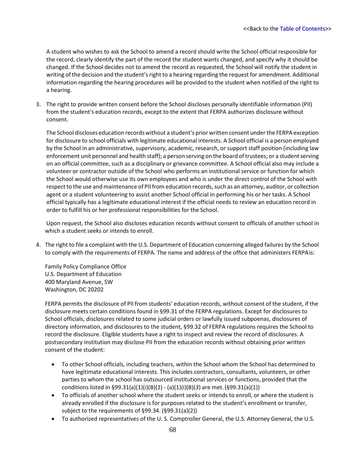A student who wishes to ask the School to amend a record should write the School official responsible for the record, clearly identify the part of the record the student wants changed, and specify why it should be changed. If the School decides not to amend the record as requested, the School will notify the student in writing of the decision and the student's right to a hearing regarding the request for amendment. Additional information regarding the hearing procedures will be provided to the student when notified of the right to a hearing.

3. The right to provide written consent before the School discloses personally identifiable information (PII) from the student's education records, except to the extent that FERPA authorizes disclosure without consent.

The School discloses education records without a student's prior written consent underthe FERPA exception for disclosure to school officials with legitimate educational interests. A School official is a person employed by the School in an administrative, supervisory, academic, research, or support staff position (including law enforcement unit personnel and health staff); a person serving on the board of trustees; or a student serving on an official committee, such as a disciplinary or grievance committee. A School official also may include a volunteer or contractor outside of the School who performs an institutional service or function for which the School would otherwise use its own employees and who is under the direct control of the School with respect to the use and maintenance of PII from education records, such as an attorney, auditor, or collection agent or a student volunteering to assist another School official in performing his or her tasks. A School official typically has a legitimate educational interest if the official needs to review an education record in order to fulfill his or her professional responsibilities for the School.

Upon request, the School also discloses education records without consent to officials of another school in which a student seeks or intends to enroll.

4. The right to file a complaint with the U.S. Department of Education concerning alleged failures by the School to comply with the requirements of FERPA. The name and address of the office that administers FERPAis:

Family Policy Compliance Office U.S. Department of Education 400 Maryland Avenue, SW Washington, DC 20202

FERPA permits the disclosure of PII from students' education records, without consent of the student, if the disclosure meets certain conditions found in §99.31 of the FERPA regulations. Except for disclosures to School officials, disclosures related to some judicial orders or lawfully issued subpoenas, disclosures of directory information, and disclosures to the student, §99.32 of FERPA regulations requires the School to record the disclosure. Eligible students have a right to inspect and review the record of disclosures. A postsecondary institution may disclose PII from the education records without obtaining prior written consent of the student:

- To other School officials, including teachers, within the School whom the School has determined to have legitimate educational interests. This includes contractors, consultants, volunteers, or other parties to whom the school has outsourced institutional services or functions, provided that the conditions listed in §99.31(a)(1)(i)(B)(*1*) - (a)(1)(i)(B)(*3*) are met.(§99.31(a)(1))
- To officials of another school where the student seeks or intends to enroll, or where the student is already enrolled if the disclosure is for purposes related to the student's enrollment or transfer, subject to the requirements of §99.34. (§99.31(a)(2))
- To authorized representatives of the U. S. Comptroller General, the U.S. Attorney General, the U.S.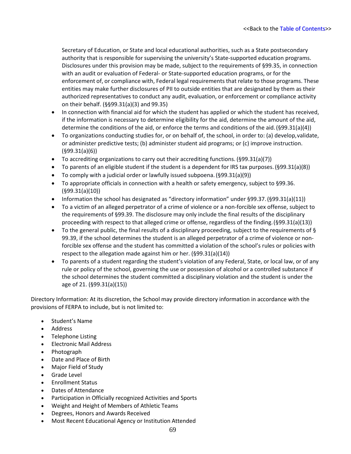Secretary of Education, or State and local educational authorities, such as a State postsecondary authority that is responsible for supervising the university's State-supported education programs. Disclosures under this provision may be made, subject to the requirements of §99.35, in connection with an audit or evaluation of Federal- or State-supported education programs, or for the enforcement of, or compliance with, Federal legal requirements that relate to those programs. These entities may make further disclosures of PII to outside entities that are designated by them as their authorized representatives to conduct any audit, evaluation, or enforcement or compliance activity on their behalf. (§§99.31(a)(3) and 99.35)

- In connection with financial aid for which the student has applied or which the student has received, if the information is necessary to determine eligibility for the aid, determine the amount of the aid, determine the conditions of the aid, or enforce the terms and conditions of the aid.(§99.31(a)(4))
- To organizations conducting studies for, or on behalf of, the school, in order to: (a) develop,validate, or administer predictive tests; (b) administer student aid programs; or (c) improve instruction. (§99.31(a)(6))
- To accrediting organizations to carry out their accrediting functions. (§99.31(a)(7))
- To parents of an eligible student if the student is a dependent for IRS tax purposes.(§99.31(a)(8))
- To comply with a judicial order or lawfully issued subpoena. (§99.31(a)(9))
- To appropriate officials in connection with a health or safety emergency, subject to §99.36. (§99.31(a)(10))
- Information the school has designated as "directory information" under §99.37. (§99.31(a)(11))
- To a victim of an alleged perpetrator of a crime of violence or a non-forcible sex offense, subject to the requirements of §99.39. The disclosure may only include the final results of the disciplinary proceeding with respect to that alleged crime or offense, regardless of the finding.(§99.31(a)(13))
- To the general public, the final results of a disciplinary proceeding, subject to the requirements of  $\S$ 99.39, if the school determines the student is an alleged perpetrator of a crime of violence or nonforcible sex offense and the student has committed a violation of the school's rules or policies with respect to the allegation made against him or her. (§99.31(a)(14))
- To parents of a student regarding the student's violation of any Federal, State, or local law, or of any rule or policy of the school, governing the use or possession of alcohol or a controlled substance if the school determines the student committed a disciplinary violation and the student is under the age of 21. (§99.31(a)(15))

Directory Information: At its discretion, the School may provide directory information in accordance with the provisions of FERPA to include, but is not limited to:

- Student's Name
- Address
- Telephone Listing
- Electronic Mail Address
- Photograph
- Date and Place of Birth
- Major Field of Study
- Grade Level
- Enrollment Status
- Dates of Attendance
- Participation in Officially recognized Activities and Sports
- Weight and Height of Members of Athletic Teams
- Degrees, Honors and Awards Received
- Most Recent Educational Agency or Institution Attended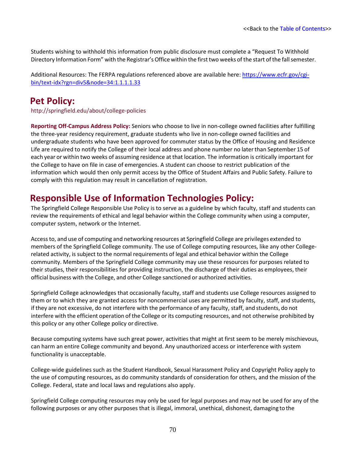Students wishing to withhold this information from public disclosure must complete a "Request To Withhold Directory Information Form" with the Registrar's Office within the first two weeks of the start of the fall semester.

Additional Resources: The FERPA regulations referenced above are available here[: https://www.ecfr.gov/cgi](https://www.ecfr.gov/cgi-bin/text-idx?rgn=div5&node=34%3A1.1.1.1.33)[bin/text-idx?rgn=div5&node=34:1.1.1.1.33](https://www.ecfr.gov/cgi-bin/text-idx?rgn=div5&node=34%3A1.1.1.1.33)

### **Pet Policy:**

<http://springfield.edu/about/college-policies>

**Reporting Off-Campus Address Policy:** Seniors who choose to live in non-college owned facilities after fulfilling the three-year residency requirement, graduate students who live in non-college owned facilities and undergraduate students who have been approved for commuter status by the Office of Housing and Residence Life are required to notify the College of their local address and phone number no laterthan September 15 of each year or within two weeks of assuming residence at that location. The information is critically important for the College to have on file in case of emergencies. A student can choose to restrict publication of the information which would then only permit access by the Office of Student Affairs and Public Safety. Failure to comply with this regulation may result in cancellation of registration.

### **Responsible Use of Information Technologies Policy:**

The Springfield College Responsible Use Policy is to serve as a guideline by which faculty, staff and students can review the requirements of ethical and legal behavior within the College community when using a computer, computer system, network or the Internet.

Accessto, and use of computing and networking resources at Springfield College are privileges extended to members of the Springfield College community. The use of College computing resources, like any other Collegerelated activity, is subject to the normal requirements of legal and ethical behavior within the College community. Members of the Springfield College community may use these resources for purposes related to their studies, their responsibilities for providing instruction, the discharge of their duties as employees, their official business with the College, and other College sanctioned or authorized activities.

Springfield College acknowledges that occasionally faculty, staff and students use College resources assigned to them or to which they are granted access for noncommercial uses are permitted by faculty, staff, and students, if they are not excessive, do not interfere with the performance of any faculty, staff, and students, do not interfere with the efficient operation of the College or its computing resources, and not otherwise prohibited by this policy or any other College policy or directive.

Because computing systems have such great power, activities that might at first seem to be merely mischievous, can harm an entire College community and beyond. Any unauthorized access or interference with system functionality is unacceptable.

College-wide guidelines such as the Student Handbook, Sexual Harassment Policy and Copyright Policy apply to the use of computing resources, as do community standards of consideration for others, and the mission of the College. Federal, state and local laws and regulations also apply.

Springfield College computing resources may only be used for legal purposes and may not be used for any of the following purposes or any other purposes that is illegal, immoral, unethical, dishonest, damaging to the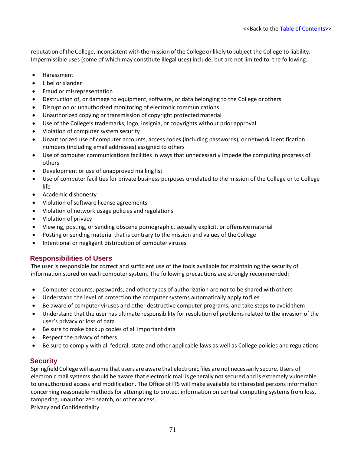reputation of the College, inconsistent with the mission of the College or likely to subject the College to liability. Impermissible uses (some of which may constitute illegal uses) include, but are not limited to, the following:

- Harassment
- Libel or slander
- Fraud or misrepresentation
- Destruction of, or damage to equipment, software, or data belonging to the College or others
- Disruption or unauthorized monitoring of electronic communications
- Unauthorized copying or transmission of copyright protected material
- Use of the College's trademarks, logo, insignia, or copyrights without prior approval
- Violation of computer system security
- Unauthorized use of computer accounts, access codes (including passwords), or network identification numbers (including email addresses) assigned to others
- Use of computer communications facilities in ways that unnecessarily impede the computing progress of others
- Development or use of unapproved mailing list
- Use of computer facilities for private business purposes unrelated to the mission of the College or to College life
- Academic dishonesty
- Violation of software license agreements
- Violation of network usage policies and regulations
- Violation of privacy
- Viewing, posting, or sending obscene pornographic, sexually explicit, or offensive material
- Posting or sending material that is contrary to the mission and values of the College
- Intentional or negligent distribution of computer viruses

#### **Responsibilities of Users**

The user is responsible for correct and sufficient use of the tools available for maintaining the security of information stored on each computer system. The following precautions are strongly recommended:

- Computer accounts, passwords, and other types of authorization are not to be shared with others
- Understand the level of protection the computer systems automatically apply tofiles
- Be aware of computer viruses and other destructive computer programs, and take steps to avoid them
- Understand that the user has ultimate responsibility for resolution of problems related to the invasion of the user's privacy or loss of data
- Be sure to make backup copies of all important data
- Respect the privacy of others
- Be sure to comply with all federal, state and other applicable laws as well as College policies and regulations

#### **Security**

Springfield College will assume that users are aware that electronic files are not necessarily secure. Users of electronic mailsystems should be aware that electronic mail is generally not secured and is extremely vulnerable to unauthorized access and modification. The Office of ITS will make available to interested persons information concerning reasonable methods for attempting to protect information on central computing systems from loss, tampering, unauthorized search, or other access.

Privacy and Confidentiality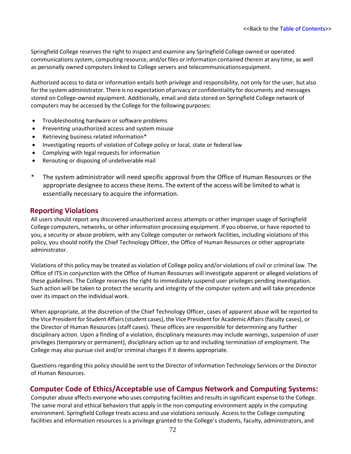Springfield College reserves the right to inspect and examine any Springfield College owned or operated communications system, computing resource, and/or files or information contained therein at any time, as well as personally owned computers linked to College servers and telecommunicationsequipment.

Authorized access to data or information entails both privilege and responsibility, not only for the user, but also forthe system administrator. There is no expectation of privacy or confidentiality for documents and messages stored on College-owned equipment. Additionally, email and data stored on Springfield College network of computers may be accessed by the College for the following purposes:

- Troubleshooting hardware or software problems
- Preventing unauthorized access and system misuse
- Retrieving business related information\*
- Investigating reports of violation of College policy or local, state or federal law
- Complying with legal requests for information
- Rerouting or disposing of undeliverable mail
- \* The system administrator will need specific approval from the Office of Human Resources or the appropriate designee to access these items. The extent of the access will be limited to what is essentially necessary to acquire the information.

#### **Reporting Violations**

All users should report any discovered unauthorized access attempts or other improper usage of Springfield College computers, networks, or other information processing equipment. If you observe, or have reported to you, a security or abuse problem, with any College computer or network facilities, including violations of this policy, you should notify the Chief Technology Officer, the Office of Human Resources or other appropriate administrator.

Violations of this policy may be treated as violation of College policy and/or violations of civil or criminal law. The Office of ITS in conjunction with the Office of Human Resources will investigate apparent or alleged violations of these guidelines. The College reserves the right to immediately suspend user privileges pending investigation. Such action will be taken to protect the security and integrity of the computer system and will take precedence over its impact on the individual work.

When appropriate, at the discretion of the Chief Technology Officer, cases of apparent abuse will be reported to the Vice President for Student Affairs (student cases), the Vice President for Academic Affairs (faculty cases), or the Director of Human Resources (staff cases). These offices are responsible for determining any further disciplinary action. Upon a finding of a violation, disciplinary measures may include warnings, suspension of user privileges (temporary or permanent), disciplinary action up to and including termination of employment. The College may also pursue civil and/or criminal charges if it deems appropriate.

Questions regarding this policy should be sent to the Director of Information Technology Services orthe Director of Human Resources.

#### **Computer Code of Ethics/Acceptable use of Campus Network and Computing Systems:**

Computer abuse affects everyone who uses computing facilities and results in significant expense to the College. The same moral and ethical behaviors that apply in the non-computing environment apply in the computing environment. Springfield College treats access and use violationsseriously. Access to the College computing facilities and information resources is a privilege granted to the College's students, faculty, administrators, and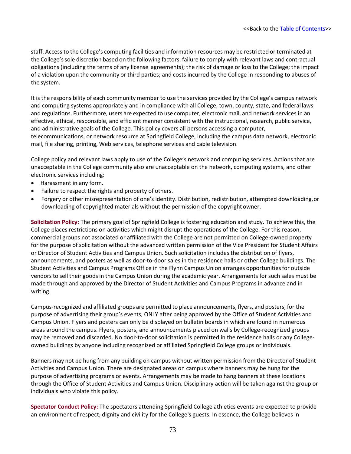staff. Access to the College's computing facilities and information resources may be restricted or terminated at the College'ssole discretion based on the following factors: failure to comply with relevant laws and contractual obligations (including the terms of any license agreements); the risk of damage or loss to the College; the impact of a violation upon the community or third parties; and costs incurred by the College in responding to abuses of the system.

It is the responsibility of each community member to use the services provided by the College's campus network and computing systems appropriately and in compliance with all College, town, county, state, and federal laws and regulations. Furthermore, users are expected to use computer, electronicmail, and network services in an effective, ethical, responsible, and efficient manner consistent with the instructional, research, public service, and administrative goals of the College. This policy covers all persons accessing a computer, telecommunications, or network resource at Springfield College, including the campus data network, electronic mail, file sharing, printing, Web services, telephone services and cable television.

College policy and relevant laws apply to use of the College's network and computing services. Actions that are unacceptable in the College community also are unacceptable on the network, computing systems, and other electronic services including:

- Harassment in any form.
- Failure to respect the rights and property of others.
- Forgery or other misrepresentation of one's identity. Distribution, redistribution, attempted downloading,or downloading of copyrighted materials without the permission of the copyright owner.

**Solicitation Policy:** The primary goal of Springfield College is fostering education and study. To achieve this, the College places restrictions on activities which might disrupt the operations of the College. For this reason, commercial groups not associated or affiliated with the College are not permitted on College-owned property for the purpose of solicitation without the advanced written permission of the Vice President for Student Affairs or Director of Student Activities and Campus Union. Such solicitation includes the distribution of flyers, announcements, and posters as well as door-to-door sales in the residence halls or other College buildings. The Student Activities and Campus Programs Office in the Flynn Campus Union arranges opportunities for outside vendors to sell their goods in the Campus Union during the academic year. Arrangements for such sales must be made through and approved by the Director of Student Activities and Campus Programs in advance and in writing.

Campus-recognized and affiliated groups are permitted to place announcements, flyers, and posters, for the purpose of advertising their group's events, ONLY after being approved by the Office of Student Activities and Campus Union. Flyers and posters can only be displayed on bulletin boards in which are found in numerous areas around the campus. Flyers, posters, and announcements placed on walls by College-recognized groups may be removed and discarded. No door-to-door solicitation is permitted in the residence halls or any Collegeowned buildings by anyone including recognized or affiliated Springfield College groups or individuals.

Banners may not be hung from any building on campus without written permission from the Director of Student Activities and Campus Union. There are designated areas on campus where banners may be hung for the purpose of advertising programs or events. Arrangements may be made to hang banners at these locations through the Office of Student Activities and Campus Union. Disciplinary action will be taken against the group or individuals who violate this policy.

**Spectator Conduct Policy:** The spectators attending Springfield College athletics events are expected to provide an environment of respect, dignity and civility for the College's guests. In essence, the College believes in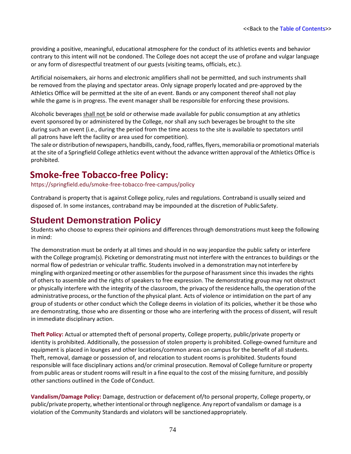providing a positive, meaningful, educational atmosphere for the conduct of its athletics events and behavior contrary to this intent will not be condoned. The College does not accept the use of profane and vulgar language or any form of disrespectful treatment of our guests (visiting teams, officials, etc.).

Artificial noisemakers, air horns and electronic amplifiers shall not be permitted, and such instruments shall be removed from the playing and spectator areas. Only signage properly located and pre-approved by the Athletics Office will be permitted at the site of an event. Bands or any component thereof shall not play while the game is in progress. The event manager shall be responsible for enforcing these provisions.

Alcoholic beverages shall not be sold or otherwise made available for public consumption at any athletics event sponsored by or administered by the College, nor shall any such beverages be brought to the site during such an event (i.e., during the period from the time access to the site is available to spectators until all patrons have left the facility or area used for competition).

The sale or distribution of newspapers, handbills, candy, food, raffles, flyers, memorabilia or promotional materials at the site of a Springfield College athletics event without the advance written approval of the Athletics Office is prohibited.

### **Smoke-free Tobacco-free Policy:**

<https://springfield.edu/smoke-free-tobacco-free-campus/policy>

Contraband is property that is against College policy, rules and regulations. Contraband is usually seized and disposed of. In some instances, contraband may be impounded at the discretion of Public Safety.

#### **Student Demonstration Policy**

Students who choose to express their opinions and differences through demonstrations must keep the following in mind:

The demonstration must be orderly at all times and should in no way jeopardize the public safety or interfere with the College program(s). Picketing or demonstrating must not interfere with the entrances to buildings or the normal flow of pedestrian or vehicular traffic. Students involved in a demonstration may notinterfere by mingling with organized meeting or other assemblies for the purpose of harassment since this invades the rights of others to assemble and the rights of speakers to free expression. The demonstrating group may not obstruct or physically interfere with the integrity of the classroom, the privacy of the residence halls, the operation of the administrative process, or the function of the physical plant. Acts of violence or intimidation on the part of any group of students or other conduct which the College deems in violation of its policies, whether it be those who are demonstrating, those who are dissenting or those who are interfering with the process of dissent, will result in immediate disciplinary action.

**Theft Policy:** Actual or attempted theft of personal property, College property, public/private property or identity is prohibited. Additionally, the possession of stolen property is prohibited. College-owned furniture and equipment is placed in lounges and other locations/common areas on campus for the benefit of all students. Theft, removal, damage or possession of, and relocation to student rooms is prohibited. Students found responsible will face disciplinary actions and/or criminal prosecution. Removal of College furniture or property from public areas or student rooms will result in a fine equal to the cost of the missing furniture, and possibly other sanctions outlined in the Code of Conduct.

**Vandalism/Damage Policy:** Damage, destruction or defacement of/to personal property, College property, or public/private property, whether intentional or through negligence. Any report of vandalism or damage is a violation of the Community Standards and violators will be sanctionedappropriately.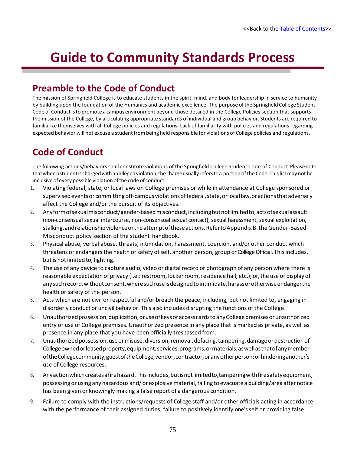# **Guide to Community Standards Process**

### **Preamble to the Code of Conduct**

The mission of Springfield College is to educate students in the spirit, mind, and body for leadership in service to humanity by building upon the foundation of the Humanics and academic excellence. The purpose ofthe Springfield College Student Code of Conductisto promote a campus environment beyond those detailed in the College Policies section that supports the mission of the College, by articulating appropriate standards of individual and group behavior. Students are required to familiarize themselves with all College policies and regulations. Lack of familiarity with policies and regulations regarding expected behavior will not excuse a student frombeing held responsible for violations of College policies and regulations.

# **Code of Conduct**

The following actions/behaviors shall constitute violations of the Springfield College Student Code of Conduct.Pleasenote thatwhenastudentischargedwithanallegedviolation,thechargeusuallyreferstoa portion ofthe Code. Thislistmay not be inclusive of every possible violation of the code of conduct.

- 1. Violating federal, state, or local laws on College premises or while in attendance at College sponsored or supervised events or committing off-campus violations of federal, state, or local law, or actions that adversely affect the College and/or the pursuit of its objectives.
- 2. Anyformofsexualmisconduct/gender-basedmisconduct,includingbutnotlimitedto,actsofsexualassault (non-consensual sexual intercourse, non-consensual sexual contact), sexual harassment, sexual exploitation, stalking,andrelationshipviolenceortheattemptoftheseactions.RefertoAppendix B.theGender-Based Misconduct policy section of the student handbook.
- 3. Physical abuse, verbal abuse, threats, intimidation, harassment, coercion, and/or other conduct which threatens or endangers the health or safety of self, another person, group or College Official. This includes, but is not limited to, fighting.
- 4. The use of any device to capture audio, video or digital record or photograph of any person where there is reasonable expectation of privacy (i.e.: restroom, locker room, residence hall, etc.); or, the use or display of anysuchrecord,withoutconsent,wheresuchuseisdesignedtointimidate,harassorotherwiseendangerthe health or safety of the person.
- 5. Acts which are not civil or respectful and/or breach the peace, including, but not limited to, engaging in disorderly conduct or uncivil behavior. This also includes disrupting the functions of the College.
- 6. Unauthorizedpossession,duplication,oruseofkeysoraccesscardstoanyCollegepremisesorunauthorized entry or use of College premises. Unauthorized presence in any place that is marked as private, as well as presence in any place that you have been officially trespassed from.
- 7. Unauthorized possession, use or misuse, diversion, removal, defacing, tampering, damage or destruction of Collegeownedorleasedproperty,equipment,services,programs,ormaterials,aswellasthatofanymember oftheCollegecommunity,guestoftheCollege,vendor,contractor,oranyotherperson;orhinderinganother's use of College resources.
- 8. Anyactionwhichcreatesafirehazard.Thisincludes,butisnotlimitedto,tamperingwithfiresafetyequipment, possessing or using any hazardous and/ or explosive material, failing to evacuate a building/area after notice has been given or knowingly making a false report of a dangerous condition.
- 9. Failure to comply with the instructions/requests of College staff and/or other officials acting in accordance with the performance of their assigned duties; failure to positively identify one's self or providing false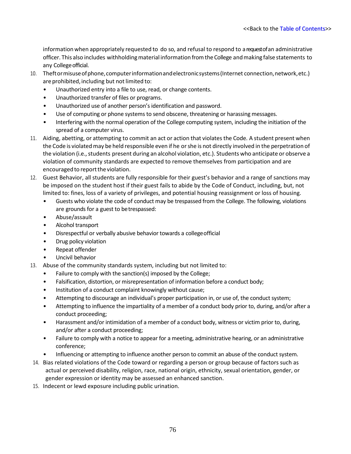informationwhen appropriately requested to do so, and refusal to respond to arequestofan administrative officer. This also includes withholdingmaterial information fromtheCollege andmaking false statements to any College official.

- 10. Theftormisuseofphone,computerinformationandelectronicsystems(Internet connection,network,etc.) are prohibited, including but not limited to:
	- Unauthorized entry into a file to use, read, or change contents.
	- Unauthorized transfer of files or programs.
	- Unauthorized use of another person's identification and password.
	- Use of computing or phone systems to send obscene, threatening or harassing messages.
	- Interfering with the normal operation of the College computing system, including the initiation of the spread of a computer virus.
- 11. Aiding, abetting, or attempting to commit an act or action that violates the Code. A student present when the Code is violatedmay be held responsible even if he orshe is not directly involved in the perpetration of the violation (i.e., students present during an alcohol violation, etc.). Students who anticipate or observe a violation of community standards are expected to remove themselves from participation and are encouraged to report the violation.
- 12. Guest Behavior, all students are fully responsible for their guest's behavior and a range of sanctions may be imposed on the student host if their guest fails to abide by the Code of Conduct, including, but, not limited to: fines, loss of a variety of privileges, and potential housing reassignment or loss of housing.
	- Guests who violate the code of conduct may be trespassed from the College. The following, violations are grounds for a guest to betrespassed:
	- Abuse/assault
	- Alcohol transport
	- Disrespectful or verbally abusive behavior towards a collegeofficial
	- Drug policy violation
	- Repeat offender
	- Uncivil behavior
- 13. Abuse of the community standards system, including but not limited to:
	- Failure to comply with the sanction(s) imposed by the College;
	- Falsification, distortion, or misrepresentation of information before a conduct body;
	- Institution of a conduct complaint knowingly without cause;
	- Attempting to discourage an individual's proper participation in, or use of, the conduct system;
	- Attempting to influence the impartiality of a member of a conduct body prior to, during, and/or after a conduct proceeding;
	- Harassment and/or intimidation of a member of a conduct body, witness or victim prior to, during, and/or after a conduct proceeding;
	- Failure to comply with a notice to appear for a meeting, administrative hearing, or an administrative conference;
	- Influencing or attempting to influence another person to commit an abuse of the conduct system.
- 14. Bias related violations of the Code toward or regarding a person or group because of factors such as actual or perceived disability, religion, race, national origin, ethnicity, sexual orientation, gender, or gender expression or identity may be assessed an enhanced sanction.
- 15. Indecent or lewd exposure including public urination.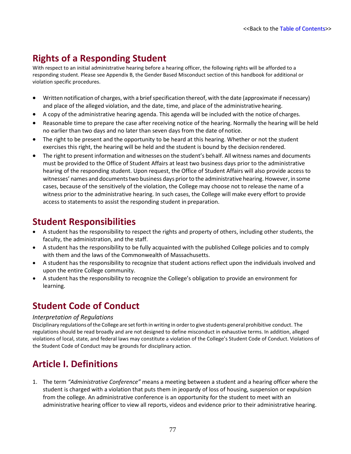# **Rights of a Responding Student**

With respect to an initial administrative hearing before a hearing officer, the following rights will be afforded to a responding student. Please see Appendix B, the Gender Based Misconduct section of this handbook for additional or violation specific procedures.

- Written notification of charges, with a briefspecification thereof, with the date (approximate if necessary) and place of the alleged violation, and the date, time, and place of the administrativehearing.
- A copy of the administrative hearing agenda. This agenda will be included with the notice of charges.
- Reasonable time to prepare the case after receiving notice of the hearing. Normally the hearing will be held no earlier than two days and no later than seven days from the date of notice.
- The right to be present and the opportunity to be heard at this hearing. Whether or not the student exercises this right, the hearing will be held and the student is bound by the decision rendered.
- The right to present information and witnesses on the student's behalf. All witness names and documents must be provided to the Office of Student Affairs at least two business days prior to the administrative hearing of the responding student. Upon request, the Office of Student Affairs will also provide access to witnesses' names and documentstwo business days priorto the administrative hearing. However, in some cases, because of the sensitively of the violation, the College may choose not to release the name of a witness prior to the administrative hearing. In such cases, the College will make every effort to provide access to statements to assist the responding student in preparation.

### **Student Responsibilities**

- A student has the responsibility to respect the rights and property of others, including other students, the faculty, the administration, and the staff.
- A student has the responsibility to be fully acquainted with the published College policies and to comply with them and the laws of the Commonwealth of Massachusetts.
- A student has the responsibility to recognize that student actions reflect upon the individuals involved and upon the entire College community.
- A student has the responsibility to recognize the College's obligation to provide an environment for learning.

# **Student Code of Conduct**

#### *Interpretation of Regulations*

Disciplinary regulations ofthe College are setforth in writing in orderto give students general prohibitive conduct. The regulations should be read broadly and are not designed to define misconduct in exhaustive terms. In addition, alleged violations of local, state, and federal laws may constitute a violation of the College's Student Code of Conduct. Violations of the Student Code of Conduct may be grounds for disciplinary action.

### **Article I. Definitions**

1. The term *"Administrative Conference"* means a meeting between a student and a hearing officer where the student is charged with a violation that puts them in jeopardy of loss of housing, suspension or expulsion from the college. An administrative conference is an opportunity for the student to meet with an administrative hearing officer to view all reports, videos and evidence prior to their administrative hearing.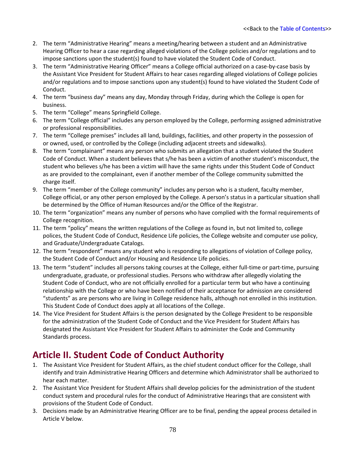- 2. The term "Administrative Hearing" means a meeting/hearing between a student and an Administrative Hearing Officer to hear a case regarding alleged violations of the College policies and/or regulations and to impose sanctions upon the student(s) found to have violated the Student Code of Conduct.
- 3. The term "Administrative Hearing Officer" means a College official authorized on a case-by-case basis by the Assistant Vice President for Student Affairs to hear cases regarding alleged violations of College policies and/or regulations and to impose sanctions upon any student(s) found to have violated the Student Code of Conduct.
- 4. The term "business day" means any day, Monday through Friday, during which the College is open for business.
- 5. The term "College" means Springfield College.
- 6. The term "College official" includes any person employed by the College, performing assigned administrative or professional responsibilities.
- 7. The term "College premises" includes all land, buildings, facilities, and other property in the possession of or owned, used, or controlled by the College (including adjacent streets and sidewalks).
- 8. The term "complainant" means any person who submits an allegation that a student violated the Student Code of Conduct. When a student believes that s/he has been a victim of another student's misconduct, the student who believes s/he has been a victim will have the same rights under this Student Code of Conduct as are provided to the complainant, even if another member of the College community submitted the charge itself.
- 9. The term "member of the College community" includes any person who is a student, faculty member, College official, or any other person employed by the College. A person's status in a particular situation shall be determined by the Office of Human Resources and/or the Office of the Registrar.
- 10. The term "organization" means any number of persons who have complied with the formal requirements of College recognition.
- 11. The term "policy" means the written regulations of the College as found in, but not limited to, college polices, the Student Code of Conduct, Residence Life policies, the College website and computer use policy, and Graduate/Undergraduate Catalogs.
- 12. The term "respondent" means any student who is responding to allegations of violation of College policy, the Student Code of Conduct and/or Housing and Residence Life policies.
- 13. The term "student" includes all persons taking courses at the College, either full-time or part-time, pursuing undergraduate, graduate, or professional studies. Persons who withdraw after allegedly violating the Student Code of Conduct, who are not officially enrolled for a particular term but who have a continuing relationship with the College or who have been notified of their acceptance for admission are considered "students" as are persons who are living in College residence halls, although not enrolled in this institution. This Student Code of Conduct does apply at all locations of the College.
- 14. The Vice President for Student Affairs is the person designated by the College President to be responsible for the administration of the Student Code of Conduct and the Vice President for Student Affairs has designated the Assistant Vice President for Student Affairs to administer the Code and Community Standards process.

# **Article II. Student Code of Conduct Authority**

- 1. The Assistant Vice President for Student Affairs, as the chief student conduct officer for the College, shall identify and train Administrative Hearing Officers and determine which Administrator shall be authorized to hear each matter.
- 2. The Assistant Vice President for Student Affairs shall develop policies for the administration of the student conduct system and procedural rules for the conduct of Administrative Hearings that are consistent with provisions of the Student Code of Conduct.
- 3. Decisions made by an Administrative Hearing Officer are to be final, pending the appeal process detailed in Article V below.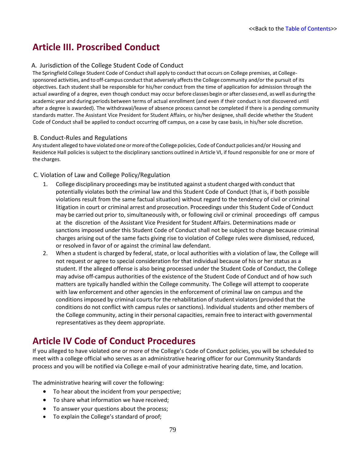### **Article III. Proscribed Conduct**

#### A. Jurisdiction of the College Student Code of Conduct

The Springfield College Student Code of Conduct shall apply to conduct that occurs on College premises, at Collegesponsored activities, and to off-campus conduct that adversely affects the College community and/or the pursuit of its objectives. Each student shall be responsible for his/her conduct from the time of application for admission through the actual awarding of a degree, even though conduct may occur before classes begin or after classes end, aswell as during the academic year and during periods between terms of actual enrollment (and even if their conduct is not discovered until after a degree is awarded). The withdrawal/leave of absence process cannot be completed if there is a pending community standards matter. The Assistant Vice President for Student Affairs, or his/her designee, shall decide whether the Student Code of Conduct shall be applied to conduct occurring off campus, on a case by case basis, in his/her sole discretion.

#### B. Conduct-Rules and Regulations

Any student alleged to have violated one or more of the College policies, Code of Conduct policies and/or Housing and Residence Hall policies is subject to the disciplinary sanctions outlined in Article VI, if found responsible for one or more of the charges.

#### C. Violation of Law and College Policy/Regulation

- 1. College disciplinary proceedings may be instituted against a student charged with conduct that potentially violates both the criminal law and this Student Code of Conduct (that is, if both possible violations result from the same factual situation) without regard to the tendency of civil or criminal litigation in court or criminal arrest and prosecution. Proceedings underthis Student Code of Conduct may be carried out prior to, simultaneously with, or following civil or criminal proceedings off campus at the discretion of the Assistant Vice President for Student Affairs. Determinations made or sanctions imposed under this Student Code of Conduct shall not be subject to change because criminal charges arising out of the same facts giving rise to violation of College rules were dismissed, reduced, or resolved in favor of or against the criminal law defendant.
- 2. When a student is charged by federal, state, or local authorities with a violation of law, the College will not request or agree to special consideration for that individual because of his or her status as a student. If the alleged offense is also being processed under the Student Code of Conduct, the College may advise off-campus authorities of the existence of the Student Code of Conduct and of how such matters are typically handled within the College community. The College will attempt to cooperate with law enforcement and other agencies in the enforcement of criminal law on campus and the conditions imposed by criminal courts for the rehabilitation of student violators (provided that the conditions do not conflict with campus rules or sanctions). Individual students and other members of the College community, acting in their personal capacities, remain free to interact with governmental representatives as they deem appropriate.

### **Article IV Code of Conduct Procedures**

If you alleged to have violated one or more of the College's Code of Conduct policies, you will be scheduled to meet with a college official who serves as an administrative hearing officer for our Community Standards process and you will be notified via College e-mail of your administrative hearing date, time, and location.

The administrative hearing will cover the following:

- To hear about the incident from your perspective;
- To share what information we have received;
- To answer your questions about the process;
- To explain the College's standard of proof;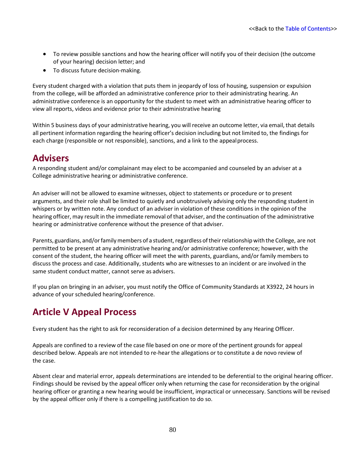- To review possible sanctions and how the hearing officer will notify you of their decision (the outcome of your hearing) decision letter; and
- To discuss future decision-making.

Every student charged with a violation that puts them in jeopardy of loss of housing, suspension or expulsion from the college, will be afforded an administrative conference prior to their administrating hearing. An administrative conference is an opportunity for the student to meet with an administrative hearing officer to view all reports, videos and evidence prior to their administrative hearing

Within 5 business days of your administrative hearing, you will receive an outcome letter, via email, that details all pertinent information regarding the hearing officer's decision including but not limited to, the findings for each charge (responsible or not responsible), sanctions, and a link to the appealprocess.

#### **Advisers**

A responding student and/or complainant may elect to be accompanied and counseled by an adviser at a College administrative hearing or administrative conference.

An adviser will not be allowed to examine witnesses, object to statements or procedure or to present arguments, and their role shall be limited to quietly and unobtrusively advising only the responding student in whispers or by written note. Any conduct of an adviser in violation of these conditions in the opinion of the hearing officer, may result in the immediate removal of that adviser, and the continuation of the administrative hearing or administrative conference without the presence of that adviser.

Parents, guardians, and/or family members of a student, regardless of their relationship with the College, are not permitted to be present at any administrative hearing and/or administrative conference; however, with the consent of the student, the hearing officer will meet the with parents, guardians, and/or family members to discuss the process and case. Additionally, students who are witnesses to an incident or are involved in the same student conduct matter, cannot serve as advisers.

If you plan on bringing in an adviser, you must notify the Office of Community Standards at X3922, 24 hours in advance of your scheduled hearing/conference.

### **Article V Appeal Process**

Every student has the right to ask for reconsideration of a decision determined by any Hearing Officer.

Appeals are confined to a review of the case file based on one or more of the pertinent grounds for appeal described below. Appeals are not intended to re-hear the allegations or to constitute a de novo review of the case.

Absent clear and material error, appeals determinations are intended to be deferential to the original hearing officer. Findings should be revised by the appeal officer only when returning the case for reconsideration by the original hearing officer or granting a new hearing would be insufficient, impractical or unnecessary. Sanctions will be revised by the appeal officer only if there is a compelling justification to do so.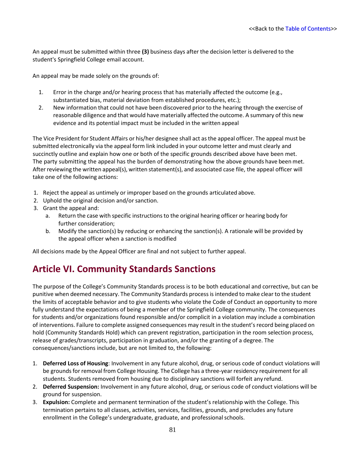An appeal must be submitted within three **(3)** business days after the decision letter is delivered to the student's Springfield College email account.

An appeal may be made solely on the grounds of:

- 1. Error in the charge and/or hearing process that has materially affected the outcome (e.g., substantiated bias, material deviation from established procedures, etc.);
- 2. New information that could not have been discovered prior to the hearing through the exercise of reasonable diligence and that would have materially affected the outcome. A summary of this new evidence and its potential impact must be included in the written appeal

The Vice President for Student Affairs or his/her designee shall act asthe appeal officer. The appeal must be submitted electronically via the appeal form link included in your outcome letter and must clearly and succinctly outline and explain how one or both of the specific grounds described above have been met. The party submitting the appeal has the burden of demonstrating how the above grounds have been met. After reviewing the written appeal(s), written statement(s), and associated case file, the appeal officer will take one of the following actions:

- 1. Reject the appeal as untimely or improper based on the grounds articulated above.
- 2. Uphold the original decision and/or sanction.
- 3. Grant the appeal and:
	- a. Return the case with specific instructionsto the original hearing officer or hearing body for further consideration;
	- b. Modify the sanction(s) by reducing or enhancing the sanction(s). A rationale will be provided by the appeal officer when a sanction is modified

All decisions made by the Appeal Officer are final and not subject to further appeal.

### **Article VI. Community Standards Sanctions**

The purpose of the College's Community Standards process is to be both educational and corrective, but can be punitive when deemed necessary. The Community Standards process is intended to make clear to the student the limits of acceptable behavior and to give students who violate the Code of Conduct an opportunity to more fully understand the expectations of being a member of the Springfield College community. The consequences for students and/or organizations found responsible and/or complicit in a violation may include a combination of interventions. Failure to complete assigned consequences may result in the student's record being placed on hold (Community Standards Hold) which can prevent registration, participation in the room selection process, release of grades/transcripts, participation in graduation, and/or the granting of a degree. The consequences/sanctions include, but are not limited to, the following:

- 1. **Deferred Loss of Housing**: Involvement in any future alcohol, drug, or serious code of conduct violations will be grounds for removal from College Housing. The College has a three-year residency requirement for all students. Students removed from housing due to disciplinary sanctions will forfeit any refund.
- 2. **Deferred Suspension:** Involvement in any future alcohol, drug, or serious code of conduct violations will be ground for suspension.
- 3. **Expulsion:** Complete and permanent termination of the student's relationship with the College. This termination pertains to all classes, activities, services, facilities, grounds, and precludes any future enrollment in the College's undergraduate, graduate, and professional schools.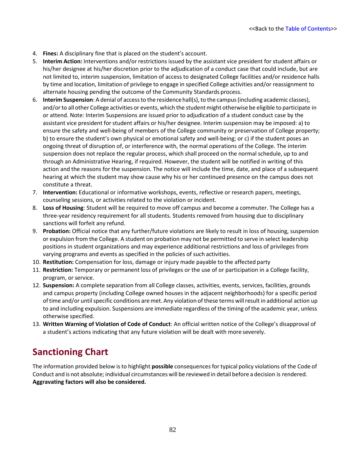- 4. **Fines:** A disciplinary fine that is placed on the student's account.
- 5. **Interim Action:** Interventions and/or restrictions issued by the assistant vice president for student affairs or his/her designee at his/her discretion prior to the adjudication of a conduct case that could include, but are not limited to, interim suspension, limitation of access to designated College facilities and/or residence halls by time and location, limitation of privilege to engage in specified College activities and/or reassignment to alternate housing pending the outcome of the Community Standards process.
- 6. **Interim Suspension**: A denial of accessto the residence hall(s),to the campus(including academic classes), and/or to all other College activities or events, which the student might otherwise be eligible to participate in or attend. Note: Interim Suspensions are issued prior to adjudication of a student conduct case by the assistant vice president for student affairs or his/her designee. Interim suspension may be imposed: a) to ensure the safety and well-being of members of the College community or preservation of College property; b) to ensure the student's own physical or emotional safety and well-being; or c) if the student poses an ongoing threat of disruption of, or interference with, the normal operations of the College. The interim suspension does not replace the regular process, which shall proceed on the normal schedule, up to and through an Administrative Hearing, if required. However, the student will be notified in writing of this action and the reasons for the suspension. The notice will include the time, date, and place of a subsequent hearing at which the student may show cause why his or her continued presence on the campus does not constitute a threat.
- 7. **Intervention:** Educational or informative workshops, events, reflective or research papers, meetings, counseling sessions, or activities related to the violation or incident.
- 8. **Loss of Housing**: Student will be required to move off campus and become a commuter. The College has a three-year residency requirement for all students. Students removed from housing due to disciplinary sanctions will forfeit any refund.
- 9. **Probation:** Official notice that any further/future violations are likely to result in loss of housing, suspension or expulsion from the College. A student on probation may not be permitted to serve in select leadership positions in student organizations and may experience additional restrictions and loss of privileges from varying programs and events as specified in the policies of such activities.
- 10. **Restitution:** Compensation for loss, damage or injury made payable to the affected party
- 11. **Restriction:** Temporary or permanent loss of privileges or the use of or participation in a College facility, program, or service.
- 12. **Suspension:** A complete separation from all College classes, activities, events, services, facilities, grounds and campus property (including College owned houses in the adjacent neighborhoods) for a specific period oftime and/or untilspecific conditions are met. Any violation ofthese terms willresult in additional action up to and including expulsion. Suspensions are immediate regardless of the timing of the academic year, unless otherwise specified.
- 13. **Written Warning of Violation of Code of Conduct**: An official written notice of the College's disapproval of a student's actions indicating that any future violation will be dealt with more severely.

### **Sanctioning Chart**

The information provided below isto highlight **possible** consequences for typical policy violations of the Code of Conduct and is not absolute; individual circumstances will be reviewed in detail before a decision is rendered. **Aggravating factors will also be considered.**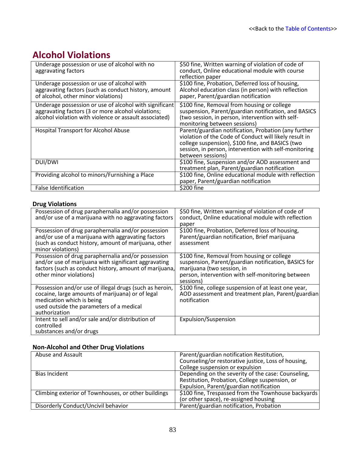# **Alcohol Violations**

| Underage possession or use of alcohol with no<br>aggravating factors                                                                                                   | \$50 fine, Written warning of violation of code of<br>conduct, Online educational module with course<br>reflection paper                                                                                                                         |
|------------------------------------------------------------------------------------------------------------------------------------------------------------------------|--------------------------------------------------------------------------------------------------------------------------------------------------------------------------------------------------------------------------------------------------|
| Underage possession or use of alcohol with<br>aggravating factors (such as conduct history, amount<br>of alcohol, other minor violations)                              | \$100 fine, Probation, Deferred loss of housing,<br>Alcohol education class (in person) with reflection<br>paper, Parent/guardian notification                                                                                                   |
| Underage possession or use of alcohol with significant<br>aggravating factors (3 or more alcohol violations;<br>alcohol violation with violence or assault associated) | \$100 fine, Removal from housing or college<br>suspension, Parent/guardian notification, and BASICS<br>(two session, in person, intervention with self-<br>monitoring between sessions)                                                          |
| <b>Hospital Transport for Alcohol Abuse</b>                                                                                                                            | Parent/guardian notification, Probation (any further<br>violation of the Code of Conduct will likely result in<br>college suspension), \$100 fine, and BASICS (two<br>session, in person, intervention with self-monitoring<br>between sessions) |
| DUI/DWI                                                                                                                                                                | \$100 fine, Suspension and/or AOD assessment and<br>treatment plan, Parent/guardian notification                                                                                                                                                 |
| Providing alcohol to minors/Furnishing a Place                                                                                                                         | \$100 fine, Online educational module with reflection<br>paper, Parent/guardian notification                                                                                                                                                     |
| False Identification                                                                                                                                                   | \$200 fine                                                                                                                                                                                                                                       |

#### **Drug Violations**

| Possession of drug paraphernalia and/or possession<br>and/or use of a marijuana with no aggravating factors                                                                                           | \$50 fine, Written warning of violation of code of<br>conduct, Online educational module with reflection<br>paper                                                                                   |
|-------------------------------------------------------------------------------------------------------------------------------------------------------------------------------------------------------|-----------------------------------------------------------------------------------------------------------------------------------------------------------------------------------------------------|
| Possession of drug paraphernalia and/or possession<br>and/or use of a marijuana with aggravating factors<br>(such as conduct history, amount of marijuana, other<br>minor violations)                 | \$100 fine, Probation, Deferred loss of housing,<br>Parent/guardian notification, Brief marijuana<br>assessment                                                                                     |
| Possession of drug paraphernalia and/or possession<br>and/or use of marijuana with significant aggravating<br>factors (such as conduct history, amount of marijuana,<br>other minor violations)       | \$100 fine, Removal from housing or college<br>suspension, Parent/guardian notification, BASICS for<br>marijuana (two session, in<br>person, intervention with self-monitoring between<br>sessions) |
| Possession and/or use of illegal drugs (such as heroin,<br>cocaine, large amounts of marijuana) or of legal<br>medication which is being<br>used outside the parameters of a medical<br>authorization | \$100 fine, college suspension of at least one year,<br>AOD assessment and treatment plan, Parent/guardian<br>notification                                                                          |
| Intent to sell and/or sale and/or distribution of<br>controlled<br>substances and/or drugs                                                                                                            | Expulsion/Suspension                                                                                                                                                                                |

#### **Non-Alcohol and Other Drug Violations**

| Abuse and Assault                                   | Parent/guardian notification Restitution,           |
|-----------------------------------------------------|-----------------------------------------------------|
|                                                     | Counseling/or restorative justice, Loss of housing, |
|                                                     | College suspension or expulsion                     |
| Bias Incident                                       | Depending on the severity of the case: Counseling,  |
|                                                     | Restitution, Probation, College suspension, or      |
|                                                     | Expulsion, Parent/guardian notification             |
| Climbing exterior of Townhouses, or other buildings | \$100 fine, Trespassed from the Townhouse backyards |
|                                                     | (or other space), re-assigned housing               |
| Disorderly Conduct/Uncivil behavior                 | Parent/guardian notification, Probation             |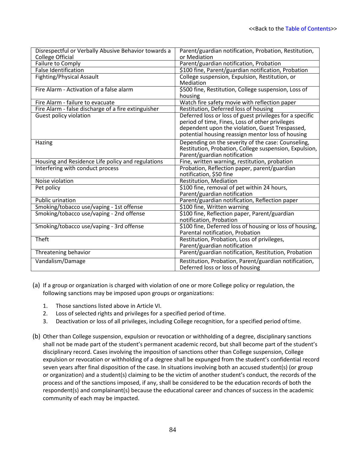| Disrespectful or Verbally Abusive Behavior towards a | Parent/guardian notification, Probation, Restitution,    |
|------------------------------------------------------|----------------------------------------------------------|
| <b>College Official</b>                              | or Mediation                                             |
| Failure to Comply                                    | Parent/guardian notification, Probation                  |
| <b>False Identification</b>                          | \$100 fine, Parent/guardian notification, Probation      |
| Fighting/Physical Assault                            | College suspension, Expulsion, Restitution, or           |
|                                                      | Mediation                                                |
| Fire Alarm - Activation of a false alarm             | \$500 fine, Restitution, College suspension, Loss of     |
|                                                      | housing                                                  |
| Fire Alarm - failure to evacuate                     | Watch fire safety movie with reflection paper            |
| Fire Alarm - false discharge of a fire extinguisher  | Restitution, Deferred loss of housing                    |
| <b>Guest policy violation</b>                        | Deferred loss or loss of guest privileges for a specific |
|                                                      | period of time, Fines, Loss of other privileges          |
|                                                      | dependent upon the violation, Guest Trespassed,          |
|                                                      | potential housing reassign mentor loss of housing        |
| Hazing                                               | Depending on the severity of the case: Counseling,       |
|                                                      | Restitution, Probation, College suspension, Expulsion,   |
|                                                      | Parent/guardian notification                             |
| Housing and Residence Life policy and regulations    | Fine, written warning, restitution, probation            |
| Interfering with conduct process                     | Probation, Reflection paper, parent/guardian             |
|                                                      | notification, \$50 fine                                  |
| Noise violation                                      | Restitution, Mediation                                   |
| Pet policy                                           | \$100 fine, removal of pet within 24 hours,              |
|                                                      | Parent/guardian notification                             |
| Public urination                                     | Parent/guardian notification, Reflection paper           |
| Smoking/tobacco use/vaping - 1st offense             | \$100 fine, Written warning                              |
| Smoking/tobacco use/vaping - 2nd offense             | \$100 fine, Reflection paper, Parent/guardian            |
|                                                      | notification, Probation                                  |
| Smoking/tobacco use/vaping - 3rd offense             | \$100 fine, Deferred loss of housing or loss of housing, |
|                                                      | Parental notification, Probation                         |
| Theft                                                | Restitution, Probation, Loss of privileges,              |
|                                                      | Parent/guardian notification                             |
| Threatening behavior                                 | Parent/guardian notification, Restitution, Probation     |
| Vandalism/Damage                                     | Restitution, Probation, Parent/guardian notification,    |
|                                                      | Deferred loss or loss of housing                         |

- (a) If a group or organization is charged with violation of one or more College policy or regulation, the following sanctions may be imposed upon groups or organizations:
	- 1. Those sanctions listed above in Article VI.
	- 2. Loss of selected rights and privileges for a specified period oftime.
	- 3. Deactivation or loss of all privileges, including College recognition, for a specified period oftime.
- (b) Other than College suspension, expulsion or revocation or withholding of a degree, disciplinary sanctions shall not be made part of the student's permanent academic record, but shall become part of the student's disciplinary record. Cases involving the imposition of sanctions other than College suspension, College expulsion or revocation or withholding of a degree shall be expunged from the student's confidential record seven years after final disposition of the case. In situations involving both an accused student(s) (or group or organization) and a student(s) claiming to be the victim of another student's conduct, the records of the process and of the sanctions imposed, if any, shall be considered to be the education records of both the respondent(s) and complainant(s) because the educational career and chances of success in the academic community of each may be impacted.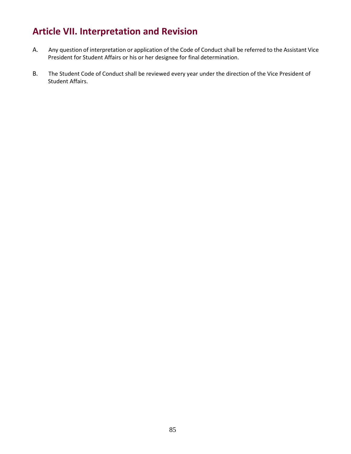# **Article VII. Interpretation and Revision**

- A. Any question of interpretation or application of the Code of Conduct shall be referred to the Assistant Vice President for Student Affairs or his or her designee for final determination.
- B. The Student Code of Conduct shall be reviewed every year under the direction of the Vice President of Student Affairs.